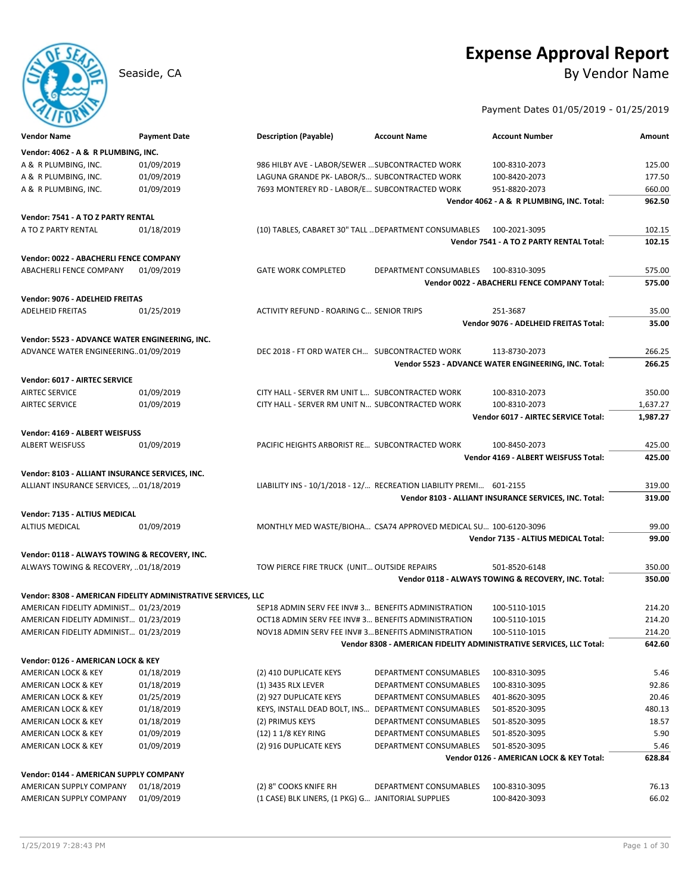# **Expense Approval Report**

Seaside, CA By Vendor Name

Payment Dates 01/05/2019 - 01/25/2019

| <b>Vendor Name</b>                              | <b>Payment Date</b>                                           | <b>Description (Payable)</b>                          | <b>Account Name</b>                                                 | <b>Account Number</b>                                               | Amount   |
|-------------------------------------------------|---------------------------------------------------------------|-------------------------------------------------------|---------------------------------------------------------------------|---------------------------------------------------------------------|----------|
| Vendor: 4062 - A & R PLUMBING, INC.             |                                                               |                                                       |                                                                     |                                                                     |          |
| A & R PLUMBING, INC.                            | 01/09/2019                                                    | 986 HILBY AVE - LABOR/SEWER  SUBCONTRACTED WORK       |                                                                     | 100-8310-2073                                                       | 125.00   |
| A & R PLUMBING, INC.                            | 01/09/2019                                                    | LAGUNA GRANDE PK-LABOR/S SUBCONTRACTED WORK           |                                                                     | 100-8420-2073                                                       | 177.50   |
| A & R PLUMBING, INC.                            | 01/09/2019                                                    | 7693 MONTEREY RD - LABOR/E SUBCONTRACTED WORK         |                                                                     | 951-8820-2073                                                       | 660.00   |
|                                                 |                                                               |                                                       |                                                                     | Vendor 4062 - A & R PLUMBING, INC. Total:                           | 962.50   |
| Vendor: 7541 - A TO Z PARTY RENTAL              |                                                               |                                                       |                                                                     |                                                                     |          |
| A TO Z PARTY RENTAL                             | 01/18/2019                                                    | (10) TABLES, CABARET 30" TALL  DEPARTMENT CONSUMABLES |                                                                     | 100-2021-3095                                                       | 102.15   |
|                                                 |                                                               |                                                       |                                                                     | Vendor 7541 - A TO Z PARTY RENTAL Total:                            | 102.15   |
|                                                 |                                                               |                                                       |                                                                     |                                                                     |          |
| Vendor: 0022 - ABACHERLI FENCE COMPANY          |                                                               |                                                       |                                                                     |                                                                     |          |
| <b>ABACHERLI FENCE COMPANY</b>                  | 01/09/2019                                                    | <b>GATE WORK COMPLETED</b>                            | DEPARTMENT CONSUMABLES                                              | 100-8310-3095                                                       | 575.00   |
|                                                 |                                                               |                                                       |                                                                     | Vendor 0022 - ABACHERLI FENCE COMPANY Total:                        | 575.00   |
| Vendor: 9076 - ADELHEID FREITAS                 |                                                               |                                                       |                                                                     |                                                                     |          |
| <b>ADELHEID FREITAS</b>                         | 01/25/2019                                                    | ACTIVITY REFUND - ROARING C SENIOR TRIPS              |                                                                     | 251-3687                                                            | 35.00    |
|                                                 |                                                               |                                                       |                                                                     | Vendor 9076 - ADELHEID FREITAS Total:                               | 35.00    |
| Vendor: 5523 - ADVANCE WATER ENGINEERING, INC.  |                                                               |                                                       |                                                                     |                                                                     |          |
| ADVANCE WATER ENGINEERING01/09/2019             |                                                               | DEC 2018 - FT ORD WATER CH SUBCONTRACTED WORK         |                                                                     | 113-8730-2073                                                       | 266.25   |
|                                                 |                                                               |                                                       |                                                                     | Vendor 5523 - ADVANCE WATER ENGINEERING, INC. Total:                | 266.25   |
|                                                 |                                                               |                                                       |                                                                     |                                                                     |          |
| Vendor: 6017 - AIRTEC SERVICE                   |                                                               |                                                       |                                                                     |                                                                     |          |
| <b>AIRTEC SERVICE</b>                           | 01/09/2019                                                    | CITY HALL - SERVER RM UNIT L SUBCONTRACTED WORK       |                                                                     | 100-8310-2073                                                       | 350.00   |
| <b>AIRTEC SERVICE</b>                           | 01/09/2019                                                    | CITY HALL - SERVER RM UNIT N SUBCONTRACTED WORK       |                                                                     | 100-8310-2073                                                       | 1,637.27 |
|                                                 |                                                               |                                                       |                                                                     | <b>Vendor 6017 - AIRTEC SERVICE Total:</b>                          | 1,987.27 |
| Vendor: 4169 - ALBERT WEISFUSS                  |                                                               |                                                       |                                                                     |                                                                     |          |
| ALBERT WEISFUSS                                 | 01/09/2019                                                    | PACIFIC HEIGHTS ARBORIST RE SUBCONTRACTED WORK        |                                                                     | 100-8450-2073                                                       | 425.00   |
|                                                 |                                                               |                                                       |                                                                     | Vendor 4169 - ALBERT WEISFUSS Total:                                | 425.00   |
| Vendor: 8103 - ALLIANT INSURANCE SERVICES, INC. |                                                               |                                                       |                                                                     |                                                                     |          |
| ALLIANT INSURANCE SERVICES,  01/18/2019         |                                                               |                                                       | LIABILITY INS - 10/1/2018 - 12/ RECREATION LIABILITY PREMI 601-2155 |                                                                     | 319.00   |
|                                                 |                                                               |                                                       |                                                                     | Vendor 8103 - ALLIANT INSURANCE SERVICES, INC. Total:               | 319.00   |
|                                                 |                                                               |                                                       |                                                                     |                                                                     |          |
| Vendor: 7135 - ALTIUS MEDICAL                   |                                                               |                                                       |                                                                     |                                                                     |          |
| ALTIUS MEDICAL                                  | 01/09/2019                                                    |                                                       | MONTHLY MED WASTE/BIOHA CSA74 APPROVED MEDICAL SU 100-6120-3096     |                                                                     | 99.00    |
|                                                 |                                                               |                                                       |                                                                     | Vendor 7135 - ALTIUS MEDICAL Total:                                 | 99.00    |
| Vendor: 0118 - ALWAYS TOWING & RECOVERY, INC.   |                                                               |                                                       |                                                                     |                                                                     |          |
| ALWAYS TOWING & RECOVERY, 01/18/2019            |                                                               | TOW PIERCE FIRE TRUCK (UNIT OUTSIDE REPAIRS           |                                                                     | 501-8520-6148                                                       | 350.00   |
|                                                 |                                                               |                                                       |                                                                     | Vendor 0118 - ALWAYS TOWING & RECOVERY, INC. Total:                 | 350.00   |
|                                                 | Vendor: 8308 - AMERICAN FIDELITY ADMINISTRATIVE SERVICES, LLC |                                                       |                                                                     |                                                                     |          |
| AMERICAN FIDELITY ADMINIST 01/23/2019           |                                                               | SEP18 ADMIN SERV FEE INV#3 BENEFITS ADMINISTRATION    |                                                                     | 100-5110-1015                                                       | 214.20   |
| AMERICAN FIDELITY ADMINIST 01/23/2019           |                                                               | OCT18 ADMIN SERV FEE INV#3 BENEFITS ADMINISTRATION    |                                                                     | 100-5110-1015                                                       | 214.20   |
| AMERICAN FIDELITY ADMINIST 01/23/2019           |                                                               | NOV18 ADMIN SERV FEE INV#3 BENEFITS ADMINISTRATION    |                                                                     | 100-5110-1015                                                       | 214.20   |
|                                                 |                                                               |                                                       |                                                                     | Vendor 8308 - AMERICAN FIDELITY ADMINISTRATIVE SERVICES, LLC Total: | 642.60   |
|                                                 |                                                               |                                                       |                                                                     |                                                                     |          |
| Vendor: 0126 - AMERICAN LOCK & KEY              |                                                               |                                                       |                                                                     |                                                                     |          |
| AMERICAN LOCK & KEY                             | 01/18/2019                                                    | (2) 410 DUPLICATE KEYS                                | DEPARTMENT CONSUMABLES                                              | 100-8310-3095                                                       | 5.46     |
| AMERICAN LOCK & KEY                             | 01/18/2019                                                    | (1) 3435 RLX LEVER                                    | DEPARTMENT CONSUMABLES                                              | 100-8310-3095                                                       | 92.86    |
| AMERICAN LOCK & KEY                             | 01/25/2019                                                    | (2) 927 DUPLICATE KEYS                                | DEPARTMENT CONSUMABLES                                              | 401-8620-3095                                                       | 20.46    |
| AMERICAN LOCK & KEY                             | 01/18/2019                                                    | KEYS, INSTALL DEAD BOLT, INS DEPARTMENT CONSUMABLES   |                                                                     | 501-8520-3095                                                       | 480.13   |
| AMERICAN LOCK & KEY                             | 01/18/2019                                                    | (2) PRIMUS KEYS                                       | DEPARTMENT CONSUMABLES                                              | 501-8520-3095                                                       | 18.57    |
| AMERICAN LOCK & KEY                             | 01/09/2019                                                    | (12) 1 1/8 KEY RING                                   | DEPARTMENT CONSUMABLES                                              | 501-8520-3095                                                       | 5.90     |
| AMERICAN LOCK & KEY                             | 01/09/2019                                                    | (2) 916 DUPLICATE KEYS                                | DEPARTMENT CONSUMABLES                                              | 501-8520-3095                                                       | 5.46     |
|                                                 |                                                               |                                                       |                                                                     | Vendor 0126 - AMERICAN LOCK & KEY Total:                            | 628.84   |
| Vendor: 0144 - AMERICAN SUPPLY COMPANY          |                                                               |                                                       |                                                                     |                                                                     |          |
| AMERICAN SUPPLY COMPANY                         | 01/18/2019                                                    | (2) 8" COOKS KNIFE RH                                 | DEPARTMENT CONSUMABLES                                              | 100-8310-3095                                                       | 76.13    |
| AMERICAN SUPPLY COMPANY                         | 01/09/2019                                                    | (1 CASE) BLK LINERS, (1 PKG) G JANITORIAL SUPPLIES    |                                                                     | 100-8420-3093                                                       | 66.02    |
|                                                 |                                                               |                                                       |                                                                     |                                                                     |          |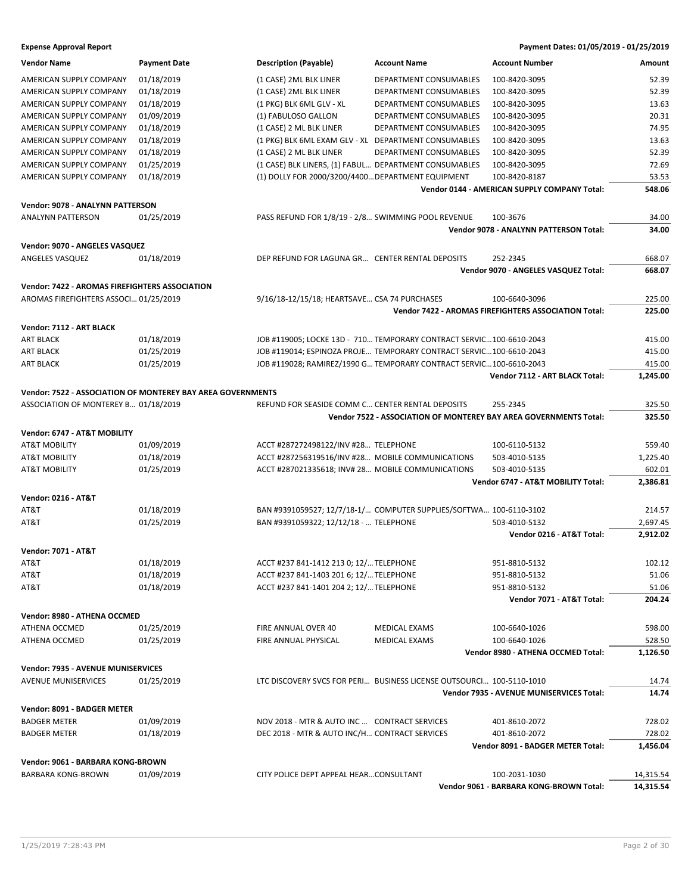| <b>Vendor Name</b>                             | <b>Payment Date</b>                                         | <b>Description (Payable)</b>                          | <b>Account Name</b>                                                  | <b>Account Number</b>                                             | Amount    |
|------------------------------------------------|-------------------------------------------------------------|-------------------------------------------------------|----------------------------------------------------------------------|-------------------------------------------------------------------|-----------|
| AMERICAN SUPPLY COMPANY                        | 01/18/2019                                                  | (1 CASE) 2ML BLK LINER                                | DEPARTMENT CONSUMABLES                                               | 100-8420-3095                                                     | 52.39     |
| AMERICAN SUPPLY COMPANY                        | 01/18/2019                                                  | (1 CASE) 2ML BLK LINER                                | DEPARTMENT CONSUMABLES                                               | 100-8420-3095                                                     | 52.39     |
| AMERICAN SUPPLY COMPANY                        | 01/18/2019                                                  | (1 PKG) BLK 6ML GLV - XL                              | DEPARTMENT CONSUMABLES                                               | 100-8420-3095                                                     | 13.63     |
| AMERICAN SUPPLY COMPANY                        | 01/09/2019                                                  | (1) FABULOSO GALLON                                   | DEPARTMENT CONSUMABLES                                               | 100-8420-3095                                                     | 20.31     |
| AMERICAN SUPPLY COMPANY                        | 01/18/2019                                                  | (1 CASE) 2 ML BLK LINER                               | DEPARTMENT CONSUMABLES                                               | 100-8420-3095                                                     | 74.95     |
| AMERICAN SUPPLY COMPANY                        | 01/18/2019                                                  | (1 PKG) BLK 6ML EXAM GLV - XL DEPARTMENT CONSUMABLES  |                                                                      | 100-8420-3095                                                     | 13.63     |
| AMERICAN SUPPLY COMPANY                        | 01/18/2019                                                  | (1 CASE) 2 ML BLK LINER                               | DEPARTMENT CONSUMABLES                                               | 100-8420-3095                                                     | 52.39     |
| AMERICAN SUPPLY COMPANY                        | 01/25/2019                                                  | (1 CASE) BLK LINERS, (1) FABUL DEPARTMENT CONSUMABLES |                                                                      | 100-8420-3095                                                     | 72.69     |
| <b>AMERICAN SUPPLY COMPANY</b>                 |                                                             | (1) DOLLY FOR 2000/3200/4400 DEPARTMENT EQUIPMENT     |                                                                      | 100-8420-8187                                                     |           |
|                                                | 01/18/2019                                                  |                                                       |                                                                      | Vendor 0144 - AMERICAN SUPPLY COMPANY Total:                      | 53.53     |
|                                                |                                                             |                                                       |                                                                      |                                                                   | 548.06    |
| Vendor: 9078 - ANALYNN PATTERSON               |                                                             |                                                       |                                                                      |                                                                   |           |
| <b>ANALYNN PATTERSON</b>                       | 01/25/2019                                                  | PASS REFUND FOR 1/8/19 - 2/8 SWIMMING POOL REVENUE    |                                                                      | 100-3676                                                          | 34.00     |
|                                                |                                                             |                                                       |                                                                      | Vendor 9078 - ANALYNN PATTERSON Total:                            | 34.00     |
| Vendor: 9070 - ANGELES VASQUEZ                 |                                                             |                                                       |                                                                      |                                                                   |           |
| ANGELES VASQUEZ                                | 01/18/2019                                                  | DEP REFUND FOR LAGUNA GR CENTER RENTAL DEPOSITS       |                                                                      | 252-2345                                                          | 668.07    |
|                                                |                                                             |                                                       |                                                                      | Vendor 9070 - ANGELES VASQUEZ Total:                              | 668.07    |
|                                                |                                                             |                                                       |                                                                      |                                                                   |           |
| Vendor: 7422 - AROMAS FIREFIGHTERS ASSOCIATION |                                                             |                                                       |                                                                      |                                                                   |           |
| AROMAS FIREFIGHTERS ASSOCI 01/25/2019          |                                                             | 9/16/18-12/15/18; HEARTSAVE CSA 74 PURCHASES          |                                                                      | 100-6640-3096                                                     | 225.00    |
|                                                |                                                             |                                                       |                                                                      | <b>Vendor 7422 - AROMAS FIREFIGHTERS ASSOCIATION Total:</b>       | 225.00    |
| Vendor: 7112 - ART BLACK                       |                                                             |                                                       |                                                                      |                                                                   |           |
| <b>ART BLACK</b>                               | 01/18/2019                                                  |                                                       | JOB #119005; LOCKE 13D - 710 TEMPORARY CONTRACT SERVIC 100-6610-2043 |                                                                   | 415.00    |
| <b>ART BLACK</b>                               | 01/25/2019                                                  |                                                       | JOB #119014; ESPINOZA PROJE TEMPORARY CONTRACT SERVIC 100-6610-2043  |                                                                   | 415.00    |
| <b>ART BLACK</b>                               | 01/25/2019                                                  |                                                       | JOB #119028; RAMIREZ/1990 G TEMPORARY CONTRACT SERVIC100-6610-2043   |                                                                   | 415.00    |
|                                                |                                                             |                                                       |                                                                      | Vendor 7112 - ART BLACK Total:                                    | 1,245.00  |
|                                                |                                                             |                                                       |                                                                      |                                                                   |           |
|                                                | Vendor: 7522 - ASSOCIATION OF MONTEREY BAY AREA GOVERNMENTS |                                                       |                                                                      |                                                                   |           |
| ASSOCIATION OF MONTEREY B 01/18/2019           |                                                             | REFUND FOR SEASIDE COMM C CENTER RENTAL DEPOSITS      |                                                                      | 255-2345                                                          | 325.50    |
|                                                |                                                             |                                                       |                                                                      | Vendor 7522 - ASSOCIATION OF MONTEREY BAY AREA GOVERNMENTS Total: | 325.50    |
| Vendor: 6747 - AT&T MOBILITY                   |                                                             |                                                       |                                                                      |                                                                   |           |
| <b>AT&amp;T MOBILITY</b>                       | 01/09/2019                                                  | ACCT #287272498122/INV #28 TELEPHONE                  |                                                                      | 100-6110-5132                                                     | 559.40    |
| AT&T MOBILITY                                  | 01/18/2019                                                  | ACCT #287256319516/INV #28 MOBILE COMMUNICATIONS      |                                                                      | 503-4010-5135                                                     | 1,225.40  |
| <b>AT&amp;T MOBILITY</b>                       | 01/25/2019                                                  | ACCT #287021335618; INV# 28 MOBILE COMMUNICATIONS     |                                                                      | 503-4010-5135                                                     | 602.01    |
|                                                |                                                             |                                                       |                                                                      | Vendor 6747 - AT&T MOBILITY Total:                                | 2,386.81  |
|                                                |                                                             |                                                       |                                                                      |                                                                   |           |
| <b>Vendor: 0216 - AT&amp;T</b>                 |                                                             |                                                       |                                                                      |                                                                   |           |
| AT&T                                           | 01/18/2019                                                  |                                                       | BAN #9391059527; 12/7/18-1/ COMPUTER SUPPLIES/SOFTWA 100-6110-3102   |                                                                   | 214.57    |
| AT&T                                           | 01/25/2019                                                  | BAN #9391059322; 12/12/18 -  TELEPHONE                |                                                                      | 503-4010-5132                                                     | 2,697.45  |
|                                                |                                                             |                                                       |                                                                      | Vendor 0216 - AT&T Total:                                         | 2,912.02  |
| <b>Vendor: 7071 - AT&amp;T</b>                 |                                                             |                                                       |                                                                      |                                                                   |           |
| AT&T                                           | 01/18/2019                                                  | ACCT #237 841-1412 213 0; 12/ TELEPHONE               |                                                                      | 951-8810-5132                                                     | 102.12    |
| AT&T                                           | 01/18/2019                                                  | ACCT #237 841-1403 201 6; 12/ TELEPHONE               |                                                                      | 951-8810-5132                                                     | 51.06     |
| AT&T                                           | 01/18/2019                                                  | ACCT #237 841-1401 204 2; 12/ TELEPHONE               |                                                                      | 951-8810-5132                                                     | 51.06     |
|                                                |                                                             |                                                       |                                                                      | Vendor 7071 - AT&T Total:                                         | 204.24    |
|                                                |                                                             |                                                       |                                                                      |                                                                   |           |
| Vendor: 8980 - ATHENA OCCMED                   |                                                             |                                                       |                                                                      |                                                                   |           |
| ATHENA OCCMED                                  | 01/25/2019                                                  | FIRE ANNUAL OVER 40                                   | <b>MEDICAL EXAMS</b>                                                 | 100-6640-1026                                                     | 598.00    |
| ATHENA OCCMED                                  | 01/25/2019                                                  | <b>FIRE ANNUAL PHYSICAL</b>                           | <b>MEDICAL EXAMS</b>                                                 | 100-6640-1026                                                     | 528.50    |
|                                                |                                                             |                                                       |                                                                      | Vendor 8980 - ATHENA OCCMED Total:                                | 1,126.50  |
| Vendor: 7935 - AVENUE MUNISERVICES             |                                                             |                                                       |                                                                      |                                                                   |           |
| <b>AVENUE MUNISERVICES</b>                     | 01/25/2019                                                  |                                                       | LTC DISCOVERY SVCS FOR PERI BUSINESS LICENSE OUTSOURCI 100-5110-1010 |                                                                   | 14.74     |
|                                                |                                                             |                                                       |                                                                      | <b>Vendor 7935 - AVENUE MUNISERVICES Total:</b>                   | 14.74     |
|                                                |                                                             |                                                       |                                                                      |                                                                   |           |
| Vendor: 8091 - BADGER METER                    |                                                             |                                                       |                                                                      |                                                                   |           |
| <b>BADGER METER</b>                            | 01/09/2019                                                  | NOV 2018 - MTR & AUTO INC  CONTRACT SERVICES          |                                                                      | 401-8610-2072                                                     | 728.02    |
| <b>BADGER METER</b>                            | 01/18/2019                                                  | DEC 2018 - MTR & AUTO INC/H CONTRACT SERVICES         |                                                                      | 401-8610-2072                                                     | 728.02    |
|                                                |                                                             |                                                       |                                                                      | Vendor 8091 - BADGER METER Total:                                 | 1,456.04  |
| Vendor: 9061 - BARBARA KONG-BROWN              |                                                             |                                                       |                                                                      |                                                                   |           |
| <b>BARBARA KONG-BROWN</b>                      | 01/09/2019                                                  | CITY POLICE DEPT APPEAL HEARCONSULTANT                |                                                                      | 100-2031-1030                                                     | 14,315.54 |
|                                                |                                                             |                                                       |                                                                      | Vendor 9061 - BARBARA KONG-BROWN Total:                           | 14,315.54 |
|                                                |                                                             |                                                       |                                                                      |                                                                   |           |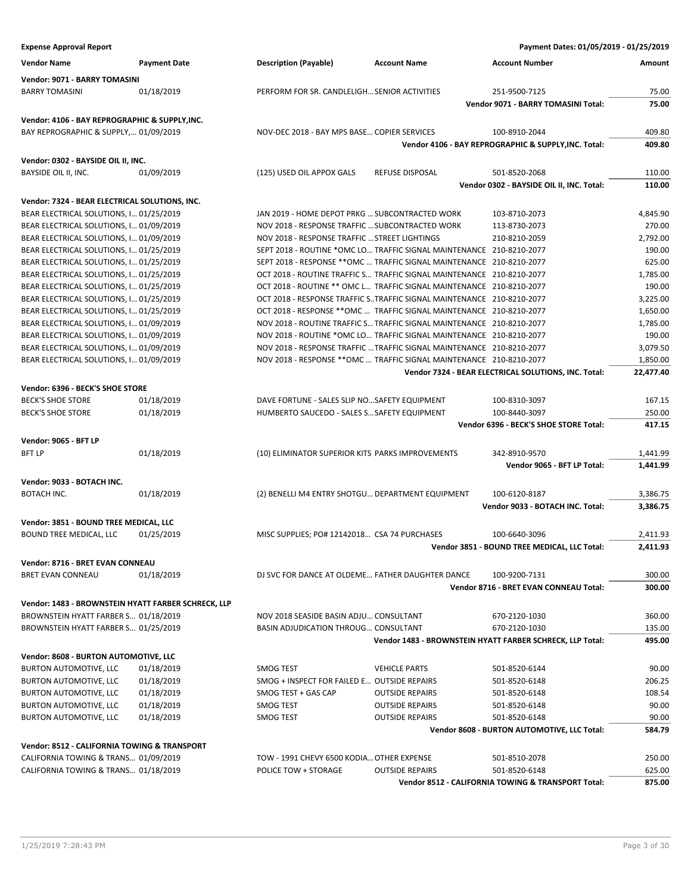| <b>Expense Approval Report</b>                      |                     |                                                  |                                                                       | Payment Dates: 01/05/2019 - 01/25/2019                    |                  |
|-----------------------------------------------------|---------------------|--------------------------------------------------|-----------------------------------------------------------------------|-----------------------------------------------------------|------------------|
| <b>Vendor Name</b>                                  | <b>Payment Date</b> | <b>Description (Payable)</b>                     | <b>Account Name</b>                                                   | <b>Account Number</b>                                     | Amount           |
| Vendor: 9071 - BARRY TOMASINI                       |                     |                                                  |                                                                       |                                                           |                  |
| <b>BARRY TOMASINI</b>                               | 01/18/2019          | PERFORM FOR SR. CANDLELIGH SENIOR ACTIVITIES     |                                                                       | 251-9500-7125                                             | 75.00            |
|                                                     |                     |                                                  |                                                                       | Vendor 9071 - BARRY TOMASINI Total:                       | 75.00            |
|                                                     |                     |                                                  |                                                                       |                                                           |                  |
| Vendor: 4106 - BAY REPROGRAPHIC & SUPPLY, INC.      |                     |                                                  |                                                                       |                                                           |                  |
| BAY REPROGRAPHIC & SUPPLY, 01/09/2019               |                     | NOV-DEC 2018 - BAY MPS BASE COPIER SERVICES      |                                                                       | 100-8910-2044                                             | 409.80           |
|                                                     |                     |                                                  |                                                                       | Vendor 4106 - BAY REPROGRAPHIC & SUPPLY, INC. Total:      | 409.80           |
| Vendor: 0302 - BAYSIDE OIL II, INC.                 |                     |                                                  |                                                                       |                                                           |                  |
| BAYSIDE OIL II, INC.                                | 01/09/2019          | (125) USED OIL APPOX GALS                        | <b>REFUSE DISPOSAL</b>                                                | 501-8520-2068                                             | 110.00           |
|                                                     |                     |                                                  |                                                                       | Vendor 0302 - BAYSIDE OIL II, INC. Total:                 | 110.00           |
| Vendor: 7324 - BEAR ELECTRICAL SOLUTIONS, INC.      |                     |                                                  |                                                                       |                                                           |                  |
| BEAR ELECTRICAL SOLUTIONS, I 01/25/2019             |                     | JAN 2019 - HOME DEPOT PRKG  SUBCONTRACTED WORK   |                                                                       | 103-8710-2073                                             | 4,845.90         |
| BEAR ELECTRICAL SOLUTIONS, I 01/09/2019             |                     | NOV 2018 - RESPONSE TRAFFIC  SUBCONTRACTED WORK  |                                                                       | 113-8730-2073                                             | 270.00           |
| BEAR ELECTRICAL SOLUTIONS, I 01/09/2019             |                     | NOV 2018 - RESPONSE TRAFFIC  STREET LIGHTINGS    |                                                                       | 210-8210-2059                                             | 2,792.00         |
| BEAR ELECTRICAL SOLUTIONS, I 01/25/2019             |                     |                                                  | SEPT 2018 - ROUTINE *OMC LO TRAFFIC SIGNAL MAINTENANCE 210-8210-2077  |                                                           | 190.00           |
| BEAR ELECTRICAL SOLUTIONS, I 01/25/2019             |                     |                                                  | SEPT 2018 - RESPONSE ** OMC  TRAFFIC SIGNAL MAINTENANCE 210-8210-2077 |                                                           | 625.00           |
| BEAR ELECTRICAL SOLUTIONS, I 01/25/2019             |                     |                                                  | OCT 2018 - ROUTINE TRAFFIC S TRAFFIC SIGNAL MAINTENANCE 210-8210-2077 |                                                           | 1,785.00         |
| BEAR ELECTRICAL SOLUTIONS, I 01/25/2019             |                     |                                                  | OCT 2018 - ROUTINE ** OMC L TRAFFIC SIGNAL MAINTENANCE 210-8210-2077  |                                                           | 190.00           |
| BEAR ELECTRICAL SOLUTIONS, I 01/25/2019             |                     |                                                  | OCT 2018 - RESPONSE TRAFFIC STRAFFIC SIGNAL MAINTENANCE 210-8210-2077 |                                                           | 3,225.00         |
| BEAR ELECTRICAL SOLUTIONS, I 01/25/2019             |                     |                                                  | OCT 2018 - RESPONSE ** OMC  TRAFFIC SIGNAL MAINTENANCE 210-8210-2077  |                                                           | 1,650.00         |
| BEAR ELECTRICAL SOLUTIONS, I 01/09/2019             |                     |                                                  | NOV 2018 - ROUTINE TRAFFIC S TRAFFIC SIGNAL MAINTENANCE 210-8210-2077 |                                                           | 1,785.00         |
| BEAR ELECTRICAL SOLUTIONS, I 01/09/2019             |                     |                                                  | NOV 2018 - ROUTINE *OMC LO TRAFFIC SIGNAL MAINTENANCE 210-8210-2077   |                                                           | 190.00           |
| BEAR ELECTRICAL SOLUTIONS, I 01/09/2019             |                     |                                                  | NOV 2018 - RESPONSE TRAFFIC  TRAFFIC SIGNAL MAINTENANCE 210-8210-2077 |                                                           | 3,079.50         |
| BEAR ELECTRICAL SOLUTIONS, I 01/09/2019             |                     |                                                  | NOV 2018 - RESPONSE ** OMC  TRAFFIC SIGNAL MAINTENANCE 210-8210-2077  |                                                           | 1,850.00         |
|                                                     |                     |                                                  |                                                                       | Vendor 7324 - BEAR ELECTRICAL SOLUTIONS, INC. Total:      | 22,477.40        |
| Vendor: 6396 - BECK'S SHOE STORE                    |                     |                                                  |                                                                       |                                                           |                  |
| <b>BECK'S SHOE STORE</b>                            | 01/18/2019          | DAVE FORTUNE - SALES SLIP NOSAFETY EQUIPMENT     |                                                                       |                                                           | 167.15           |
| <b>BECK'S SHOE STORE</b>                            | 01/18/2019          | HUMBERTO SAUCEDO - SALES S SAFETY EQUIPMENT      |                                                                       | 100-8310-3097<br>100-8440-3097                            | 250.00           |
|                                                     |                     |                                                  |                                                                       | Vendor 6396 - BECK'S SHOE STORE Total:                    | 417.15           |
|                                                     |                     |                                                  |                                                                       |                                                           |                  |
| <b>Vendor: 9065 - BFT LP</b>                        |                     |                                                  |                                                                       |                                                           |                  |
| <b>BFT LP</b>                                       | 01/18/2019          | (10) ELIMINATOR SUPERIOR KITS PARKS IMPROVEMENTS |                                                                       | 342-8910-9570                                             | 1,441.99         |
|                                                     |                     |                                                  |                                                                       | Vendor 9065 - BFT LP Total:                               | 1,441.99         |
| Vendor: 9033 - BOTACH INC.                          |                     |                                                  |                                                                       |                                                           |                  |
| <b>BOTACH INC.</b>                                  | 01/18/2019          | (2) BENELLI M4 ENTRY SHOTGU DEPARTMENT EQUIPMENT |                                                                       | 100-6120-8187                                             | 3,386.75         |
|                                                     |                     |                                                  |                                                                       | Vendor 9033 - BOTACH INC. Total:                          | 3,386.75         |
| Vendor: 3851 - BOUND TREE MEDICAL, LLC              |                     |                                                  |                                                                       |                                                           |                  |
| BOUND TREE MEDICAL, LLC                             | 01/25/2019          | MISC SUPPLIES; PO# 12142018 CSA 74 PURCHASES     |                                                                       | 100-6640-3096                                             | 2,411.93         |
|                                                     |                     |                                                  |                                                                       | Vendor 3851 - BOUND TREE MEDICAL, LLC Total:              | 2,411.93         |
|                                                     |                     |                                                  |                                                                       |                                                           |                  |
| Vendor: 8716 - BRET EVAN CONNEAU                    |                     |                                                  |                                                                       |                                                           |                  |
| <b>BRET EVAN CONNEAU</b>                            | 01/18/2019          | DJ SVC FOR DANCE AT OLDEME FATHER DAUGHTER DANCE |                                                                       | 100-9200-7131<br>Vendor 8716 - BRET EVAN CONNEAU Total:   | 300.00<br>300.00 |
|                                                     |                     |                                                  |                                                                       |                                                           |                  |
| Vendor: 1483 - BROWNSTEIN HYATT FARBER SCHRECK, LLP |                     |                                                  |                                                                       |                                                           |                  |
| BROWNSTEIN HYATT FARBER S 01/18/2019                |                     | NOV 2018 SEASIDE BASIN ADJU CONSULTANT           |                                                                       | 670-2120-1030                                             | 360.00           |
| BROWNSTEIN HYATT FARBER S 01/25/2019                |                     | BASIN ADJUDICATION THROUG CONSULTANT             |                                                                       | 670-2120-1030                                             | 135.00           |
|                                                     |                     |                                                  |                                                                       | Vendor 1483 - BROWNSTEIN HYATT FARBER SCHRECK, LLP Total: | 495.00           |
| Vendor: 8608 - BURTON AUTOMOTIVE, LLC               |                     |                                                  |                                                                       |                                                           |                  |
| <b>BURTON AUTOMOTIVE, LLC</b>                       | 01/18/2019          | SMOG TEST                                        | <b>VEHICLE PARTS</b>                                                  | 501-8520-6144                                             | 90.00            |
| <b>BURTON AUTOMOTIVE, LLC</b>                       | 01/18/2019          | SMOG + INSPECT FOR FAILED E OUTSIDE REPAIRS      |                                                                       | 501-8520-6148                                             | 206.25           |
| <b>BURTON AUTOMOTIVE, LLC</b>                       | 01/18/2019          | SMOG TEST + GAS CAP                              | <b>OUTSIDE REPAIRS</b>                                                | 501-8520-6148                                             | 108.54           |
| BURTON AUTOMOTIVE, LLC                              | 01/18/2019          | SMOG TEST                                        | <b>OUTSIDE REPAIRS</b>                                                | 501-8520-6148                                             | 90.00            |
| BURTON AUTOMOTIVE, LLC                              | 01/18/2019          | SMOG TEST                                        | <b>OUTSIDE REPAIRS</b>                                                | 501-8520-6148                                             | 90.00            |
|                                                     |                     |                                                  |                                                                       | Vendor 8608 - BURTON AUTOMOTIVE, LLC Total:               | 584.79           |
| Vendor: 8512 - CALIFORNIA TOWING & TRANSPORT        |                     |                                                  |                                                                       |                                                           |                  |
| CALIFORNIA TOWING & TRANS 01/09/2019                |                     | TOW - 1991 CHEVY 6500 KODIA OTHER EXPENSE        |                                                                       | 501-8510-2078                                             | 250.00           |
| CALIFORNIA TOWING & TRANS 01/18/2019                |                     | POLICE TOW + STORAGE                             | <b>OUTSIDE REPAIRS</b>                                                | 501-8520-6148                                             | 625.00           |
|                                                     |                     |                                                  |                                                                       | Vendor 8512 - CALIFORNIA TOWING & TRANSPORT Total:        | 875.00           |
|                                                     |                     |                                                  |                                                                       |                                                           |                  |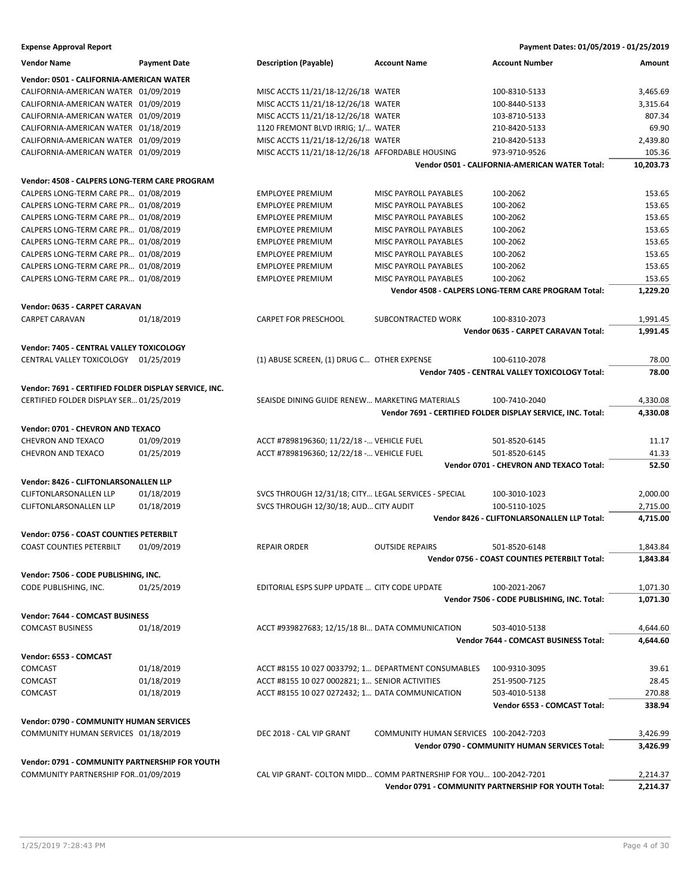| <b>Vendor Name</b>                                    | <b>Payment Date</b> | <b>Description (Payable)</b>                                      | <b>Account Name</b>                    | <b>Account Number</b>                                       | Amount    |
|-------------------------------------------------------|---------------------|-------------------------------------------------------------------|----------------------------------------|-------------------------------------------------------------|-----------|
| Vendor: 0501 - CALIFORNIA-AMERICAN WATER              |                     |                                                                   |                                        |                                                             |           |
| CALIFORNIA-AMERICAN WATER 01/09/2019                  |                     | MISC ACCTS 11/21/18-12/26/18 WATER                                |                                        | 100-8310-5133                                               | 3,465.69  |
| CALIFORNIA-AMERICAN WATER 01/09/2019                  |                     | MISC ACCTS 11/21/18-12/26/18 WATER                                |                                        | 100-8440-5133                                               | 3,315.64  |
| CALIFORNIA-AMERICAN WATER 01/09/2019                  |                     | MISC ACCTS 11/21/18-12/26/18 WATER                                |                                        | 103-8710-5133                                               | 807.34    |
| CALIFORNIA-AMERICAN WATER 01/18/2019                  |                     | 1120 FREMONT BLVD IRRIG; 1/ WATER                                 |                                        | 210-8420-5133                                               | 69.90     |
| CALIFORNIA-AMERICAN WATER 01/09/2019                  |                     | MISC ACCTS 11/21/18-12/26/18 WATER                                |                                        | 210-8420-5133                                               | 2,439.80  |
| CALIFORNIA-AMERICAN WATER 01/09/2019                  |                     | MISC ACCTS 11/21/18-12/26/18 AFFORDABLE HOUSING                   |                                        | 973-9710-9526                                               | 105.36    |
|                                                       |                     |                                                                   |                                        | Vendor 0501 - CALIFORNIA-AMERICAN WATER Total:              | 10,203.73 |
|                                                       |                     |                                                                   |                                        |                                                             |           |
| Vendor: 4508 - CALPERS LONG-TERM CARE PROGRAM         |                     |                                                                   |                                        |                                                             |           |
| CALPERS LONG-TERM CARE PR 01/08/2019                  |                     | <b>EMPLOYEE PREMIUM</b>                                           | <b>MISC PAYROLL PAYABLES</b>           | 100-2062                                                    | 153.65    |
| CALPERS LONG-TERM CARE PR 01/08/2019                  |                     | <b>EMPLOYEE PREMIUM</b>                                           | MISC PAYROLL PAYABLES                  | 100-2062                                                    | 153.65    |
| CALPERS LONG-TERM CARE PR 01/08/2019                  |                     | <b>EMPLOYEE PREMIUM</b>                                           | <b>MISC PAYROLL PAYABLES</b>           | 100-2062                                                    | 153.65    |
| CALPERS LONG-TERM CARE PR 01/08/2019                  |                     | <b>EMPLOYEE PREMIUM</b>                                           | MISC PAYROLL PAYABLES                  | 100-2062                                                    | 153.65    |
| CALPERS LONG-TERM CARE PR 01/08/2019                  |                     | <b>EMPLOYEE PREMIUM</b>                                           | MISC PAYROLL PAYABLES                  | 100-2062                                                    | 153.65    |
| CALPERS LONG-TERM CARE PR 01/08/2019                  |                     | <b>EMPLOYEE PREMIUM</b>                                           | MISC PAYROLL PAYABLES                  | 100-2062                                                    | 153.65    |
| CALPERS LONG-TERM CARE PR 01/08/2019                  |                     | <b>EMPLOYEE PREMIUM</b>                                           | MISC PAYROLL PAYABLES                  | 100-2062                                                    | 153.65    |
| CALPERS LONG-TERM CARE PR 01/08/2019                  |                     | <b>EMPLOYEE PREMIUM</b>                                           | MISC PAYROLL PAYABLES                  | 100-2062                                                    | 153.65    |
|                                                       |                     |                                                                   |                                        | Vendor 4508 - CALPERS LONG-TERM CARE PROGRAM Total:         | 1,229.20  |
| Vendor: 0635 - CARPET CARAVAN                         |                     |                                                                   |                                        |                                                             |           |
| <b>CARPET CARAVAN</b>                                 | 01/18/2019          | <b>CARPET FOR PRESCHOOL</b>                                       | SUBCONTRACTED WORK                     | 100-8310-2073                                               | 1,991.45  |
|                                                       |                     |                                                                   |                                        | Vendor 0635 - CARPET CARAVAN Total:                         | 1,991.45  |
|                                                       |                     |                                                                   |                                        |                                                             |           |
| Vendor: 7405 - CENTRAL VALLEY TOXICOLOGY              |                     |                                                                   |                                        |                                                             |           |
| CENTRAL VALLEY TOXICOLOGY 01/25/2019                  |                     | (1) ABUSE SCREEN, (1) DRUG C OTHER EXPENSE                        |                                        | 100-6110-2078                                               | 78.00     |
|                                                       |                     |                                                                   |                                        | Vendor 7405 - CENTRAL VALLEY TOXICOLOGY Total:              | 78.00     |
| Vendor: 7691 - CERTIFIED FOLDER DISPLAY SERVICE, INC. |                     |                                                                   |                                        |                                                             |           |
| CERTIFIED FOLDER DISPLAY SER 01/25/2019               |                     | SEAISDE DINING GUIDE RENEW MARKETING MATERIALS                    |                                        | 100-7410-2040                                               | 4,330.08  |
|                                                       |                     |                                                                   |                                        | Vendor 7691 - CERTIFIED FOLDER DISPLAY SERVICE, INC. Total: | 4,330.08  |
|                                                       |                     |                                                                   |                                        |                                                             |           |
| Vendor: 0701 - CHEVRON AND TEXACO                     |                     |                                                                   |                                        |                                                             |           |
| <b>CHEVRON AND TEXACO</b>                             | 01/09/2019          | ACCT #7898196360; 11/22/18 - VEHICLE FUEL                         |                                        | 501-8520-6145                                               | 11.17     |
| <b>CHEVRON AND TEXACO</b>                             | 01/25/2019          | ACCT #7898196360; 12/22/18 - VEHICLE FUEL                         |                                        | 501-8520-6145                                               | 41.33     |
|                                                       |                     |                                                                   |                                        | Vendor 0701 - CHEVRON AND TEXACO Total:                     | 52.50     |
| Vendor: 8426 - CLIFTONLARSONALLEN LLP                 |                     |                                                                   |                                        |                                                             |           |
| <b>CLIFTONLARSONALLEN LLP</b>                         | 01/18/2019          | SVCS THROUGH 12/31/18; CITY LEGAL SERVICES - SPECIAL              |                                        | 100-3010-1023                                               | 2,000.00  |
| <b>CLIFTONLARSONALLEN LLP</b>                         | 01/18/2019          | SVCS THROUGH 12/30/18; AUD CITY AUDIT                             |                                        | 100-5110-1025                                               | 2,715.00  |
|                                                       |                     |                                                                   |                                        | Vendor 8426 - CLIFTONLARSONALLEN LLP Total:                 | 4,715.00  |
| Vendor: 0756 - COAST COUNTIES PETERBILT               |                     |                                                                   |                                        |                                                             |           |
| <b>COAST COUNTIES PETERBILT</b>                       | 01/09/2019          | <b>REPAIR ORDER</b>                                               | <b>OUTSIDE REPAIRS</b>                 | 501-8520-6148                                               | 1,843.84  |
|                                                       |                     |                                                                   |                                        | Vendor 0756 - COAST COUNTIES PETERBILT Total:               | 1,843.84  |
|                                                       |                     |                                                                   |                                        |                                                             |           |
| Vendor: 7506 - CODE PUBLISHING, INC.                  |                     |                                                                   |                                        |                                                             |           |
| CODE PUBLISHING, INC.                                 | 01/25/2019          | EDITORIAL ESPS SUPP UPDATE  CITY CODE UPDATE                      |                                        | 100-2021-2067                                               | 1,071.30  |
|                                                       |                     |                                                                   |                                        | Vendor 7506 - CODE PUBLISHING, INC. Total:                  | 1,071.30  |
| Vendor: 7644 - COMCAST BUSINESS                       |                     |                                                                   |                                        |                                                             |           |
| <b>COMCAST BUSINESS</b>                               | 01/18/2019          | ACCT #939827683; 12/15/18 BI DATA COMMUNICATION                   |                                        | 503-4010-5138                                               | 4,644.60  |
|                                                       |                     |                                                                   |                                        | Vendor 7644 - COMCAST BUSINESS Total:                       | 4,644.60  |
|                                                       |                     |                                                                   |                                        |                                                             |           |
| Vendor: 6553 - COMCAST                                |                     |                                                                   |                                        |                                                             |           |
| <b>COMCAST</b>                                        | 01/18/2019          | ACCT #8155 10 027 0033792; 1 DEPARTMENT CONSUMABLES               |                                        | 100-9310-3095                                               | 39.61     |
| COMCAST                                               | 01/18/2019          | ACCT #8155 10 027 0002821; 1 SENIOR ACTIVITIES                    |                                        | 251-9500-7125                                               | 28.45     |
| COMCAST                                               | 01/18/2019          | ACCT #8155 10 027 0272432; 1 DATA COMMUNICATION                   |                                        | 503-4010-5138                                               | 270.88    |
|                                                       |                     |                                                                   |                                        | Vendor 6553 - COMCAST Total:                                | 338.94    |
| Vendor: 0790 - COMMUNITY HUMAN SERVICES               |                     |                                                                   |                                        |                                                             |           |
| COMMUNITY HUMAN SERVICES 01/18/2019                   |                     | DEC 2018 - CAL VIP GRANT                                          | COMMUNITY HUMAN SERVICES 100-2042-7203 |                                                             | 3,426.99  |
|                                                       |                     |                                                                   |                                        | Vendor 0790 - COMMUNITY HUMAN SERVICES Total:               | 3,426.99  |
| Vendor: 0791 - COMMUNITY PARTNERSHIP FOR YOUTH        |                     |                                                                   |                                        |                                                             |           |
| COMMUNITY PARTNERSHIP FOR01/09/2019                   |                     | CAL VIP GRANT- COLTON MIDD COMM PARTNERSHIP FOR YOU 100-2042-7201 |                                        |                                                             | 2,214.37  |
|                                                       |                     |                                                                   |                                        | Vendor 0791 - COMMUNITY PARTNERSHIP FOR YOUTH Total:        | 2,214.37  |
|                                                       |                     |                                                                   |                                        |                                                             |           |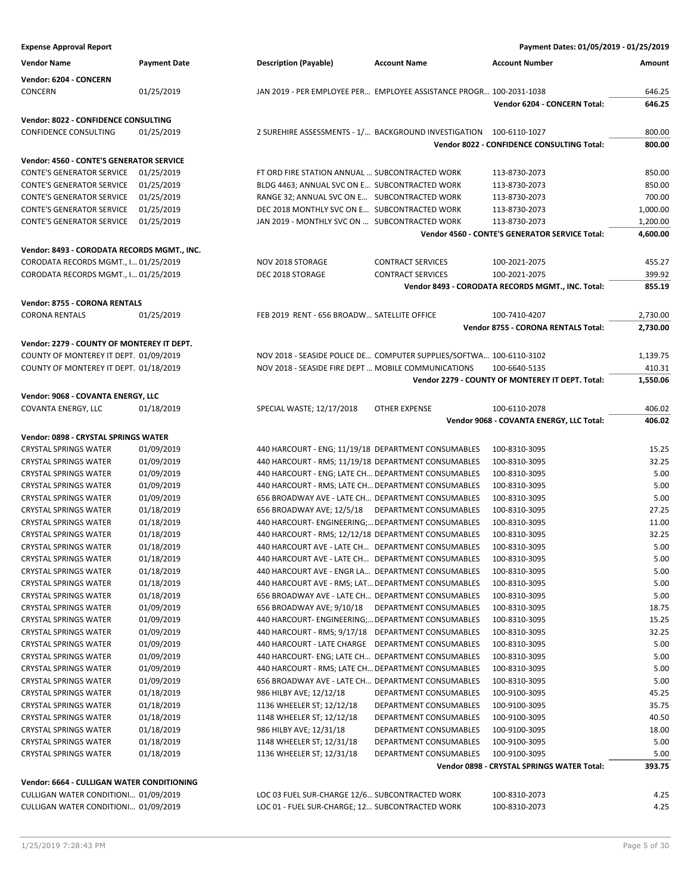| <b>Expense Approval Report</b>                                                      |                     |                                                     |                                                                     | Payment Dates: 01/05/2019 - 01/25/2019            |          |  |
|-------------------------------------------------------------------------------------|---------------------|-----------------------------------------------------|---------------------------------------------------------------------|---------------------------------------------------|----------|--|
| <b>Vendor Name</b>                                                                  | <b>Payment Date</b> | <b>Description (Payable)</b>                        | <b>Account Name</b>                                                 | <b>Account Number</b>                             | Amount   |  |
| Vendor: 6204 - CONCERN                                                              |                     |                                                     |                                                                     |                                                   |          |  |
| CONCERN                                                                             | 01/25/2019          |                                                     | JAN 2019 - PER EMPLOYEE PER EMPLOYEE ASSISTANCE PROGR 100-2031-1038 |                                                   | 646.25   |  |
|                                                                                     |                     |                                                     |                                                                     | Vendor 6204 - CONCERN Total:                      | 646.25   |  |
| Vendor: 8022 - CONFIDENCE CONSULTING                                                |                     |                                                     |                                                                     |                                                   |          |  |
| CONFIDENCE CONSULTING                                                               | 01/25/2019          |                                                     | 2 SUREHIRE ASSESSMENTS - 1/ BACKGROUND INVESTIGATION 100-6110-1027  |                                                   | 800.00   |  |
|                                                                                     |                     |                                                     |                                                                     | Vendor 8022 - CONFIDENCE CONSULTING Total:        | 800.00   |  |
| Vendor: 4560 - CONTE'S GENERATOR SERVICE                                            |                     |                                                     |                                                                     |                                                   |          |  |
| <b>CONTE'S GENERATOR SERVICE</b>                                                    | 01/25/2019          | FT ORD FIRE STATION ANNUAL  SUBCONTRACTED WORK      |                                                                     | 113-8730-2073                                     | 850.00   |  |
| <b>CONTE'S GENERATOR SERVICE</b>                                                    | 01/25/2019          | BLDG 4463; ANNUAL SVC ON E SUBCONTRACTED WORK       |                                                                     | 113-8730-2073                                     | 850.00   |  |
| <b>CONTE'S GENERATOR SERVICE</b>                                                    | 01/25/2019          | RANGE 32; ANNUAL SVC ON E SUBCONTRACTED WORK        |                                                                     | 113-8730-2073                                     | 700.00   |  |
| <b>CONTE'S GENERATOR SERVICE</b>                                                    | 01/25/2019          | DEC 2018 MONTHLY SVC ON E SUBCONTRACTED WORK        |                                                                     | 113-8730-2073                                     | 1,000.00 |  |
| <b>CONTE'S GENERATOR SERVICE</b>                                                    | 01/25/2019          | JAN 2019 - MONTHLY SVC ON  SUBCONTRACTED WORK       |                                                                     | 113-8730-2073                                     | 1,200.00 |  |
|                                                                                     |                     |                                                     |                                                                     | Vendor 4560 - CONTE'S GENERATOR SERVICE Total:    | 4,600.00 |  |
|                                                                                     |                     |                                                     |                                                                     |                                                   |          |  |
| Vendor: 8493 - CORODATA RECORDS MGMT., INC.<br>CORODATA RECORDS MGMT., I 01/25/2019 |                     | NOV 2018 STORAGE                                    | <b>CONTRACT SERVICES</b>                                            | 100-2021-2075                                     | 455.27   |  |
| CORODATA RECORDS MGMT., I 01/25/2019                                                |                     | DEC 2018 STORAGE                                    | <b>CONTRACT SERVICES</b>                                            | 100-2021-2075                                     | 399.92   |  |
|                                                                                     |                     |                                                     |                                                                     | Vendor 8493 - CORODATA RECORDS MGMT., INC. Total: | 855.19   |  |
|                                                                                     |                     |                                                     |                                                                     |                                                   |          |  |
| <b>Vendor: 8755 - CORONA RENTALS</b>                                                |                     |                                                     |                                                                     |                                                   |          |  |
| <b>CORONA RENTALS</b>                                                               | 01/25/2019          | FEB 2019 RENT - 656 BROADW SATELLITE OFFICE         |                                                                     | 100-7410-4207                                     | 2,730.00 |  |
|                                                                                     |                     |                                                     |                                                                     | Vendor 8755 - CORONA RENTALS Total:               | 2,730.00 |  |
| Vendor: 2279 - COUNTY OF MONTEREY IT DEPT.                                          |                     |                                                     |                                                                     |                                                   |          |  |
| COUNTY OF MONTEREY IT DEPT. 01/09/2019                                              |                     |                                                     | NOV 2018 - SEASIDE POLICE DE COMPUTER SUPPLIES/SOFTWA 100-6110-3102 |                                                   | 1,139.75 |  |
| COUNTY OF MONTEREY IT DEPT. 01/18/2019                                              |                     | NOV 2018 - SEASIDE FIRE DEPT  MOBILE COMMUNICATIONS |                                                                     | 100-6640-5135                                     | 410.31   |  |
|                                                                                     |                     |                                                     |                                                                     | Vendor 2279 - COUNTY OF MONTEREY IT DEPT. Total:  | 1,550.06 |  |
| Vendor: 9068 - COVANTA ENERGY, LLC                                                  |                     |                                                     |                                                                     |                                                   |          |  |
| COVANTA ENERGY, LLC                                                                 | 01/18/2019          | SPECIAL WASTE; 12/17/2018                           | <b>OTHER EXPENSE</b>                                                | 100-6110-2078                                     | 406.02   |  |
|                                                                                     |                     |                                                     |                                                                     | Vendor 9068 - COVANTA ENERGY, LLC Total:          | 406.02   |  |
| Vendor: 0898 - CRYSTAL SPRINGS WATER                                                |                     |                                                     |                                                                     |                                                   |          |  |
| <b>CRYSTAL SPRINGS WATER</b>                                                        | 01/09/2019          | 440 HARCOURT - ENG; 11/19/18 DEPARTMENT CONSUMABLES |                                                                     | 100-8310-3095                                     | 15.25    |  |
| <b>CRYSTAL SPRINGS WATER</b>                                                        | 01/09/2019          | 440 HARCOURT - RMS; 11/19/18 DEPARTMENT CONSUMABLES |                                                                     | 100-8310-3095                                     | 32.25    |  |
| <b>CRYSTAL SPRINGS WATER</b>                                                        | 01/09/2019          | 440 HARCOURT - ENG; LATE CH DEPARTMENT CONSUMABLES  |                                                                     | 100-8310-3095                                     | 5.00     |  |
| <b>CRYSTAL SPRINGS WATER</b>                                                        | 01/09/2019          | 440 HARCOURT - RMS; LATE CH DEPARTMENT CONSUMABLES  |                                                                     | 100-8310-3095                                     | 5.00     |  |
| <b>CRYSTAL SPRINGS WATER</b>                                                        | 01/09/2019          | 656 BROADWAY AVE - LATE CH DEPARTMENT CONSUMABLES   |                                                                     | 100-8310-3095                                     | 5.00     |  |
| <b>CRYSTAL SPRINGS WATER</b>                                                        | 01/18/2019          | 656 BROADWAY AVE; 12/5/18 DEPARTMENT CONSUMABLES    |                                                                     | 100-8310-3095                                     | 27.25    |  |
| <b>CRYSTAL SPRINGS WATER</b>                                                        | 01/18/2019          | 440 HARCOURT- ENGINEERING; DEPARTMENT CONSUMABLES   |                                                                     | 100-8310-3095                                     | 11.00    |  |
| <b>CRYSTAL SPRINGS WATER</b>                                                        | 01/18/2019          | 440 HARCOURT - RMS; 12/12/18 DEPARTMENT CONSUMABLES |                                                                     | 100-8310-3095                                     | 32.25    |  |
| <b>CRYSTAL SPRINGS WATER</b>                                                        | 01/18/2019          | 440 HARCOURT AVE - LATE CH DEPARTMENT CONSUMABLES   |                                                                     | 100-8310-3095                                     | 5.00     |  |
| <b>CRYSTAL SPRINGS WATER</b>                                                        | 01/18/2019          | 440 HARCOURT AVE - LATE CH DEPARTMENT CONSUMABLES   |                                                                     | 100-8310-3095                                     | 5.00     |  |
| <b>CRYSTAL SPRINGS WATER</b>                                                        | 01/18/2019          | 440 HARCOURT AVE - ENGR LA DEPARTMENT CONSUMABLES   |                                                                     | 100-8310-3095                                     | 5.00     |  |
| <b>CRYSTAL SPRINGS WATER</b>                                                        | 01/18/2019          | 440 HARCOURT AVE - RMS; LAT DEPARTMENT CONSUMABLES  |                                                                     | 100-8310-3095                                     | 5.00     |  |
| <b>CRYSTAL SPRINGS WATER</b>                                                        | 01/18/2019          | 656 BROADWAY AVE - LATE CH DEPARTMENT CONSUMABLES   |                                                                     | 100-8310-3095                                     | 5.00     |  |
| <b>CRYSTAL SPRINGS WATER</b>                                                        | 01/09/2019          | 656 BROADWAY AVE; 9/10/18                           | DEPARTMENT CONSUMABLES                                              | 100-8310-3095                                     | 18.75    |  |
| <b>CRYSTAL SPRINGS WATER</b>                                                        | 01/09/2019          | 440 HARCOURT- ENGINEERING; DEPARTMENT CONSUMABLES   |                                                                     | 100-8310-3095                                     | 15.25    |  |
| <b>CRYSTAL SPRINGS WATER</b>                                                        | 01/09/2019          | 440 HARCOURT - RMS; 9/17/18 DEPARTMENT CONSUMABLES  |                                                                     | 100-8310-3095                                     | 32.25    |  |
| <b>CRYSTAL SPRINGS WATER</b>                                                        | 01/09/2019          | 440 HARCOURT - LATE CHARGE DEPARTMENT CONSUMABLES   |                                                                     | 100-8310-3095                                     | 5.00     |  |
| <b>CRYSTAL SPRINGS WATER</b>                                                        | 01/09/2019          | 440 HARCOURT- ENG; LATE CH DEPARTMENT CONSUMABLES   |                                                                     | 100-8310-3095                                     | 5.00     |  |
| <b>CRYSTAL SPRINGS WATER</b>                                                        | 01/09/2019          | 440 HARCOURT - RMS; LATE CH DEPARTMENT CONSUMABLES  |                                                                     | 100-8310-3095                                     | 5.00     |  |
| <b>CRYSTAL SPRINGS WATER</b>                                                        | 01/09/2019          | 656 BROADWAY AVE - LATE CH DEPARTMENT CONSUMABLES   |                                                                     | 100-8310-3095                                     | 5.00     |  |
| <b>CRYSTAL SPRINGS WATER</b>                                                        | 01/18/2019          | 986 HILBY AVE; 12/12/18                             | DEPARTMENT CONSUMABLES                                              | 100-9100-3095                                     | 45.25    |  |
| <b>CRYSTAL SPRINGS WATER</b>                                                        | 01/18/2019          | 1136 WHEELER ST; 12/12/18                           | DEPARTMENT CONSUMABLES                                              | 100-9100-3095                                     | 35.75    |  |
| <b>CRYSTAL SPRINGS WATER</b>                                                        | 01/18/2019          | 1148 WHEELER ST; 12/12/18                           | DEPARTMENT CONSUMABLES                                              | 100-9100-3095                                     | 40.50    |  |
| <b>CRYSTAL SPRINGS WATER</b>                                                        | 01/18/2019          | 986 HILBY AVE; 12/31/18                             | DEPARTMENT CONSUMABLES                                              | 100-9100-3095                                     | 18.00    |  |
| <b>CRYSTAL SPRINGS WATER</b>                                                        | 01/18/2019          | 1148 WHEELER ST; 12/31/18                           | DEPARTMENT CONSUMABLES                                              | 100-9100-3095                                     | 5.00     |  |
| <b>CRYSTAL SPRINGS WATER</b>                                                        | 01/18/2019          | 1136 WHEELER ST; 12/31/18                           | DEPARTMENT CONSUMABLES                                              | 100-9100-3095                                     | 5.00     |  |
|                                                                                     |                     |                                                     |                                                                     | Vendor 0898 - CRYSTAL SPRINGS WATER Total:        | 393.75   |  |
|                                                                                     |                     |                                                     |                                                                     |                                                   |          |  |

**Vendor: 6664 - CULLIGAN WATER CONDITIONING**

| CULLIGAN WATER CONDITIONI 01/09/2019 | LOC 03 FUEL SUR-CHARGE 12/6 SUBCONTRACTED WORK  | 100-8310-2073 |  |
|--------------------------------------|-------------------------------------------------|---------------|--|
| CULLIGAN WATER CONDITIONI 01/09/2019 | LOC 01 - FUEL SUR-CHARGE; 12 SUBCONTRACTED WORK | 100-8310-2073 |  |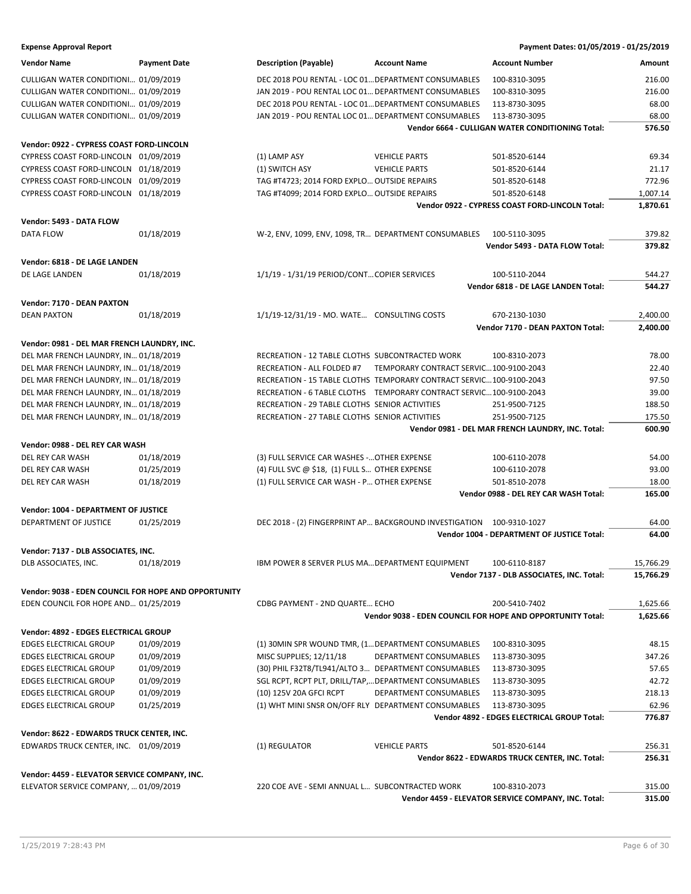| <b>Expense Approval Report</b>                       |                     |                                                      |                                                                      | Payment Dates: 01/05/2019 - 01/25/2019                     |           |
|------------------------------------------------------|---------------------|------------------------------------------------------|----------------------------------------------------------------------|------------------------------------------------------------|-----------|
| <b>Vendor Name</b>                                   | <b>Payment Date</b> | <b>Description (Payable)</b>                         | <b>Account Name</b>                                                  | <b>Account Number</b>                                      | Amount    |
| CULLIGAN WATER CONDITIONI 01/09/2019                 |                     | DEC 2018 POU RENTAL - LOC 01 DEPARTMENT CONSUMABLES  |                                                                      | 100-8310-3095                                              | 216.00    |
| CULLIGAN WATER CONDITIONI 01/09/2019                 |                     | JAN 2019 - POU RENTAL LOC 01 DEPARTMENT CONSUMABLES  |                                                                      | 100-8310-3095                                              | 216.00    |
| CULLIGAN WATER CONDITIONI 01/09/2019                 |                     | DEC 2018 POU RENTAL - LOC 01 DEPARTMENT CONSUMABLES  |                                                                      | 113-8730-3095                                              | 68.00     |
| CULLIGAN WATER CONDITIONI 01/09/2019                 |                     | JAN 2019 - POU RENTAL LOC 01 DEPARTMENT CONSUMABLES  |                                                                      | 113-8730-3095                                              | 68.00     |
|                                                      |                     |                                                      |                                                                      | Vendor 6664 - CULLIGAN WATER CONDITIONING Total:           | 576.50    |
| Vendor: 0922 - CYPRESS COAST FORD-LINCOLN            |                     |                                                      |                                                                      |                                                            |           |
| CYPRESS COAST FORD-LINCOLN 01/09/2019                |                     | (1) LAMP ASY                                         | <b>VEHICLE PARTS</b>                                                 | 501-8520-6144                                              | 69.34     |
| CYPRESS COAST FORD-LINCOLN 01/18/2019                |                     | (1) SWITCH ASY                                       | <b>VEHICLE PARTS</b>                                                 | 501-8520-6144                                              | 21.17     |
| CYPRESS COAST FORD-LINCOLN 01/09/2019                |                     | TAG #T4723; 2014 FORD EXPLO OUTSIDE REPAIRS          |                                                                      | 501-8520-6148                                              | 772.96    |
| CYPRESS COAST FORD-LINCOLN 01/18/2019                |                     | TAG #T4099; 2014 FORD EXPLO OUTSIDE REPAIRS          |                                                                      | 501-8520-6148                                              | 1,007.14  |
|                                                      |                     |                                                      |                                                                      | Vendor 0922 - CYPRESS COAST FORD-LINCOLN Total:            | 1,870.61  |
| Vendor: 5493 - DATA FLOW                             |                     |                                                      |                                                                      |                                                            |           |
| <b>DATA FLOW</b>                                     | 01/18/2019          | W-2, ENV, 1099, ENV, 1098, TR DEPARTMENT CONSUMABLES |                                                                      | 100-5110-3095                                              | 379.82    |
|                                                      |                     |                                                      |                                                                      | Vendor 5493 - DATA FLOW Total:                             | 379.82    |
| Vendor: 6818 - DE LAGE LANDEN                        |                     |                                                      |                                                                      |                                                            |           |
| DE LAGE LANDEN                                       | 01/18/2019          | 1/1/19 - 1/31/19 PERIOD/CONT COPIER SERVICES         |                                                                      | 100-5110-2044                                              | 544.27    |
|                                                      |                     |                                                      |                                                                      | Vendor 6818 - DE LAGE LANDEN Total:                        | 544.27    |
| Vendor: 7170 - DEAN PAXTON                           |                     |                                                      |                                                                      |                                                            |           |
| <b>DEAN PAXTON</b>                                   | 01/18/2019          | 1/1/19-12/31/19 - MO. WATE CONSULTING COSTS          |                                                                      | 670-2130-1030                                              | 2,400.00  |
|                                                      |                     |                                                      |                                                                      | Vendor 7170 - DEAN PAXTON Total:                           | 2.400.00  |
| Vendor: 0981 - DEL MAR FRENCH LAUNDRY, INC.          |                     |                                                      |                                                                      |                                                            |           |
| DEL MAR FRENCH LAUNDRY, IN 01/18/2019                |                     | RECREATION - 12 TABLE CLOTHS SUBCONTRACTED WORK      |                                                                      | 100-8310-2073                                              | 78.00     |
| DEL MAR FRENCH LAUNDRY, IN 01/18/2019                |                     | RECREATION - ALL FOLDED #7                           | TEMPORARY CONTRACT SERVIC100-9100-2043                               |                                                            | 22.40     |
| DEL MAR FRENCH LAUNDRY, IN 01/18/2019                |                     |                                                      | RECREATION - 15 TABLE CLOTHS TEMPORARY CONTRACT SERVIC 100-9100-2043 |                                                            | 97.50     |
| DEL MAR FRENCH LAUNDRY, IN 01/18/2019                |                     |                                                      | RECREATION - 6 TABLE CLOTHS TEMPORARY CONTRACT SERVIC 100-9100-2043  |                                                            | 39.00     |
| DEL MAR FRENCH LAUNDRY, IN 01/18/2019                |                     | RECREATION - 29 TABLE CLOTHS SENIOR ACTIVITIES       |                                                                      | 251-9500-7125                                              | 188.50    |
| DEL MAR FRENCH LAUNDRY, IN 01/18/2019                |                     | RECREATION - 27 TABLE CLOTHS SENIOR ACTIVITIES       |                                                                      | 251-9500-7125                                              | 175.50    |
|                                                      |                     |                                                      |                                                                      | Vendor 0981 - DEL MAR FRENCH LAUNDRY, INC. Total:          | 600.90    |
| Vendor: 0988 - DEL REY CAR WASH                      |                     |                                                      |                                                                      |                                                            |           |
| DEL REY CAR WASH                                     | 01/18/2019          | (3) FULL SERVICE CAR WASHES - OTHER EXPENSE          |                                                                      | 100-6110-2078                                              | 54.00     |
| DEL REY CAR WASH                                     | 01/25/2019          | (4) FULL SVC $@$ \$18, (1) FULL S OTHER EXPENSE      |                                                                      | 100-6110-2078                                              | 93.00     |
| DEL REY CAR WASH                                     | 01/18/2019          | (1) FULL SERVICE CAR WASH - P OTHER EXPENSE          |                                                                      | 501-8510-2078                                              | 18.00     |
|                                                      |                     |                                                      |                                                                      | Vendor 0988 - DEL REY CAR WASH Total:                      | 165.00    |
| Vendor: 1004 - DEPARTMENT OF JUSTICE                 |                     |                                                      |                                                                      |                                                            |           |
| DEPARTMENT OF JUSTICE                                | 01/25/2019          |                                                      | DEC 2018 - (2) FINGERPRINT AP BACKGROUND INVESTIGATION 100-9310-1027 |                                                            | 64.00     |
|                                                      |                     |                                                      |                                                                      | Vendor 1004 - DEPARTMENT OF JUSTICE Total:                 | 64.00     |
| Vendor: 7137 - DLB ASSOCIATES, INC.                  |                     |                                                      |                                                                      |                                                            |           |
| DLB ASSOCIATES, INC.                                 | 01/18/2019          | IBM POWER 8 SERVER PLUS MA DEPARTMENT EQUIPMENT      |                                                                      | 100-6110-8187                                              | 15,766.29 |
|                                                      |                     |                                                      |                                                                      | Vendor 7137 - DLB ASSOCIATES, INC. Total:                  | 15,766.29 |
| Vendor: 9038 - EDEN COUNCIL FOR HOPE AND OPPORTUNITY |                     |                                                      |                                                                      |                                                            |           |
| EDEN COUNCIL FOR HOPE AND 01/25/2019                 |                     | CDBG PAYMENT - 2ND QUARTE ECHO                       |                                                                      | 200-5410-7402                                              | 1,625.66  |
|                                                      |                     |                                                      |                                                                      | Vendor 9038 - EDEN COUNCIL FOR HOPE AND OPPORTUNITY Total: | 1,625.66  |
| Vendor: 4892 - EDGES ELECTRICAL GROUP                |                     |                                                      |                                                                      |                                                            |           |
| <b>EDGES ELECTRICAL GROUP</b>                        | 01/09/2019          | (1) 30MIN SPR WOUND TMR, (1 DEPARTMENT CONSUMABLES   |                                                                      | 100-8310-3095                                              | 48.15     |
| <b>EDGES ELECTRICAL GROUP</b>                        | 01/09/2019          | MISC SUPPLIES; 12/11/18                              | DEPARTMENT CONSUMABLES                                               | 113-8730-3095                                              | 347.26    |
| EDGES ELECTRICAL GROUP                               | 01/09/2019          | (30) PHIL F32T8/TL941/ALTO 3 DEPARTMENT CONSUMABLES  |                                                                      | 113-8730-3095                                              | 57.65     |
| <b>EDGES ELECTRICAL GROUP</b>                        | 01/09/2019          | SGL RCPT, RCPT PLT, DRILL/TAP,DEPARTMENT CONSUMABLES |                                                                      | 113-8730-3095                                              | 42.72     |
| <b>EDGES ELECTRICAL GROUP</b>                        | 01/09/2019          | (10) 125V 20A GFCI RCPT                              | DEPARTMENT CONSUMABLES                                               | 113-8730-3095                                              | 218.13    |
| <b>EDGES ELECTRICAL GROUP</b>                        | 01/25/2019          | (1) WHT MINI SNSR ON/OFF RLY DEPARTMENT CONSUMABLES  |                                                                      | 113-8730-3095                                              | 62.96     |
|                                                      |                     |                                                      |                                                                      | Vendor 4892 - EDGES ELECTRICAL GROUP Total:                | 776.87    |
| Vendor: 8622 - EDWARDS TRUCK CENTER, INC.            |                     |                                                      |                                                                      |                                                            |           |
| EDWARDS TRUCK CENTER, INC. 01/09/2019                |                     | (1) REGULATOR                                        | <b>VEHICLE PARTS</b>                                                 | 501-8520-6144                                              | 256.31    |
|                                                      |                     |                                                      |                                                                      | Vendor 8622 - EDWARDS TRUCK CENTER, INC. Total:            | 256.31    |
| Vendor: 4459 - ELEVATOR SERVICE COMPANY, INC.        |                     |                                                      |                                                                      |                                                            |           |

ELEVATOR SERVICE COMPANY, ... 01/09/2019 220 COE AVE - SEMI ANNUAL L... SUBCONTRACTED WORK 100-8310-2073 315.00 **Vendor 4459 - ELEVATOR SERVICE COMPANY, INC. Total: 315.00**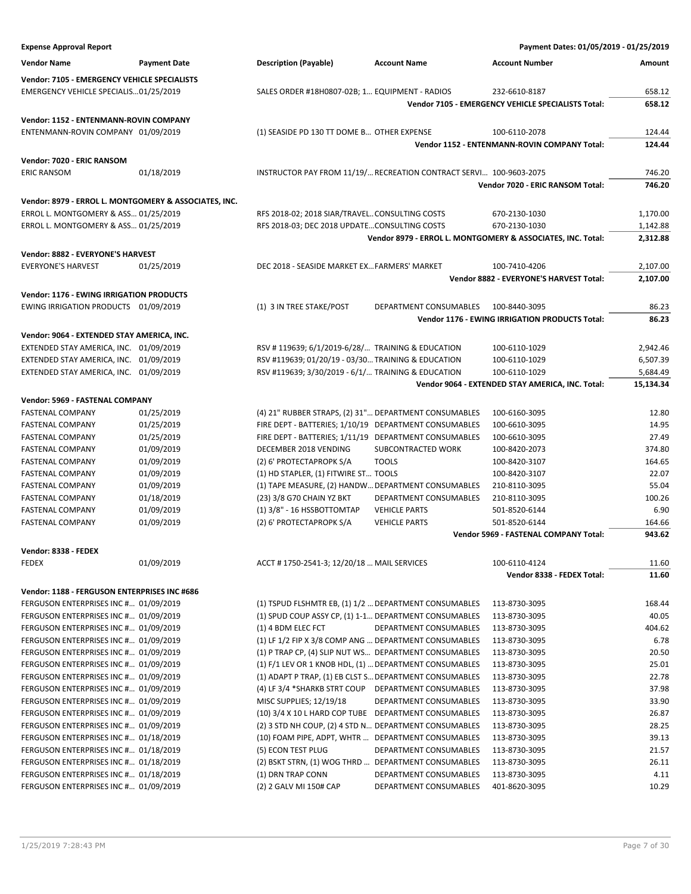| <b>Expense Approval Report</b>                        |                     |                                                        |                                                                    | Payment Dates: 01/05/2019 - 01/25/2019                      |           |
|-------------------------------------------------------|---------------------|--------------------------------------------------------|--------------------------------------------------------------------|-------------------------------------------------------------|-----------|
| <b>Vendor Name</b>                                    | <b>Payment Date</b> | <b>Description (Payable)</b>                           | <b>Account Name</b>                                                | <b>Account Number</b>                                       | Amount    |
| Vendor: 7105 - EMERGENCY VEHICLE SPECIALISTS          |                     |                                                        |                                                                    |                                                             |           |
| EMERGENCY VEHICLE SPECIALIS01/25/2019                 |                     | SALES ORDER #18H0807-02B; 1 EQUIPMENT - RADIOS         |                                                                    | 232-6610-8187                                               | 658.12    |
|                                                       |                     |                                                        |                                                                    | Vendor 7105 - EMERGENCY VEHICLE SPECIALISTS Total:          | 658.12    |
|                                                       |                     |                                                        |                                                                    |                                                             |           |
| Vendor: 1152 - ENTENMANN-ROVIN COMPANY                |                     |                                                        |                                                                    |                                                             |           |
| ENTENMANN-ROVIN COMPANY 01/09/2019                    |                     | (1) SEASIDE PD 130 TT DOME B OTHER EXPENSE             |                                                                    | 100-6110-2078                                               | 124.44    |
|                                                       |                     |                                                        |                                                                    | Vendor 1152 - ENTENMANN-ROVIN COMPANY Total:                | 124.44    |
| Vendor: 7020 - ERIC RANSOM                            |                     |                                                        |                                                                    |                                                             |           |
| <b>ERIC RANSOM</b>                                    | 01/18/2019          |                                                        | INSTRUCTOR PAY FROM 11/19/ RECREATION CONTRACT SERVI 100-9603-2075 |                                                             | 746.20    |
|                                                       |                     |                                                        |                                                                    | Vendor 7020 - ERIC RANSOM Total:                            | 746.20    |
| Vendor: 8979 - ERROL L. MONTGOMERY & ASSOCIATES, INC. |                     |                                                        |                                                                    |                                                             |           |
| ERROL L. MONTGOMERY & ASS 01/25/2019                  |                     | RFS 2018-02; 2018 SIAR/TRAVELCONSULTING COSTS          |                                                                    | 670-2130-1030                                               | 1,170.00  |
| ERROL L. MONTGOMERY & ASS 01/25/2019                  |                     | RFS 2018-03; DEC 2018 UPDATECONSULTING COSTS           |                                                                    | 670-2130-1030                                               | 1,142.88  |
|                                                       |                     |                                                        |                                                                    | Vendor 8979 - ERROL L. MONTGOMERY & ASSOCIATES, INC. Total: | 2,312.88  |
| Vendor: 8882 - EVERYONE'S HARVEST                     |                     |                                                        |                                                                    |                                                             |           |
| <b>EVERYONE'S HARVEST</b>                             | 01/25/2019          | DEC 2018 - SEASIDE MARKET EX FARMERS' MARKET           |                                                                    | 100-7410-4206                                               | 2,107.00  |
|                                                       |                     |                                                        |                                                                    | Vendor 8882 - EVERYONE'S HARVEST Total:                     | 2,107.00  |
|                                                       |                     |                                                        |                                                                    |                                                             |           |
| <b>Vendor: 1176 - EWING IRRIGATION PRODUCTS</b>       |                     |                                                        |                                                                    |                                                             |           |
| EWING IRRIGATION PRODUCTS 01/09/2019                  |                     | (1) 3 IN TREE STAKE/POST                               | <b>DEPARTMENT CONSUMABLES</b>                                      | 100-8440-3095                                               | 86.23     |
|                                                       |                     |                                                        |                                                                    | <b>Vendor 1176 - EWING IRRIGATION PRODUCTS Total:</b>       | 86.23     |
| Vendor: 9064 - EXTENDED STAY AMERICA, INC.            |                     |                                                        |                                                                    |                                                             |           |
| EXTENDED STAY AMERICA, INC. 01/09/2019                |                     | RSV #119639; 6/1/2019-6/28/ TRAINING & EDUCATION       |                                                                    | 100-6110-1029                                               | 2,942.46  |
| EXTENDED STAY AMERICA, INC. 01/09/2019                |                     | RSV #119639; 01/20/19 - 03/30 TRAINING & EDUCATION     |                                                                    | 100-6110-1029                                               | 6,507.39  |
| EXTENDED STAY AMERICA, INC. 01/09/2019                |                     | RSV #119639; 3/30/2019 - 6/1/ TRAINING & EDUCATION     |                                                                    | 100-6110-1029                                               | 5,684.49  |
|                                                       |                     |                                                        |                                                                    | Vendor 9064 - EXTENDED STAY AMERICA, INC. Total:            | 15,134.34 |
| Vendor: 5969 - FASTENAL COMPANY                       |                     |                                                        |                                                                    |                                                             |           |
| <b>FASTENAL COMPANY</b>                               | 01/25/2019          | (4) 21" RUBBER STRAPS, (2) 31" DEPARTMENT CONSUMABLES  |                                                                    | 100-6160-3095                                               | 12.80     |
| <b>FASTENAL COMPANY</b>                               | 01/25/2019          | FIRE DEPT - BATTERIES; 1/10/19 DEPARTMENT CONSUMABLES  |                                                                    | 100-6610-3095                                               | 14.95     |
| <b>FASTENAL COMPANY</b>                               | 01/25/2019          | FIRE DEPT - BATTERIES; 1/11/19 DEPARTMENT CONSUMABLES  |                                                                    | 100-6610-3095                                               | 27.49     |
| <b>FASTENAL COMPANY</b>                               | 01/09/2019          | DECEMBER 2018 VENDING                                  | SUBCONTRACTED WORK                                                 | 100-8420-2073                                               | 374.80    |
| <b>FASTENAL COMPANY</b>                               | 01/09/2019          | (2) 6' PROTECTAPROPK S/A                               | <b>TOOLS</b>                                                       | 100-8420-3107                                               | 164.65    |
| <b>FASTENAL COMPANY</b>                               | 01/09/2019          | (1) HD STAPLER, (1) FITWIRE ST TOOLS                   |                                                                    | 100-8420-3107                                               | 22.07     |
| <b>FASTENAL COMPANY</b>                               | 01/09/2019          | (1) TAPE MEASURE, (2) HANDW DEPARTMENT CONSUMABLES     |                                                                    | 210-8110-3095                                               | 55.04     |
| <b>FASTENAL COMPANY</b>                               | 01/18/2019          | (23) 3/8 G70 CHAIN YZ BKT                              | DEPARTMENT CONSUMABLES                                             | 210-8110-3095                                               | 100.26    |
| <b>FASTENAL COMPANY</b>                               | 01/09/2019          | (1) 3/8" - 16 HSSBOTTOMTAP                             | <b>VEHICLE PARTS</b>                                               | 501-8520-6144                                               | 6.90      |
| <b>FASTENAL COMPANY</b>                               | 01/09/2019          | (2) 6' PROTECTAPROPK S/A                               | <b>VEHICLE PARTS</b>                                               | 501-8520-6144                                               | 164.66    |
|                                                       |                     |                                                        |                                                                    | Vendor 5969 - FASTENAL COMPANY Total:                       | 943.62    |
| Vendor: 8338 - FEDEX                                  |                     |                                                        |                                                                    |                                                             |           |
| FEDEX                                                 | 01/09/2019          | ACCT #1750-2541-3; 12/20/18  MAIL SERVICES             |                                                                    | 100-6110-4124                                               | 11.60     |
|                                                       |                     |                                                        |                                                                    | Vendor 8338 - FEDEX Total:                                  | 11.60     |
| Vendor: 1188 - FERGUSON ENTERPRISES INC #686          |                     |                                                        |                                                                    |                                                             |           |
| FERGUSON ENTERPRISES INC # 01/09/2019                 |                     | (1) TSPUD FLSHMTR EB, (1) 1/2  DEPARTMENT CONSUMABLES  |                                                                    | 113-8730-3095                                               | 168.44    |
| FERGUSON ENTERPRISES INC # 01/09/2019                 |                     | (1) SPUD COUP ASSY CP, (1) 1-1 DEPARTMENT CONSUMABLES  |                                                                    | 113-8730-3095                                               | 40.05     |
| FERGUSON ENTERPRISES INC # 01/09/2019                 |                     | (1) 4 BDM ELEC FCT                                     | DEPARTMENT CONSUMABLES                                             | 113-8730-3095                                               | 404.62    |
| FERGUSON ENTERPRISES INC # 01/09/2019                 |                     | (1) LF 1/2 FIP X 3/8 COMP ANG  DEPARTMENT CONSUMABLES  |                                                                    | 113-8730-3095                                               | 6.78      |
| FERGUSON ENTERPRISES INC # 01/09/2019                 |                     | (1) P TRAP CP, (4) SLIP NUT WS DEPARTMENT CONSUMABLES  |                                                                    | 113-8730-3095                                               | 20.50     |
| FERGUSON ENTERPRISES INC # 01/09/2019                 |                     | (1) F/1 LEV OR 1 KNOB HDL, (1)  DEPARTMENT CONSUMABLES |                                                                    | 113-8730-3095                                               | 25.01     |
| FERGUSON ENTERPRISES INC # 01/09/2019                 |                     | (1) ADAPT P TRAP, (1) EB CLST S DEPARTMENT CONSUMABLES |                                                                    | 113-8730-3095                                               | 22.78     |
| FERGUSON ENTERPRISES INC # 01/09/2019                 |                     | (4) LF 3/4 *SHARKB STRT COUP                           | DEPARTMENT CONSUMABLES                                             | 113-8730-3095                                               | 37.98     |
| FERGUSON ENTERPRISES INC # 01/09/2019                 |                     | MISC SUPPLIES; 12/19/18                                | DEPARTMENT CONSUMABLES                                             | 113-8730-3095                                               | 33.90     |
| FERGUSON ENTERPRISES INC # 01/09/2019                 |                     | (10) 3/4 X 10 L HARD COP TUBE DEPARTMENT CONSUMABLES   |                                                                    | 113-8730-3095                                               | 26.87     |
| FERGUSON ENTERPRISES INC # 01/09/2019                 |                     | (2) 3 STD NH COUP, (2) 4 STD N DEPARTMENT CONSUMABLES  |                                                                    | 113-8730-3095                                               | 28.25     |
| FERGUSON ENTERPRISES INC # 01/18/2019                 |                     | (10) FOAM PIPE, ADPT, WHTR  DEPARTMENT CONSUMABLES     |                                                                    | 113-8730-3095                                               | 39.13     |
| FERGUSON ENTERPRISES INC # 01/18/2019                 |                     | (5) ECON TEST PLUG                                     | DEPARTMENT CONSUMABLES                                             | 113-8730-3095                                               | 21.57     |
| FERGUSON ENTERPRISES INC # 01/18/2019                 |                     | (2) BSKT STRN, (1) WOG THRD  DEPARTMENT CONSUMABLES    |                                                                    | 113-8730-3095                                               | 26.11     |
| FERGUSON ENTERPRISES INC # 01/18/2019                 |                     | (1) DRN TRAP CONN                                      | DEPARTMENT CONSUMABLES                                             | 113-8730-3095                                               | 4.11      |
| FERGUSON ENTERPRISES INC # 01/09/2019                 |                     | (2) 2 GALV MI 150# CAP                                 | DEPARTMENT CONSUMABLES                                             | 401-8620-3095                                               | 10.29     |
|                                                       |                     |                                                        |                                                                    |                                                             |           |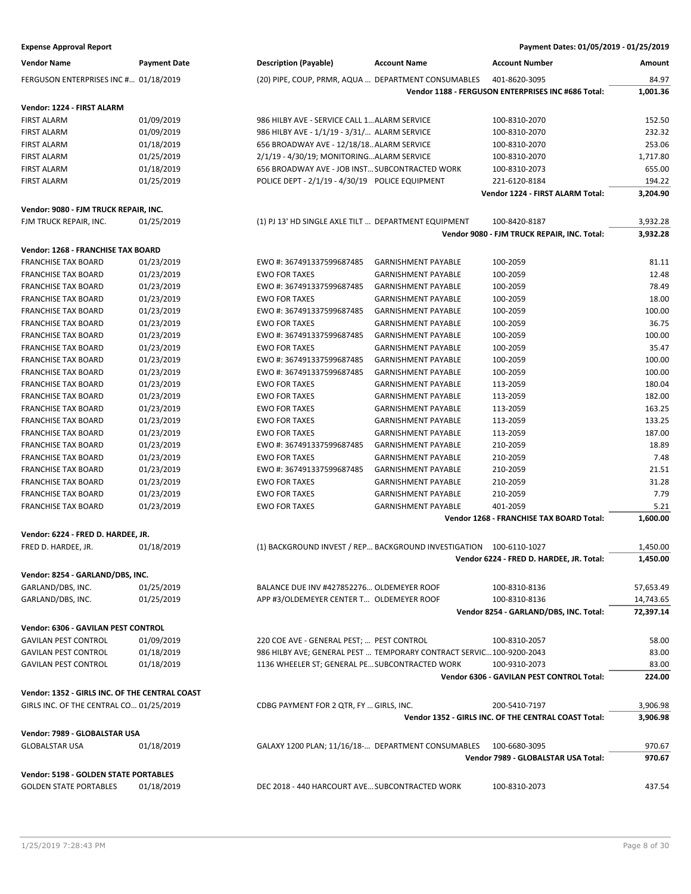| <b>Expense Approval Report</b> | Payment Dates: 01/05/2019 - 01/25/2019 |
|--------------------------------|----------------------------------------|
|--------------------------------|----------------------------------------|

| Vendor Name                                    | <b>Payment Date</b> | <b>Description (Payable)</b>                         | <b>Account Name</b>                                                 | <b>Account Number</b>                                                 | Amount               |
|------------------------------------------------|---------------------|------------------------------------------------------|---------------------------------------------------------------------|-----------------------------------------------------------------------|----------------------|
| FERGUSON ENTERPRISES INC # 01/18/2019          |                     | (20) PIPE, COUP, PRMR, AQUA  DEPARTMENT CONSUMABLES  |                                                                     | 401-8620-3095                                                         | 84.97                |
|                                                |                     |                                                      |                                                                     | Vendor 1188 - FERGUSON ENTERPRISES INC #686 Total:                    | 1,001.36             |
| Vendor: 1224 - FIRST ALARM                     |                     |                                                      |                                                                     |                                                                       |                      |
| <b>FIRST ALARM</b>                             | 01/09/2019          | 986 HILBY AVE - SERVICE CALL 1 ALARM SERVICE         |                                                                     | 100-8310-2070                                                         | 152.50               |
| <b>FIRST ALARM</b>                             | 01/09/2019          | 986 HILBY AVE - 1/1/19 - 3/31/ ALARM SERVICE         |                                                                     | 100-8310-2070                                                         | 232.32               |
| FIRST ALARM                                    | 01/18/2019          | 656 BROADWAY AVE - 12/18/18 ALARM SERVICE            |                                                                     | 100-8310-2070                                                         | 253.06               |
| FIRST ALARM                                    | 01/25/2019          | 2/1/19 - 4/30/19; MONITORINGALARM SERVICE            |                                                                     | 100-8310-2070                                                         | 1,717.80             |
| <b>FIRST ALARM</b>                             | 01/18/2019          | 656 BROADWAY AVE - JOB INST SUBCONTRACTED WORK       |                                                                     | 100-8310-2073                                                         | 655.00               |
| FIRST ALARM                                    | 01/25/2019          | POLICE DEPT - 2/1/19 - 4/30/19 POLICE EQUIPMENT      |                                                                     | 221-6120-8184                                                         | 194.22               |
|                                                |                     |                                                      |                                                                     | Vendor 1224 - FIRST ALARM Total:                                      | 3,204.90             |
| Vendor: 9080 - FJM TRUCK REPAIR, INC.          |                     |                                                      |                                                                     |                                                                       |                      |
| FJM TRUCK REPAIR, INC.                         | 01/25/2019          | (1) PJ 13' HD SINGLE AXLE TILT  DEPARTMENT EQUIPMENT |                                                                     | 100-8420-8187                                                         | 3,932.28             |
|                                                |                     |                                                      |                                                                     | Vendor 9080 - FJM TRUCK REPAIR, INC. Total:                           | 3,932.28             |
| Vendor: 1268 - FRANCHISE TAX BOARD             |                     |                                                      |                                                                     |                                                                       |                      |
| <b>FRANCHISE TAX BOARD</b>                     | 01/23/2019          | EWO #: 367491337599687485                            | <b>GARNISHMENT PAYABLE</b>                                          | 100-2059                                                              | 81.11                |
| <b>FRANCHISE TAX BOARD</b>                     | 01/23/2019          | <b>EWO FOR TAXES</b>                                 | <b>GARNISHMENT PAYABLE</b>                                          | 100-2059                                                              | 12.48                |
| <b>FRANCHISE TAX BOARD</b>                     | 01/23/2019          |                                                      |                                                                     |                                                                       | 78.49                |
|                                                |                     | EWO #: 367491337599687485                            | <b>GARNISHMENT PAYABLE</b>                                          | 100-2059                                                              |                      |
| <b>FRANCHISE TAX BOARD</b>                     | 01/23/2019          | <b>EWO FOR TAXES</b>                                 | <b>GARNISHMENT PAYABLE</b>                                          | 100-2059                                                              | 18.00                |
| <b>FRANCHISE TAX BOARD</b>                     | 01/23/2019          | EWO #: 367491337599687485                            | <b>GARNISHMENT PAYABLE</b>                                          | 100-2059                                                              | 100.00               |
| <b>FRANCHISE TAX BOARD</b>                     | 01/23/2019          | <b>EWO FOR TAXES</b>                                 | <b>GARNISHMENT PAYABLE</b>                                          | 100-2059                                                              | 36.75                |
| <b>FRANCHISE TAX BOARD</b>                     | 01/23/2019          | EWO #: 367491337599687485                            | <b>GARNISHMENT PAYABLE</b>                                          | 100-2059                                                              | 100.00               |
| <b>FRANCHISE TAX BOARD</b>                     | 01/23/2019          | <b>EWO FOR TAXES</b>                                 | <b>GARNISHMENT PAYABLE</b>                                          | 100-2059                                                              | 35.47                |
| <b>FRANCHISE TAX BOARD</b>                     | 01/23/2019          | EWO #: 367491337599687485                            | <b>GARNISHMENT PAYABLE</b>                                          | 100-2059                                                              | 100.00               |
| <b>FRANCHISE TAX BOARD</b>                     | 01/23/2019          | EWO #: 367491337599687485                            | <b>GARNISHMENT PAYABLE</b>                                          | 100-2059                                                              | 100.00               |
| <b>FRANCHISE TAX BOARD</b>                     | 01/23/2019          | <b>EWO FOR TAXES</b>                                 | <b>GARNISHMENT PAYABLE</b>                                          | 113-2059                                                              | 180.04               |
| <b>FRANCHISE TAX BOARD</b>                     | 01/23/2019          | <b>EWO FOR TAXES</b>                                 | <b>GARNISHMENT PAYABLE</b>                                          | 113-2059                                                              | 182.00               |
| <b>FRANCHISE TAX BOARD</b>                     | 01/23/2019          | <b>EWO FOR TAXES</b>                                 | <b>GARNISHMENT PAYABLE</b>                                          | 113-2059                                                              | 163.25               |
| <b>FRANCHISE TAX BOARD</b>                     | 01/23/2019          | <b>EWO FOR TAXES</b>                                 | <b>GARNISHMENT PAYABLE</b>                                          | 113-2059                                                              | 133.25               |
| <b>FRANCHISE TAX BOARD</b>                     | 01/23/2019          | <b>EWO FOR TAXES</b>                                 | <b>GARNISHMENT PAYABLE</b>                                          | 113-2059                                                              | 187.00               |
| <b>FRANCHISE TAX BOARD</b>                     | 01/23/2019          | EWO #: 367491337599687485                            | <b>GARNISHMENT PAYABLE</b>                                          | 210-2059                                                              | 18.89                |
| <b>FRANCHISE TAX BOARD</b>                     | 01/23/2019          | <b>EWO FOR TAXES</b>                                 | <b>GARNISHMENT PAYABLE</b>                                          | 210-2059                                                              | 7.48                 |
| <b>FRANCHISE TAX BOARD</b>                     | 01/23/2019          | EWO #: 367491337599687485                            | <b>GARNISHMENT PAYABLE</b>                                          | 210-2059                                                              | 21.51                |
| <b>FRANCHISE TAX BOARD</b>                     | 01/23/2019          | <b>EWO FOR TAXES</b>                                 | <b>GARNISHMENT PAYABLE</b>                                          | 210-2059                                                              | 31.28                |
| <b>FRANCHISE TAX BOARD</b>                     | 01/23/2019          | <b>EWO FOR TAXES</b>                                 | <b>GARNISHMENT PAYABLE</b>                                          | 210-2059                                                              | 7.79                 |
| <b>FRANCHISE TAX BOARD</b>                     | 01/23/2019          | <b>EWO FOR TAXES</b>                                 | <b>GARNISHMENT PAYABLE</b>                                          | 401-2059                                                              | 5.21                 |
|                                                |                     |                                                      |                                                                     | Vendor 1268 - FRANCHISE TAX BOARD Total:                              | 1,600.00             |
| Vendor: 6224 - FRED D. HARDEE, JR.             |                     |                                                      |                                                                     |                                                                       |                      |
| FRED D. HARDEE, JR.                            | 01/18/2019          |                                                      | (1) BACKGROUND INVEST / REP BACKGROUND INVESTIGATION 100-6110-1027  |                                                                       | 1,450.00             |
|                                                |                     |                                                      |                                                                     | Vendor 6224 - FRED D. HARDEE, JR. Total:                              | 1,450.00             |
| Vendor: 8254 - GARLAND/DBS, INC.               |                     |                                                      |                                                                     |                                                                       |                      |
| GARLAND/DBS, INC.                              | 01/25/2019          | BALANCE DUE INV #427852276 OLDEMEYER ROOF            |                                                                     | 100-8310-8136                                                         | 57,653.49            |
| GARLAND/DBS, INC.                              | 01/25/2019          | APP #3/OLDEMEYER CENTER T OLDEMEYER ROOF             |                                                                     | 100-8310-8136                                                         | 14,743.65            |
|                                                |                     |                                                      |                                                                     | Vendor 8254 - GARLAND/DBS, INC. Total:                                | 72,397.14            |
| Vendor: 6306 - GAVILAN PEST CONTROL            |                     |                                                      |                                                                     |                                                                       |                      |
| <b>GAVILAN PEST CONTROL</b>                    | 01/09/2019          | 220 COE AVE - GENERAL PEST;  PEST CONTROL            |                                                                     | 100-8310-2057                                                         | 58.00                |
| <b>GAVILAN PEST CONTROL</b>                    | 01/18/2019          |                                                      | 986 HILBY AVE; GENERAL PEST  TEMPORARY CONTRACT SERVIC100-9200-2043 |                                                                       | 83.00                |
| <b>GAVILAN PEST CONTROL</b>                    | 01/18/2019          | 1136 WHEELER ST; GENERAL PE SUBCONTRACTED WORK       |                                                                     | 100-9310-2073                                                         | 83.00                |
|                                                |                     |                                                      |                                                                     | Vendor 6306 - GAVILAN PEST CONTROL Total:                             | 224.00               |
|                                                |                     |                                                      |                                                                     |                                                                       |                      |
| Vendor: 1352 - GIRLS INC. OF THE CENTRAL COAST |                     |                                                      |                                                                     |                                                                       |                      |
| GIRLS INC. OF THE CENTRAL CO 01/25/2019        |                     | CDBG PAYMENT FOR 2 QTR, FY  GIRLS, INC.              |                                                                     | 200-5410-7197<br>Vendor 1352 - GIRLS INC. OF THE CENTRAL COAST Total: | 3,906.98<br>3,906.98 |
|                                                |                     |                                                      |                                                                     |                                                                       |                      |
| Vendor: 7989 - GLOBALSTAR USA                  |                     |                                                      |                                                                     |                                                                       |                      |
| <b>GLOBALSTAR USA</b>                          | 01/18/2019          | GALAXY 1200 PLAN; 11/16/18- DEPARTMENT CONSUMABLES   |                                                                     | 100-6680-3095<br>Vendor 7989 - GLOBALSTAR USA Total:                  | 970.67<br>970.67     |
|                                                |                     |                                                      |                                                                     |                                                                       |                      |
| Vendor: 5198 - GOLDEN STATE PORTABLES          |                     |                                                      |                                                                     |                                                                       |                      |
| <b>GOLDEN STATE PORTABLES</b>                  | 01/18/2019          | DEC 2018 - 440 HARCOURT AVE SUBCONTRACTED WORK       |                                                                     | 100-8310-2073                                                         | 437.54               |
|                                                |                     |                                                      |                                                                     |                                                                       |                      |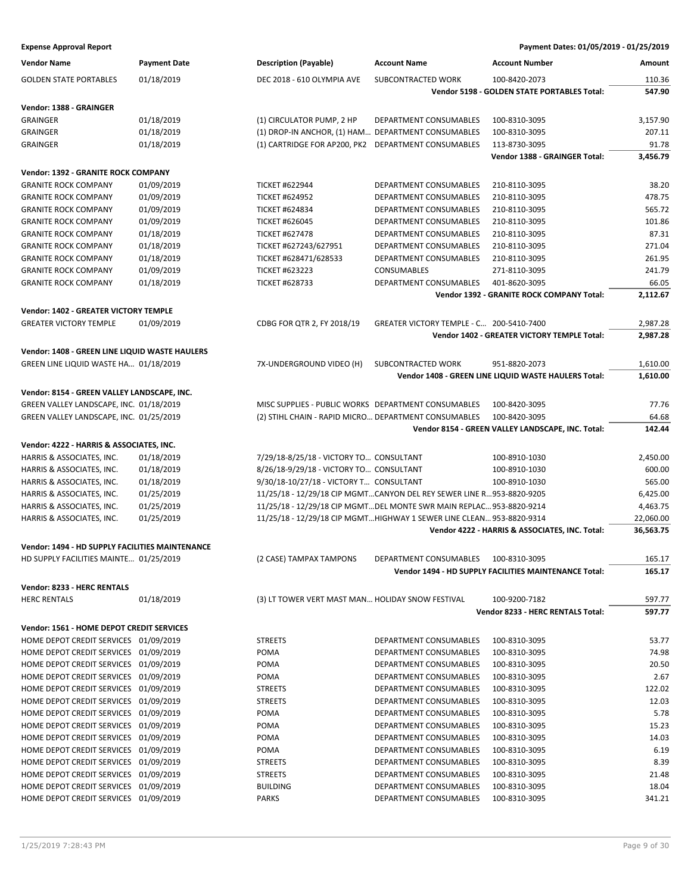| <b>Vendor Name</b>                              | <b>Payment Date</b> | <b>Description (Payable)</b>                         | <b>Account Name</b>                                                   | <b>Account Number</b>                                 | Amount    |
|-------------------------------------------------|---------------------|------------------------------------------------------|-----------------------------------------------------------------------|-------------------------------------------------------|-----------|
| <b>GOLDEN STATE PORTABLES</b>                   | 01/18/2019          | DEC 2018 - 610 OLYMPIA AVE                           | SUBCONTRACTED WORK                                                    | 100-8420-2073                                         | 110.36    |
|                                                 |                     |                                                      |                                                                       | Vendor 5198 - GOLDEN STATE PORTABLES Total:           | 547.90    |
| Vendor: 1388 - GRAINGER                         |                     |                                                      |                                                                       |                                                       |           |
| <b>GRAINGER</b>                                 | 01/18/2019          | (1) CIRCULATOR PUMP, 2 HP                            | DEPARTMENT CONSUMABLES                                                | 100-8310-3095                                         | 3,157.90  |
| <b>GRAINGER</b>                                 | 01/18/2019          | (1) DROP-IN ANCHOR, (1) HAM DEPARTMENT CONSUMABLES   |                                                                       | 100-8310-3095                                         | 207.11    |
| <b>GRAINGER</b>                                 | 01/18/2019          | (1) CARTRIDGE FOR AP200, PK2                         | DEPARTMENT CONSUMABLES                                                | 113-8730-3095                                         | 91.78     |
|                                                 |                     |                                                      |                                                                       | Vendor 1388 - GRAINGER Total:                         | 3,456.79  |
| Vendor: 1392 - GRANITE ROCK COMPANY             |                     |                                                      |                                                                       |                                                       |           |
| <b>GRANITE ROCK COMPANY</b>                     | 01/09/2019          | <b>TICKET #622944</b>                                | DEPARTMENT CONSUMABLES                                                | 210-8110-3095                                         | 38.20     |
| <b>GRANITE ROCK COMPANY</b>                     | 01/09/2019          | <b>TICKET #624952</b>                                | DEPARTMENT CONSUMABLES                                                | 210-8110-3095                                         | 478.75    |
| <b>GRANITE ROCK COMPANY</b>                     | 01/09/2019          | <b>TICKET #624834</b>                                | <b>DEPARTMENT CONSUMABLES</b>                                         | 210-8110-3095                                         | 565.72    |
| <b>GRANITE ROCK COMPANY</b>                     | 01/09/2019          | <b>TICKET #626045</b>                                | DEPARTMENT CONSUMABLES                                                | 210-8110-3095                                         | 101.86    |
| <b>GRANITE ROCK COMPANY</b>                     | 01/18/2019          | <b>TICKET #627478</b>                                | DEPARTMENT CONSUMABLES                                                | 210-8110-3095                                         | 87.31     |
| <b>GRANITE ROCK COMPANY</b>                     | 01/18/2019          | TICKET #627243/627951                                | DEPARTMENT CONSUMABLES                                                | 210-8110-3095                                         | 271.04    |
| <b>GRANITE ROCK COMPANY</b>                     | 01/18/2019          | TICKET #628471/628533                                | DEPARTMENT CONSUMABLES                                                | 210-8110-3095                                         | 261.95    |
| <b>GRANITE ROCK COMPANY</b>                     | 01/09/2019          | <b>TICKET #623223</b>                                | <b>CONSUMABLES</b>                                                    | 271-8110-3095                                         | 241.79    |
| <b>GRANITE ROCK COMPANY</b>                     | 01/18/2019          | <b>TICKET #628733</b>                                | DEPARTMENT CONSUMABLES                                                | 401-8620-3095                                         | 66.05     |
|                                                 |                     |                                                      |                                                                       | Vendor 1392 - GRANITE ROCK COMPANY Total:             | 2,112.67  |
| <b>Vendor: 1402 - GREATER VICTORY TEMPLE</b>    |                     |                                                      |                                                                       |                                                       |           |
| <b>GREATER VICTORY TEMPLE</b>                   | 01/09/2019          | CDBG FOR QTR 2, FY 2018/19                           | GREATER VICTORY TEMPLE - C 200-5410-7400                              |                                                       | 2,987.28  |
|                                                 |                     |                                                      |                                                                       | Vendor 1402 - GREATER VICTORY TEMPLE Total:           | 2,987.28  |
| Vendor: 1408 - GREEN LINE LIQUID WASTE HAULERS  |                     |                                                      |                                                                       |                                                       |           |
| GREEN LINE LIQUID WASTE HA 01/18/2019           |                     | 7X-UNDERGROUND VIDEO (H)                             | SUBCONTRACTED WORK                                                    | 951-8820-2073                                         | 1,610.00  |
|                                                 |                     |                                                      |                                                                       | Vendor 1408 - GREEN LINE LIQUID WASTE HAULERS Total:  | 1,610.00  |
| Vendor: 8154 - GREEN VALLEY LANDSCAPE, INC.     |                     |                                                      |                                                                       |                                                       |           |
| GREEN VALLEY LANDSCAPE, INC. 01/18/2019         |                     | MISC SUPPLIES - PUBLIC WORKS DEPARTMENT CONSUMABLES  |                                                                       | 100-8420-3095                                         | 77.76     |
| GREEN VALLEY LANDSCAPE, INC. 01/25/2019         |                     | (2) STIHL CHAIN - RAPID MICRO DEPARTMENT CONSUMABLES |                                                                       | 100-8420-3095                                         | 64.68     |
|                                                 |                     |                                                      |                                                                       | Vendor 8154 - GREEN VALLEY LANDSCAPE, INC. Total:     | 142.44    |
| Vendor: 4222 - HARRIS & ASSOCIATES, INC.        |                     |                                                      |                                                                       |                                                       |           |
| HARRIS & ASSOCIATES, INC.                       | 01/18/2019          | 7/29/18-8/25/18 - VICTORY TO CONSULTANT              |                                                                       | 100-8910-1030                                         | 2,450.00  |
| HARRIS & ASSOCIATES, INC.                       | 01/18/2019          | 8/26/18-9/29/18 - VICTORY TO CONSULTANT              |                                                                       | 100-8910-1030                                         | 600.00    |
| HARRIS & ASSOCIATES, INC.                       | 01/18/2019          | 9/30/18-10/27/18 - VICTORY T CONSULTANT              |                                                                       | 100-8910-1030                                         | 565.00    |
| HARRIS & ASSOCIATES, INC.                       | 01/25/2019          |                                                      | 11/25/18 - 12/29/18 CIP MGMTCANYON DEL REY SEWER LINE R953-8820-9205  |                                                       | 6,425.00  |
| HARRIS & ASSOCIATES, INC.                       | 01/25/2019          |                                                      | 11/25/18 - 12/29/18 CIP MGMTDEL MONTE SWR MAIN REPLAC 953-8820-9214   |                                                       | 4,463.75  |
| HARRIS & ASSOCIATES, INC.                       | 01/25/2019          |                                                      | 11/25/18 - 12/29/18 CIP MGMT HIGHWAY 1 SEWER LINE CLEAN 953-8820-9314 |                                                       | 22,060.00 |
|                                                 |                     |                                                      |                                                                       | Vendor 4222 - HARRIS & ASSOCIATES, INC. Total:        | 36,563.75 |
| Vendor: 1494 - HD SUPPLY FACILITIES MAINTENANCE |                     |                                                      |                                                                       |                                                       |           |
| HD SUPPLY FACILITIES MAINTE 01/25/2019          |                     | (2 CASE) TAMPAX TAMPONS                              | DEPARTMENT CONSUMABLES                                                | 100-8310-3095                                         | 165.17    |
|                                                 |                     |                                                      |                                                                       | Vendor 1494 - HD SUPPLY FACILITIES MAINTENANCE Total: | 165.17    |
| Vendor: 8233 - HERC RENTALS                     |                     |                                                      |                                                                       |                                                       |           |
| <b>HERC RENTALS</b>                             | 01/18/2019          | (3) LT TOWER VERT MAST MAN HOLIDAY SNOW FESTIVAL     |                                                                       | 100-9200-7182                                         | 597.77    |
|                                                 |                     |                                                      |                                                                       | Vendor 8233 - HERC RENTALS Total:                     | 597.77    |
| Vendor: 1561 - HOME DEPOT CREDIT SERVICES       |                     |                                                      |                                                                       |                                                       |           |
| HOME DEPOT CREDIT SERVICES 01/09/2019           |                     | <b>STREETS</b>                                       | DEPARTMENT CONSUMABLES                                                | 100-8310-3095                                         | 53.77     |
| HOME DEPOT CREDIT SERVICES 01/09/2019           |                     | POMA                                                 | DEPARTMENT CONSUMABLES                                                | 100-8310-3095                                         | 74.98     |
| HOME DEPOT CREDIT SERVICES 01/09/2019           |                     | POMA                                                 | DEPARTMENT CONSUMABLES                                                | 100-8310-3095                                         | 20.50     |
| HOME DEPOT CREDIT SERVICES 01/09/2019           |                     | POMA                                                 | DEPARTMENT CONSUMABLES                                                | 100-8310-3095                                         | 2.67      |
| HOME DEPOT CREDIT SERVICES 01/09/2019           |                     | <b>STREETS</b>                                       | DEPARTMENT CONSUMABLES                                                | 100-8310-3095                                         | 122.02    |
| HOME DEPOT CREDIT SERVICES 01/09/2019           |                     | <b>STREETS</b>                                       | DEPARTMENT CONSUMABLES                                                | 100-8310-3095                                         | 12.03     |
| HOME DEPOT CREDIT SERVICES 01/09/2019           |                     | POMA                                                 | DEPARTMENT CONSUMABLES                                                | 100-8310-3095                                         | 5.78      |
| HOME DEPOT CREDIT SERVICES 01/09/2019           |                     | POMA                                                 | DEPARTMENT CONSUMABLES                                                | 100-8310-3095                                         | 15.23     |
| HOME DEPOT CREDIT SERVICES 01/09/2019           |                     | POMA                                                 | DEPARTMENT CONSUMABLES                                                | 100-8310-3095                                         | 14.03     |
| HOME DEPOT CREDIT SERVICES 01/09/2019           |                     | POMA                                                 | DEPARTMENT CONSUMABLES                                                | 100-8310-3095                                         | 6.19      |
| HOME DEPOT CREDIT SERVICES 01/09/2019           |                     | <b>STREETS</b>                                       | DEPARTMENT CONSUMABLES                                                | 100-8310-3095                                         | 8.39      |
| HOME DEPOT CREDIT SERVICES 01/09/2019           |                     | <b>STREETS</b>                                       | DEPARTMENT CONSUMABLES                                                | 100-8310-3095                                         | 21.48     |
| HOME DEPOT CREDIT SERVICES 01/09/2019           |                     | <b>BUILDING</b>                                      | DEPARTMENT CONSUMABLES                                                | 100-8310-3095                                         | 18.04     |
| HOME DEPOT CREDIT SERVICES 01/09/2019           |                     | <b>PARKS</b>                                         | DEPARTMENT CONSUMABLES                                                | 100-8310-3095                                         | 341.21    |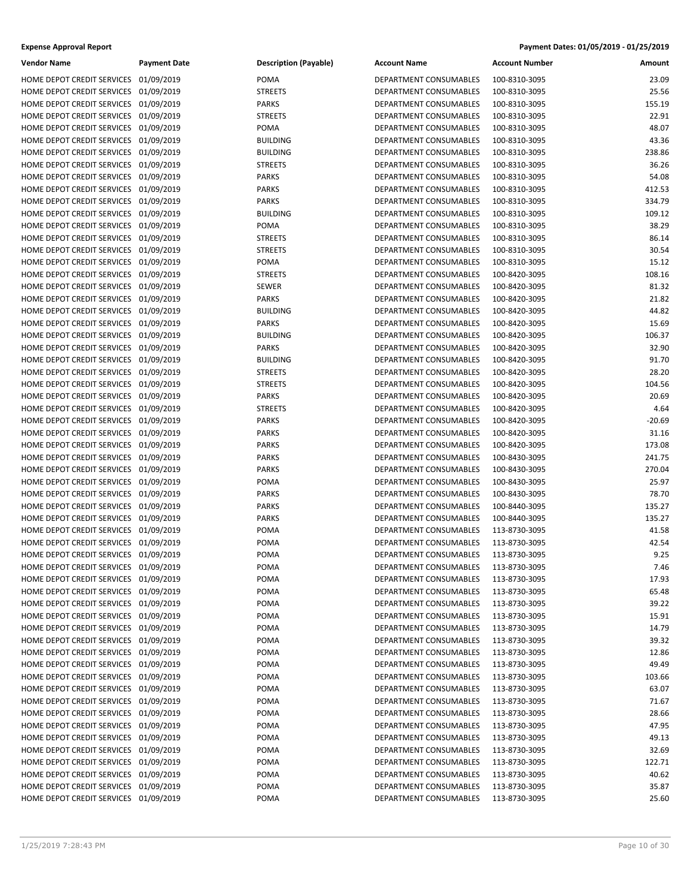| <b>Vendor Name</b>                    | <b>Payment Date</b> | <b>Description (Payable)</b> | <b>Account Name</b>           | <b>Account Number</b> | Amount   |
|---------------------------------------|---------------------|------------------------------|-------------------------------|-----------------------|----------|
| HOME DEPOT CREDIT SERVICES 01/09/2019 |                     | POMA                         | DEPARTMENT CONSUMABLES        | 100-8310-3095         | 23.09    |
| HOME DEPOT CREDIT SERVICES 01/09/2019 |                     | <b>STREETS</b>               | <b>DEPARTMENT CONSUMABLES</b> | 100-8310-3095         | 25.56    |
| HOME DEPOT CREDIT SERVICES 01/09/2019 |                     | <b>PARKS</b>                 | DEPARTMENT CONSUMABLES        | 100-8310-3095         | 155.19   |
| HOME DEPOT CREDIT SERVICES 01/09/2019 |                     | <b>STREETS</b>               | DEPARTMENT CONSUMABLES        | 100-8310-3095         | 22.91    |
| HOME DEPOT CREDIT SERVICES 01/09/2019 |                     | POMA                         | DEPARTMENT CONSUMABLES        | 100-8310-3095         | 48.07    |
| HOME DEPOT CREDIT SERVICES 01/09/2019 |                     | <b>BUILDING</b>              | DEPARTMENT CONSUMABLES        | 100-8310-3095         | 43.36    |
| HOME DEPOT CREDIT SERVICES 01/09/2019 |                     | <b>BUILDING</b>              | DEPARTMENT CONSUMABLES        | 100-8310-3095         | 238.86   |
| HOME DEPOT CREDIT SERVICES 01/09/2019 |                     | <b>STREETS</b>               | DEPARTMENT CONSUMABLES        | 100-8310-3095         | 36.26    |
| HOME DEPOT CREDIT SERVICES 01/09/2019 |                     | <b>PARKS</b>                 | DEPARTMENT CONSUMABLES        | 100-8310-3095         | 54.08    |
| HOME DEPOT CREDIT SERVICES 01/09/2019 |                     | <b>PARKS</b>                 | DEPARTMENT CONSUMABLES        | 100-8310-3095         | 412.53   |
| HOME DEPOT CREDIT SERVICES 01/09/2019 |                     | <b>PARKS</b>                 | <b>DEPARTMENT CONSUMABLES</b> | 100-8310-3095         | 334.79   |
| HOME DEPOT CREDIT SERVICES 01/09/2019 |                     | <b>BUILDING</b>              | DEPARTMENT CONSUMABLES        | 100-8310-3095         | 109.12   |
| HOME DEPOT CREDIT SERVICES 01/09/2019 |                     | POMA                         | DEPARTMENT CONSUMABLES        | 100-8310-3095         | 38.29    |
| HOME DEPOT CREDIT SERVICES 01/09/2019 |                     | <b>STREETS</b>               | DEPARTMENT CONSUMABLES        | 100-8310-3095         | 86.14    |
| HOME DEPOT CREDIT SERVICES 01/09/2019 |                     | <b>STREETS</b>               |                               |                       | 30.54    |
|                                       |                     |                              | DEPARTMENT CONSUMABLES        | 100-8310-3095         | 15.12    |
| HOME DEPOT CREDIT SERVICES 01/09/2019 |                     | POMA                         | DEPARTMENT CONSUMABLES        | 100-8310-3095         |          |
| HOME DEPOT CREDIT SERVICES 01/09/2019 |                     | <b>STREETS</b>               | DEPARTMENT CONSUMABLES        | 100-8420-3095         | 108.16   |
| HOME DEPOT CREDIT SERVICES 01/09/2019 |                     | <b>SEWER</b>                 | DEPARTMENT CONSUMABLES        | 100-8420-3095         | 81.32    |
| HOME DEPOT CREDIT SERVICES 01/09/2019 |                     | <b>PARKS</b>                 | DEPARTMENT CONSUMABLES        | 100-8420-3095         | 21.82    |
| HOME DEPOT CREDIT SERVICES 01/09/2019 |                     | <b>BUILDING</b>              | DEPARTMENT CONSUMABLES        | 100-8420-3095         | 44.82    |
| HOME DEPOT CREDIT SERVICES 01/09/2019 |                     | <b>PARKS</b>                 | DEPARTMENT CONSUMABLES        | 100-8420-3095         | 15.69    |
| HOME DEPOT CREDIT SERVICES 01/09/2019 |                     | <b>BUILDING</b>              | DEPARTMENT CONSUMABLES        | 100-8420-3095         | 106.37   |
| HOME DEPOT CREDIT SERVICES 01/09/2019 |                     | <b>PARKS</b>                 | DEPARTMENT CONSUMABLES        | 100-8420-3095         | 32.90    |
| HOME DEPOT CREDIT SERVICES 01/09/2019 |                     | <b>BUILDING</b>              | DEPARTMENT CONSUMABLES        | 100-8420-3095         | 91.70    |
| HOME DEPOT CREDIT SERVICES 01/09/2019 |                     | <b>STREETS</b>               | DEPARTMENT CONSUMABLES        | 100-8420-3095         | 28.20    |
| HOME DEPOT CREDIT SERVICES 01/09/2019 |                     | <b>STREETS</b>               | DEPARTMENT CONSUMABLES        | 100-8420-3095         | 104.56   |
| HOME DEPOT CREDIT SERVICES 01/09/2019 |                     | <b>PARKS</b>                 | DEPARTMENT CONSUMABLES        | 100-8420-3095         | 20.69    |
| HOME DEPOT CREDIT SERVICES 01/09/2019 |                     | <b>STREETS</b>               | DEPARTMENT CONSUMABLES        | 100-8420-3095         | 4.64     |
| HOME DEPOT CREDIT SERVICES 01/09/2019 |                     | <b>PARKS</b>                 | DEPARTMENT CONSUMABLES        | 100-8420-3095         | $-20.69$ |
| HOME DEPOT CREDIT SERVICES 01/09/2019 |                     | <b>PARKS</b>                 | DEPARTMENT CONSUMABLES        | 100-8420-3095         | 31.16    |
| HOME DEPOT CREDIT SERVICES 01/09/2019 |                     | <b>PARKS</b>                 | DEPARTMENT CONSUMABLES        | 100-8420-3095         | 173.08   |
| HOME DEPOT CREDIT SERVICES 01/09/2019 |                     | <b>PARKS</b>                 | DEPARTMENT CONSUMABLES        | 100-8430-3095         | 241.75   |
| HOME DEPOT CREDIT SERVICES 01/09/2019 |                     | <b>PARKS</b>                 | DEPARTMENT CONSUMABLES        | 100-8430-3095         | 270.04   |
| HOME DEPOT CREDIT SERVICES 01/09/2019 |                     | POMA                         | DEPARTMENT CONSUMABLES        | 100-8430-3095         | 25.97    |
| HOME DEPOT CREDIT SERVICES 01/09/2019 |                     | <b>PARKS</b>                 | DEPARTMENT CONSUMABLES        | 100-8430-3095         | 78.70    |
| HOME DEPOT CREDIT SERVICES 01/09/2019 |                     | <b>PARKS</b>                 | DEPARTMENT CONSUMABLES        | 100-8440-3095         | 135.27   |
| HOME DEPOT CREDIT SERVICES 01/09/2019 |                     | <b>PARKS</b>                 | DEPARTMENT CONSUMABLES        | 100-8440-3095         | 135.27   |
| HOME DEPOT CREDIT SERVICES 01/09/2019 |                     | POMA                         | DEPARTMENT CONSUMABLES        | 113-8730-3095         | 41.58    |
| HOME DEPOT CREDIT SERVICES 01/09/2019 |                     | POMA                         | DEPARTMENT CONSUMABLES        | 113-8730-3095         | 42.54    |
| HOME DEPOT CREDIT SERVICES 01/09/2019 |                     | POMA                         | DEPARTMENT CONSUMABLES        | 113-8730-3095         | 9.25     |
| HOME DEPOT CREDIT SERVICES 01/09/2019 |                     | POMA                         | DEPARTMENT CONSUMABLES        | 113-8730-3095         | 7.46     |
| HOME DEPOT CREDIT SERVICES 01/09/2019 |                     | POMA                         | DEPARTMENT CONSUMABLES        | 113-8730-3095         | 17.93    |
| HOME DEPOT CREDIT SERVICES 01/09/2019 |                     | POMA                         | DEPARTMENT CONSUMABLES        | 113-8730-3095         | 65.48    |
| HOME DEPOT CREDIT SERVICES 01/09/2019 |                     | POMA                         | DEPARTMENT CONSUMABLES        | 113-8730-3095         | 39.22    |
| HOME DEPOT CREDIT SERVICES 01/09/2019 |                     | POMA                         | DEPARTMENT CONSUMABLES        | 113-8730-3095         | 15.91    |
| HOME DEPOT CREDIT SERVICES 01/09/2019 |                     | POMA                         | DEPARTMENT CONSUMABLES        | 113-8730-3095         | 14.79    |
| HOME DEPOT CREDIT SERVICES 01/09/2019 |                     | POMA                         | DEPARTMENT CONSUMABLES        | 113-8730-3095         | 39.32    |
| HOME DEPOT CREDIT SERVICES 01/09/2019 |                     | POMA                         | DEPARTMENT CONSUMABLES        | 113-8730-3095         | 12.86    |
| HOME DEPOT CREDIT SERVICES 01/09/2019 |                     | POMA                         | DEPARTMENT CONSUMABLES        | 113-8730-3095         | 49.49    |
| HOME DEPOT CREDIT SERVICES 01/09/2019 |                     | POMA                         | DEPARTMENT CONSUMABLES        | 113-8730-3095         | 103.66   |
| HOME DEPOT CREDIT SERVICES 01/09/2019 |                     | POMA                         | DEPARTMENT CONSUMABLES        | 113-8730-3095         | 63.07    |
| HOME DEPOT CREDIT SERVICES 01/09/2019 |                     | POMA                         | DEPARTMENT CONSUMABLES        | 113-8730-3095         | 71.67    |
| HOME DEPOT CREDIT SERVICES 01/09/2019 |                     | POMA                         | DEPARTMENT CONSUMABLES        | 113-8730-3095         | 28.66    |
| HOME DEPOT CREDIT SERVICES 01/09/2019 |                     | POMA                         | DEPARTMENT CONSUMABLES        | 113-8730-3095         | 47.95    |
| HOME DEPOT CREDIT SERVICES 01/09/2019 |                     | POMA                         | DEPARTMENT CONSUMABLES        | 113-8730-3095         | 49.13    |
| HOME DEPOT CREDIT SERVICES 01/09/2019 |                     | POMA                         | DEPARTMENT CONSUMABLES        | 113-8730-3095         | 32.69    |
| HOME DEPOT CREDIT SERVICES 01/09/2019 |                     | POMA                         | DEPARTMENT CONSUMABLES        | 113-8730-3095         | 122.71   |
| HOME DEPOT CREDIT SERVICES 01/09/2019 |                     | POMA                         | DEPARTMENT CONSUMABLES        | 113-8730-3095         | 40.62    |
| HOME DEPOT CREDIT SERVICES 01/09/2019 |                     | POMA                         | DEPARTMENT CONSUMABLES        | 113-8730-3095         | 35.87    |
| HOME DEPOT CREDIT SERVICES 01/09/2019 |                     | POMA                         | DEPARTMENT CONSUMABLES        | 113-8730-3095         | 25.60    |
|                                       |                     |                              |                               |                       |          |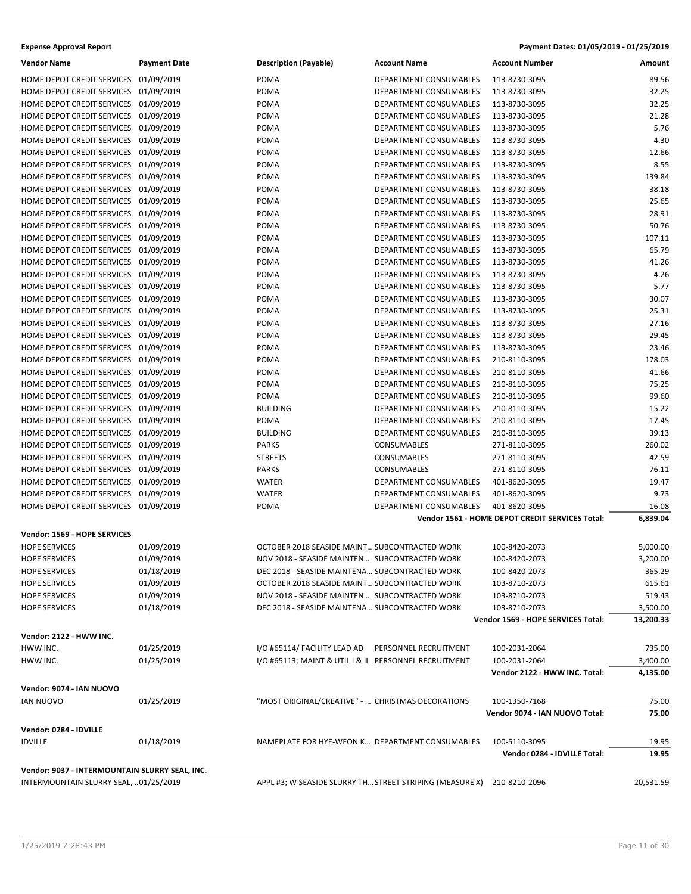| <b>Vendor Name</b>                             | <b>Payment Date</b> | <b>Description (Payable)</b>                                           | <b>Account Name</b>           | <b>Account Number</b>                           | Amount    |
|------------------------------------------------|---------------------|------------------------------------------------------------------------|-------------------------------|-------------------------------------------------|-----------|
| HOME DEPOT CREDIT SERVICES 01/09/2019          |                     | <b>POMA</b>                                                            | <b>DEPARTMENT CONSUMABLES</b> | 113-8730-3095                                   | 89.56     |
| HOME DEPOT CREDIT SERVICES                     | 01/09/2019          | <b>POMA</b>                                                            | DEPARTMENT CONSUMABLES        | 113-8730-3095                                   | 32.25     |
| HOME DEPOT CREDIT SERVICES 01/09/2019          |                     | <b>POMA</b>                                                            | DEPARTMENT CONSUMABLES        | 113-8730-3095                                   | 32.25     |
| HOME DEPOT CREDIT SERVICES 01/09/2019          |                     | <b>POMA</b>                                                            | DEPARTMENT CONSUMABLES        | 113-8730-3095                                   | 21.28     |
| HOME DEPOT CREDIT SERVICES 01/09/2019          |                     | POMA                                                                   | DEPARTMENT CONSUMABLES        | 113-8730-3095                                   | 5.76      |
|                                                |                     |                                                                        |                               | 113-8730-3095                                   | 4.30      |
| HOME DEPOT CREDIT SERVICES 01/09/2019          |                     | POMA                                                                   | DEPARTMENT CONSUMABLES        |                                                 |           |
| HOME DEPOT CREDIT SERVICES 01/09/2019          |                     | POMA                                                                   | DEPARTMENT CONSUMABLES        | 113-8730-3095                                   | 12.66     |
| HOME DEPOT CREDIT SERVICES 01/09/2019          |                     | <b>POMA</b>                                                            | DEPARTMENT CONSUMABLES        | 113-8730-3095                                   | 8.55      |
| HOME DEPOT CREDIT SERVICES 01/09/2019          |                     | <b>POMA</b>                                                            | <b>DEPARTMENT CONSUMABLES</b> | 113-8730-3095                                   | 139.84    |
| HOME DEPOT CREDIT SERVICES 01/09/2019          |                     | POMA                                                                   | <b>DEPARTMENT CONSUMABLES</b> | 113-8730-3095                                   | 38.18     |
| HOME DEPOT CREDIT SERVICES 01/09/2019          |                     | POMA                                                                   | DEPARTMENT CONSUMABLES        | 113-8730-3095                                   | 25.65     |
| HOME DEPOT CREDIT SERVICES 01/09/2019          |                     | POMA                                                                   | DEPARTMENT CONSUMABLES        | 113-8730-3095                                   | 28.91     |
| HOME DEPOT CREDIT SERVICES 01/09/2019          |                     | <b>POMA</b>                                                            | DEPARTMENT CONSUMABLES        | 113-8730-3095                                   | 50.76     |
| HOME DEPOT CREDIT SERVICES 01/09/2019          |                     | <b>POMA</b>                                                            | DEPARTMENT CONSUMABLES        | 113-8730-3095                                   | 107.11    |
| HOME DEPOT CREDIT SERVICES 01/09/2019          |                     | POMA                                                                   | DEPARTMENT CONSUMABLES        | 113-8730-3095                                   | 65.79     |
| HOME DEPOT CREDIT SERVICES 01/09/2019          |                     | POMA                                                                   | DEPARTMENT CONSUMABLES        | 113-8730-3095                                   | 41.26     |
| HOME DEPOT CREDIT SERVICES 01/09/2019          |                     | POMA                                                                   | DEPARTMENT CONSUMABLES        | 113-8730-3095                                   | 4.26      |
| HOME DEPOT CREDIT SERVICES 01/09/2019          |                     | <b>POMA</b>                                                            | DEPARTMENT CONSUMABLES        | 113-8730-3095                                   | 5.77      |
| HOME DEPOT CREDIT SERVICES 01/09/2019          |                     | <b>POMA</b>                                                            | DEPARTMENT CONSUMABLES        | 113-8730-3095                                   | 30.07     |
| HOME DEPOT CREDIT SERVICES 01/09/2019          |                     | POMA                                                                   | <b>DEPARTMENT CONSUMABLES</b> | 113-8730-3095                                   | 25.31     |
| HOME DEPOT CREDIT SERVICES 01/09/2019          |                     | POMA                                                                   | <b>DEPARTMENT CONSUMABLES</b> | 113-8730-3095                                   | 27.16     |
| HOME DEPOT CREDIT SERVICES 01/09/2019          |                     | POMA                                                                   | DEPARTMENT CONSUMABLES        | 113-8730-3095                                   | 29.45     |
| HOME DEPOT CREDIT SERVICES 01/09/2019          |                     | <b>POMA</b>                                                            | DEPARTMENT CONSUMABLES        | 113-8730-3095                                   | 23.46     |
|                                                |                     |                                                                        |                               |                                                 |           |
| HOME DEPOT CREDIT SERVICES 01/09/2019          |                     | <b>POMA</b>                                                            | DEPARTMENT CONSUMABLES        | 210-8110-3095                                   | 178.03    |
| HOME DEPOT CREDIT SERVICES 01/09/2019          |                     | POMA                                                                   | DEPARTMENT CONSUMABLES        | 210-8110-3095                                   | 41.66     |
| HOME DEPOT CREDIT SERVICES 01/09/2019          |                     | POMA                                                                   | DEPARTMENT CONSUMABLES        | 210-8110-3095                                   | 75.25     |
| HOME DEPOT CREDIT SERVICES 01/09/2019          |                     | <b>POMA</b>                                                            | DEPARTMENT CONSUMABLES        | 210-8110-3095                                   | 99.60     |
| HOME DEPOT CREDIT SERVICES 01/09/2019          |                     | <b>BUILDING</b>                                                        | DEPARTMENT CONSUMABLES        | 210-8110-3095                                   | 15.22     |
| HOME DEPOT CREDIT SERVICES 01/09/2019          |                     | <b>POMA</b>                                                            | DEPARTMENT CONSUMABLES        | 210-8110-3095                                   | 17.45     |
| HOME DEPOT CREDIT SERVICES 01/09/2019          |                     | <b>BUILDING</b>                                                        | DEPARTMENT CONSUMABLES        | 210-8110-3095                                   | 39.13     |
| HOME DEPOT CREDIT SERVICES 01/09/2019          |                     | <b>PARKS</b>                                                           | <b>CONSUMABLES</b>            | 271-8110-3095                                   | 260.02    |
| HOME DEPOT CREDIT SERVICES 01/09/2019          |                     | <b>STREETS</b>                                                         | CONSUMABLES                   | 271-8110-3095                                   | 42.59     |
| HOME DEPOT CREDIT SERVICES 01/09/2019          |                     | <b>PARKS</b>                                                           | <b>CONSUMABLES</b>            | 271-8110-3095                                   | 76.11     |
| HOME DEPOT CREDIT SERVICES 01/09/2019          |                     | <b>WATER</b>                                                           | DEPARTMENT CONSUMABLES        | 401-8620-3095                                   | 19.47     |
| HOME DEPOT CREDIT SERVICES 01/09/2019          |                     | <b>WATER</b>                                                           | DEPARTMENT CONSUMABLES        | 401-8620-3095                                   | 9.73      |
| HOME DEPOT CREDIT SERVICES 01/09/2019          |                     | POMA                                                                   | DEPARTMENT CONSUMABLES        | 401-8620-3095                                   | 16.08     |
|                                                |                     |                                                                        |                               | Vendor 1561 - HOME DEPOT CREDIT SERVICES Total: | 6,839.04  |
|                                                |                     |                                                                        |                               |                                                 |           |
| Vendor: 1569 - HOPE SERVICES                   |                     |                                                                        |                               |                                                 |           |
| <b>HOPE SERVICES</b>                           | 01/09/2019          | OCTOBER 2018 SEASIDE MAINT SUBCONTRACTED WORK                          |                               | 100-8420-2073                                   | 5,000.00  |
| <b>HOPE SERVICES</b>                           | 01/09/2019          | NOV 2018 - SEASIDE MAINTEN SUBCONTRACTED WORK                          |                               | 100-8420-2073                                   | 3,200.00  |
| <b>HOPE SERVICES</b>                           | 01/18/2019          | DEC 2018 - SEASIDE MAINTENA SUBCONTRACTED WORK                         |                               | 100-8420-2073                                   | 365.29    |
| <b>HOPE SERVICES</b>                           | 01/09/2019          | OCTOBER 2018 SEASIDE MAINT SUBCONTRACTED WORK                          |                               | 103-8710-2073                                   | 615.61    |
| <b>HOPE SERVICES</b>                           | 01/09/2019          | NOV 2018 - SEASIDE MAINTEN SUBCONTRACTED WORK                          |                               | 103-8710-2073                                   | 519.43    |
| <b>HOPE SERVICES</b>                           | 01/18/2019          | DEC 2018 - SEASIDE MAINTENA SUBCONTRACTED WORK                         |                               | 103-8710-2073                                   | 3,500.00  |
|                                                |                     |                                                                        |                               | Vendor 1569 - HOPE SERVICES Total:              | 13,200.33 |
|                                                |                     |                                                                        |                               |                                                 |           |
| Vendor: 2122 - HWW INC.                        |                     |                                                                        |                               |                                                 |           |
| HWW INC.                                       | 01/25/2019          | I/O #65114/ FACILITY LEAD AD                                           | PERSONNEL RECRUITMENT         | 100-2031-2064                                   | 735.00    |
| HWW INC.                                       | 01/25/2019          | I/O #65113; MAINT & UTIL I & II PERSONNEL RECRUITMENT                  |                               | 100-2031-2064                                   | 3,400.00  |
|                                                |                     |                                                                        |                               | Vendor 2122 - HWW INC. Total:                   | 4,135.00  |
| Vendor: 9074 - IAN NUOVO                       |                     |                                                                        |                               |                                                 |           |
| <b>IAN NUOVO</b>                               | 01/25/2019          | "MOST ORIGINAL/CREATIVE" -  CHRISTMAS DECORATIONS                      |                               | 100-1350-7168                                   | 75.00     |
|                                                |                     |                                                                        |                               | Vendor 9074 - IAN NUOVO Total:                  | 75.00     |
|                                                |                     |                                                                        |                               |                                                 |           |
| Vendor: 0284 - IDVILLE                         |                     |                                                                        |                               |                                                 |           |
| <b>IDVILLE</b>                                 | 01/18/2019          | NAMEPLATE FOR HYE-WEON K DEPARTMENT CONSUMABLES                        |                               | 100-5110-3095                                   | 19.95     |
|                                                |                     |                                                                        |                               | Vendor 0284 - IDVILLE Total:                    | 19.95     |
| Vendor: 9037 - INTERMOUNTAIN SLURRY SEAL, INC. |                     |                                                                        |                               |                                                 |           |
| INTERMOUNTAIN SLURRY SEAL, 01/25/2019          |                     | APPL #3; W SEASIDE SLURRY TH STREET STRIPING (MEASURE X) 210-8210-2096 |                               |                                                 | 20,531.59 |
|                                                |                     |                                                                        |                               |                                                 |           |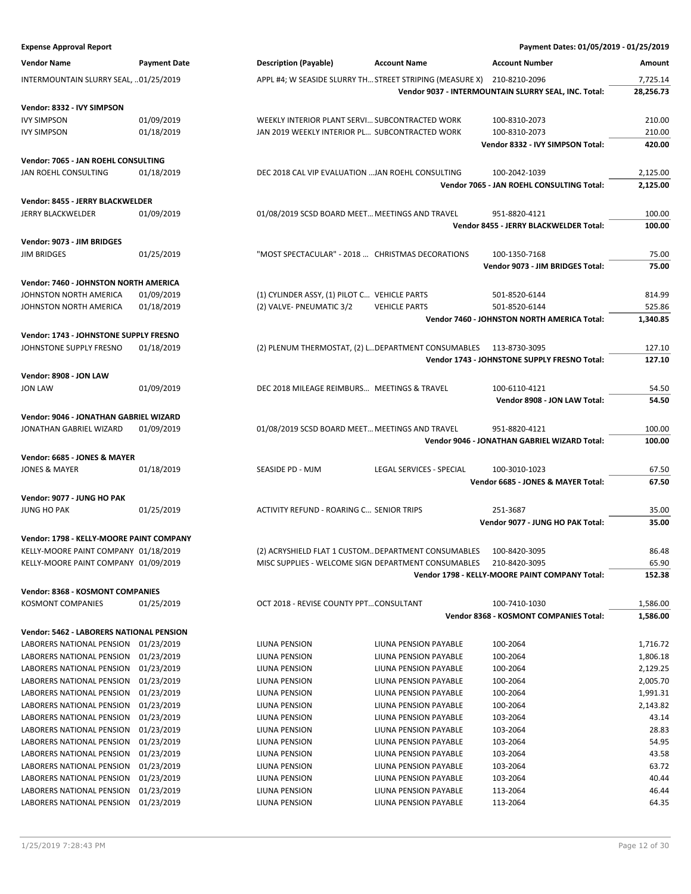| <b>Expense Approval Report</b>                                    |                          |                                                                          |                                                | Payment Dates: 01/05/2019 - 01/25/2019               |                      |
|-------------------------------------------------------------------|--------------------------|--------------------------------------------------------------------------|------------------------------------------------|------------------------------------------------------|----------------------|
| <b>Vendor Name</b>                                                | <b>Payment Date</b>      | <b>Description (Payable)</b>                                             | <b>Account Name</b>                            | <b>Account Number</b>                                | Amount               |
| INTERMOUNTAIN SLURRY SEAL, 01/25/2019                             |                          | APPL #4; W SEASIDE SLURRY TH STREET STRIPING (MEASURE X) 210-8210-2096   |                                                |                                                      | 7,725.14             |
|                                                                   |                          |                                                                          |                                                | Vendor 9037 - INTERMOUNTAIN SLURRY SEAL, INC. Total: | 28,256.73            |
| Vendor: 8332 - IVY SIMPSON                                        |                          |                                                                          |                                                |                                                      |                      |
| <b>IVY SIMPSON</b>                                                | 01/09/2019               | WEEKLY INTERIOR PLANT SERVI SUBCONTRACTED WORK                           |                                                | 100-8310-2073                                        | 210.00               |
| <b>IVY SIMPSON</b>                                                | 01/18/2019               | JAN 2019 WEEKLY INTERIOR PL SUBCONTRACTED WORK                           |                                                | 100-8310-2073                                        | 210.00               |
|                                                                   |                          |                                                                          |                                                | Vendor 8332 - IVY SIMPSON Total:                     | 420.00               |
| Vendor: 7065 - JAN ROEHL CONSULTING                               |                          |                                                                          |                                                |                                                      |                      |
| JAN ROEHL CONSULTING                                              | 01/18/2019               | DEC 2018 CAL VIP EVALUATION  JAN ROEHL CONSULTING                        |                                                | 100-2042-1039                                        | 2,125.00             |
|                                                                   |                          |                                                                          |                                                | Vendor 7065 - JAN ROEHL CONSULTING Total:            | 2,125.00             |
| Vendor: 8455 - JERRY BLACKWELDER                                  |                          |                                                                          |                                                |                                                      |                      |
| <b>JERRY BLACKWELDER</b>                                          | 01/09/2019               | 01/08/2019 SCSD BOARD MEET MEETINGS AND TRAVEL                           |                                                | 951-8820-4121                                        | 100.00               |
|                                                                   |                          |                                                                          |                                                | Vendor 8455 - JERRY BLACKWELDER Total:               | 100.00               |
| Vendor: 9073 - JIM BRIDGES                                        |                          |                                                                          |                                                |                                                      |                      |
| <b>JIM BRIDGES</b>                                                | 01/25/2019               | "MOST SPECTACULAR" - 2018  CHRISTMAS DECORATIONS                         |                                                | 100-1350-7168<br>Vendor 9073 - JIM BRIDGES Total:    | 75.00<br>75.00       |
|                                                                   |                          |                                                                          |                                                |                                                      |                      |
| <b>Vendor: 7460 - JOHNSTON NORTH AMERICA</b>                      |                          |                                                                          |                                                |                                                      |                      |
| JOHNSTON NORTH AMERICA<br>JOHNSTON NORTH AMERICA                  | 01/09/2019<br>01/18/2019 | (1) CYLINDER ASSY, (1) PILOT C VEHICLE PARTS<br>(2) VALVE- PNEUMATIC 3/2 | <b>VEHICLE PARTS</b>                           | 501-8520-6144<br>501-8520-6144                       | 814.99<br>525.86     |
|                                                                   |                          |                                                                          |                                                | Vendor 7460 - JOHNSTON NORTH AMERICA Total:          | 1,340.85             |
| Vendor: 1743 - JOHNSTONE SUPPLY FRESNO                            |                          |                                                                          |                                                |                                                      |                      |
| JOHNSTONE SUPPLY FRESNO                                           | 01/18/2019               | (2) PLENUM THERMOSTAT, (2) LDEPARTMENT CONSUMABLES 113-8730-3095         |                                                |                                                      | 127.10               |
|                                                                   |                          |                                                                          |                                                | Vendor 1743 - JOHNSTONE SUPPLY FRESNO Total:         | 127.10               |
| Vendor: 8908 - JON LAW                                            |                          |                                                                          |                                                |                                                      |                      |
| <b>JON LAW</b>                                                    | 01/09/2019               | DEC 2018 MILEAGE REIMBURS MEETINGS & TRAVEL                              |                                                | 100-6110-4121                                        | 54.50                |
|                                                                   |                          |                                                                          |                                                | Vendor 8908 - JON LAW Total:                         | 54.50                |
| Vendor: 9046 - JONATHAN GABRIEL WIZARD                            |                          |                                                                          |                                                |                                                      |                      |
| JONATHAN GABRIEL WIZARD                                           | 01/09/2019               | 01/08/2019 SCSD BOARD MEET MEETINGS AND TRAVEL                           |                                                | 951-8820-4121                                        | 100.00               |
|                                                                   |                          |                                                                          |                                                | Vendor 9046 - JONATHAN GABRIEL WIZARD Total:         | 100.00               |
| Vendor: 6685 - JONES & MAYER                                      |                          |                                                                          |                                                |                                                      |                      |
| <b>JONES &amp; MAYER</b>                                          | 01/18/2019               | SEASIDE PD - MJM                                                         | LEGAL SERVICES - SPECIAL                       | 100-3010-1023                                        | 67.50                |
|                                                                   |                          |                                                                          |                                                | Vendor 6685 - JONES & MAYER Total:                   | 67.50                |
| Vendor: 9077 - JUNG HO PAK                                        |                          |                                                                          |                                                |                                                      |                      |
| <b>JUNG HO PAK</b>                                                | 01/25/2019               | ACTIVITY REFUND - ROARING C SENIOR TRIPS                                 |                                                | 251-3687                                             | 35.00                |
|                                                                   |                          |                                                                          |                                                | Vendor 9077 - JUNG HO PAK Total:                     | 35.00                |
| Vendor: 1798 - KELLY-MOORE PAINT COMPANY                          |                          |                                                                          |                                                |                                                      |                      |
| KELLY-MOORE PAINT COMPANY 01/18/2019                              |                          | (2) ACRYSHIELD FLAT 1 CUSTOM DEPARTMENT CONSUMABLES                      |                                                | 100-8420-3095                                        | 86.48                |
| KELLY-MOORE PAINT COMPANY 01/09/2019                              |                          | MISC SUPPLIES - WELCOME SIGN DEPARTMENT CONSUMABLES                      |                                                | 210-8420-3095                                        | 65.90                |
|                                                                   |                          |                                                                          |                                                | Vendor 1798 - KELLY-MOORE PAINT COMPANY Total:       | 152.38               |
| Vendor: 8368 - KOSMONT COMPANIES                                  |                          |                                                                          |                                                |                                                      |                      |
| <b>KOSMONT COMPANIES</b>                                          | 01/25/2019               | OCT 2018 - REVISE COUNTY PPTCONSULTANT                                   |                                                | 100-7410-1030                                        | 1,586.00             |
|                                                                   |                          |                                                                          |                                                | Vendor 8368 - KOSMONT COMPANIES Total:               | 1,586.00             |
| Vendor: 5462 - LABORERS NATIONAL PENSION                          |                          |                                                                          |                                                |                                                      |                      |
| LABORERS NATIONAL PENSION 01/23/2019                              |                          | LIUNA PENSION                                                            | LIUNA PENSION PAYABLE                          | 100-2064                                             | 1,716.72             |
| LABORERS NATIONAL PENSION                                         | 01/23/2019               | LIUNA PENSION<br>LIUNA PENSION                                           | LIUNA PENSION PAYABLE<br>LIUNA PENSION PAYABLE | 100-2064<br>100-2064                                 | 1,806.18             |
| LABORERS NATIONAL PENSION 01/23/2019<br>LABORERS NATIONAL PENSION | 01/23/2019               | LIUNA PENSION                                                            | LIUNA PENSION PAYABLE                          | 100-2064                                             | 2,129.25<br>2,005.70 |
| LABORERS NATIONAL PENSION                                         | 01/23/2019               | LIUNA PENSION                                                            | LIUNA PENSION PAYABLE                          | 100-2064                                             | 1,991.31             |
| LABORERS NATIONAL PENSION                                         | 01/23/2019               | LIUNA PENSION                                                            | LIUNA PENSION PAYABLE                          | 100-2064                                             | 2,143.82             |
| LABORERS NATIONAL PENSION                                         | 01/23/2019               | LIUNA PENSION                                                            | LIUNA PENSION PAYABLE                          | 103-2064                                             | 43.14                |
| LABORERS NATIONAL PENSION                                         | 01/23/2019               | LIUNA PENSION                                                            | LIUNA PENSION PAYABLE                          | 103-2064                                             | 28.83                |
| LABORERS NATIONAL PENSION                                         | 01/23/2019               | LIUNA PENSION                                                            | LIUNA PENSION PAYABLE                          | 103-2064                                             | 54.95                |
| LABORERS NATIONAL PENSION                                         | 01/23/2019               | LIUNA PENSION                                                            | LIUNA PENSION PAYABLE                          | 103-2064                                             | 43.58                |
| LABORERS NATIONAL PENSION                                         | 01/23/2019               | LIUNA PENSION                                                            | LIUNA PENSION PAYABLE                          | 103-2064                                             | 63.72<br>40.44       |
| LABORERS NATIONAL PENSION<br>LABORERS NATIONAL PENSION            | 01/23/2019<br>01/23/2019 | LIUNA PENSION<br>LIUNA PENSION                                           | LIUNA PENSION PAYABLE<br>LIUNA PENSION PAYABLE | 103-2064<br>113-2064                                 | 46.44                |
| LABORERS NATIONAL PENSION 01/23/2019                              |                          | LIUNA PENSION                                                            | LIUNA PENSION PAYABLE                          | 113-2064                                             | 64.35                |
|                                                                   |                          |                                                                          |                                                |                                                      |                      |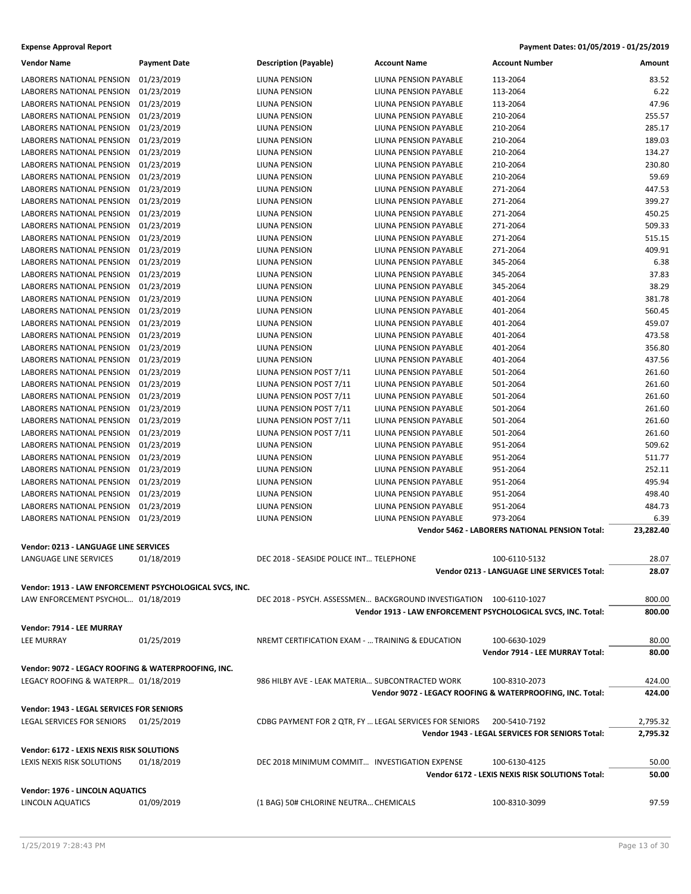| Vendor Name                                         | <b>Payment Date</b>                                     | <b>Description (Payable)</b>                           | <b>Account Name</b>                                                | <b>Account Number</b>                                         | Amount           |
|-----------------------------------------------------|---------------------------------------------------------|--------------------------------------------------------|--------------------------------------------------------------------|---------------------------------------------------------------|------------------|
| LABORERS NATIONAL PENSION                           | 01/23/2019                                              | LIUNA PENSION                                          | LIUNA PENSION PAYABLE                                              | 113-2064                                                      | 83.52            |
| LABORERS NATIONAL PENSION                           | 01/23/2019                                              | LIUNA PENSION                                          | LIUNA PENSION PAYABLE                                              | 113-2064                                                      | 6.22             |
| LABORERS NATIONAL PENSION                           | 01/23/2019                                              | LIUNA PENSION                                          | LIUNA PENSION PAYABLE                                              | 113-2064                                                      | 47.96            |
| LABORERS NATIONAL PENSION                           | 01/23/2019                                              | LIUNA PENSION                                          | LIUNA PENSION PAYABLE                                              | 210-2064                                                      | 255.57           |
| LABORERS NATIONAL PENSION                           | 01/23/2019                                              | LIUNA PENSION                                          | LIUNA PENSION PAYABLE                                              | 210-2064                                                      | 285.17           |
| LABORERS NATIONAL PENSION                           | 01/23/2019                                              | LIUNA PENSION                                          | LIUNA PENSION PAYABLE                                              | 210-2064                                                      | 189.03           |
| LABORERS NATIONAL PENSION                           | 01/23/2019                                              | LIUNA PENSION                                          | LIUNA PENSION PAYABLE                                              | 210-2064                                                      | 134.27           |
| LABORERS NATIONAL PENSION                           | 01/23/2019                                              |                                                        | LIUNA PENSION PAYABLE                                              | 210-2064                                                      | 230.80           |
| <b>LABORERS NATIONAL PENSION</b>                    |                                                         | LIUNA PENSION                                          |                                                                    |                                                               | 59.69            |
|                                                     | 01/23/2019                                              | LIUNA PENSION                                          | LIUNA PENSION PAYABLE                                              | 210-2064                                                      |                  |
| LABORERS NATIONAL PENSION                           | 01/23/2019                                              | LIUNA PENSION                                          | LIUNA PENSION PAYABLE                                              | 271-2064                                                      | 447.53<br>399.27 |
| LABORERS NATIONAL PENSION                           | 01/23/2019                                              | LIUNA PENSION                                          | LIUNA PENSION PAYABLE                                              | 271-2064                                                      |                  |
| LABORERS NATIONAL PENSION                           | 01/23/2019                                              | LIUNA PENSION                                          | LIUNA PENSION PAYABLE                                              | 271-2064                                                      | 450.25           |
| LABORERS NATIONAL PENSION                           | 01/23/2019                                              | LIUNA PENSION                                          | LIUNA PENSION PAYABLE                                              | 271-2064                                                      | 509.33           |
| LABORERS NATIONAL PENSION                           | 01/23/2019                                              | LIUNA PENSION                                          | LIUNA PENSION PAYABLE                                              | 271-2064                                                      | 515.15           |
| LABORERS NATIONAL PENSION                           | 01/23/2019                                              | LIUNA PENSION                                          | LIUNA PENSION PAYABLE                                              | 271-2064                                                      | 409.91           |
| LABORERS NATIONAL PENSION                           | 01/23/2019                                              | LIUNA PENSION                                          | LIUNA PENSION PAYABLE                                              | 345-2064                                                      | 6.38             |
| LABORERS NATIONAL PENSION                           | 01/23/2019                                              | LIUNA PENSION                                          | LIUNA PENSION PAYABLE                                              | 345-2064                                                      | 37.83            |
| LABORERS NATIONAL PENSION                           | 01/23/2019                                              | LIUNA PENSION                                          | LIUNA PENSION PAYABLE                                              | 345-2064                                                      | 38.29            |
| LABORERS NATIONAL PENSION                           | 01/23/2019                                              | LIUNA PENSION                                          | LIUNA PENSION PAYABLE                                              | 401-2064                                                      | 381.78           |
| LABORERS NATIONAL PENSION                           | 01/23/2019                                              | LIUNA PENSION                                          | LIUNA PENSION PAYABLE                                              | 401-2064                                                      | 560.45           |
| LABORERS NATIONAL PENSION                           | 01/23/2019                                              | LIUNA PENSION                                          | LIUNA PENSION PAYABLE                                              | 401-2064                                                      | 459.07           |
| LABORERS NATIONAL PENSION                           | 01/23/2019                                              | LIUNA PENSION                                          | LIUNA PENSION PAYABLE                                              | 401-2064                                                      | 473.58           |
| LABORERS NATIONAL PENSION                           | 01/23/2019                                              | LIUNA PENSION                                          | LIUNA PENSION PAYABLE                                              | 401-2064                                                      | 356.80           |
| LABORERS NATIONAL PENSION                           | 01/23/2019                                              | LIUNA PENSION                                          | LIUNA PENSION PAYABLE                                              | 401-2064                                                      | 437.56           |
| LABORERS NATIONAL PENSION                           | 01/23/2019                                              | LIUNA PENSION POST 7/11                                | LIUNA PENSION PAYABLE                                              | 501-2064                                                      | 261.60           |
| LABORERS NATIONAL PENSION                           | 01/23/2019                                              | LIUNA PENSION POST 7/11                                | LIUNA PENSION PAYABLE                                              | 501-2064                                                      | 261.60           |
| LABORERS NATIONAL PENSION                           | 01/23/2019                                              | LIUNA PENSION POST 7/11                                | LIUNA PENSION PAYABLE                                              | 501-2064                                                      | 261.60           |
| LABORERS NATIONAL PENSION                           | 01/23/2019                                              | LIUNA PENSION POST 7/11                                | LIUNA PENSION PAYABLE                                              | 501-2064                                                      | 261.60           |
| LABORERS NATIONAL PENSION                           | 01/23/2019                                              | LIUNA PENSION POST 7/11                                | LIUNA PENSION PAYABLE                                              | 501-2064                                                      | 261.60           |
| LABORERS NATIONAL PENSION                           | 01/23/2019                                              | LIUNA PENSION POST 7/11                                | LIUNA PENSION PAYABLE                                              | 501-2064                                                      | 261.60           |
| LABORERS NATIONAL PENSION                           | 01/23/2019                                              | LIUNA PENSION                                          | LIUNA PENSION PAYABLE                                              | 951-2064                                                      | 509.62           |
| LABORERS NATIONAL PENSION                           | 01/23/2019                                              | LIUNA PENSION                                          | LIUNA PENSION PAYABLE                                              | 951-2064                                                      | 511.77           |
| LABORERS NATIONAL PENSION                           | 01/23/2019                                              | LIUNA PENSION                                          | LIUNA PENSION PAYABLE                                              | 951-2064                                                      | 252.11           |
| LABORERS NATIONAL PENSION                           | 01/23/2019                                              | LIUNA PENSION                                          | LIUNA PENSION PAYABLE                                              | 951-2064                                                      | 495.94           |
| LABORERS NATIONAL PENSION                           | 01/23/2019                                              | LIUNA PENSION                                          | LIUNA PENSION PAYABLE                                              | 951-2064                                                      | 498.40           |
| LABORERS NATIONAL PENSION                           | 01/23/2019                                              | LIUNA PENSION                                          | LIUNA PENSION PAYABLE                                              | 951-2064                                                      | 484.73           |
| LABORERS NATIONAL PENSION                           | 01/23/2019                                              | LIUNA PENSION                                          | LIUNA PENSION PAYABLE                                              | 973-2064                                                      | 6.39             |
|                                                     |                                                         |                                                        |                                                                    | Vendor 5462 - LABORERS NATIONAL PENSION Total:                | 23,282.40        |
| <b>Vendor: 0213 - LANGUAGE LINE SERVICES</b>        |                                                         |                                                        |                                                                    |                                                               |                  |
| LANGUAGE LINE SERVICES                              | 01/18/2019                                              | DEC 2018 - SEASIDE POLICE INT TELEPHONE                |                                                                    | 100-6110-5132                                                 | 28.07            |
|                                                     |                                                         |                                                        |                                                                    | Vendor 0213 - LANGUAGE LINE SERVICES Total:                   | 28.07            |
|                                                     |                                                         |                                                        |                                                                    |                                                               |                  |
|                                                     | Vendor: 1913 - LAW ENFORCEMENT PSYCHOLOGICAL SVCS, INC. |                                                        |                                                                    |                                                               |                  |
| LAW ENFORCEMENT PSYCHOL 01/18/2019                  |                                                         |                                                        | DEC 2018 - PSYCH. ASSESSMEN BACKGROUND INVESTIGATION 100-6110-1027 |                                                               | 800.00           |
|                                                     |                                                         |                                                        |                                                                    | Vendor 1913 - LAW ENFORCEMENT PSYCHOLOGICAL SVCS, INC. Total: | 800.00           |
| Vendor: 7914 - LEE MURRAY                           |                                                         |                                                        |                                                                    |                                                               |                  |
| <b>LEE MURRAY</b>                                   | 01/25/2019                                              | NREMT CERTIFICATION EXAM -  TRAINING & EDUCATION       |                                                                    | 100-6630-1029                                                 | 80.00            |
|                                                     |                                                         |                                                        |                                                                    | Vendor 7914 - LEE MURRAY Total:                               | 80.00            |
| Vendor: 9072 - LEGACY ROOFING & WATERPROOFING, INC. |                                                         |                                                        |                                                                    |                                                               |                  |
|                                                     |                                                         |                                                        |                                                                    |                                                               |                  |
| LEGACY ROOFING & WATERPR 01/18/2019                 |                                                         | 986 HILBY AVE - LEAK MATERIA SUBCONTRACTED WORK        |                                                                    | 100-8310-2073                                                 | 424.00           |
|                                                     |                                                         |                                                        |                                                                    | Vendor 9072 - LEGACY ROOFING & WATERPROOFING, INC. Total:     | 424.00           |
| Vendor: 1943 - LEGAL SERVICES FOR SENIORS           |                                                         |                                                        |                                                                    |                                                               |                  |
| LEGAL SERVICES FOR SENIORS                          | 01/25/2019                                              | CDBG PAYMENT FOR 2 QTR, FY  LEGAL SERVICES FOR SENIORS |                                                                    | 200-5410-7192                                                 | 2,795.32         |
|                                                     |                                                         |                                                        |                                                                    | Vendor 1943 - LEGAL SERVICES FOR SENIORS Total:               | 2,795.32         |
| Vendor: 6172 - LEXIS NEXIS RISK SOLUTIONS           |                                                         |                                                        |                                                                    |                                                               |                  |
| LEXIS NEXIS RISK SOLUTIONS                          | 01/18/2019                                              | DEC 2018 MINIMUM COMMIT INVESTIGATION EXPENSE          |                                                                    | 100-6130-4125                                                 | 50.00            |
|                                                     |                                                         |                                                        |                                                                    | Vendor 6172 - LEXIS NEXIS RISK SOLUTIONS Total:               | 50.00            |
|                                                     |                                                         |                                                        |                                                                    |                                                               |                  |
| Vendor: 1976 - LINCOLN AQUATICS                     |                                                         |                                                        |                                                                    |                                                               |                  |
| LINCOLN AQUATICS                                    | 01/09/2019                                              | (1 BAG) 50# CHLORINE NEUTRA CHEMICALS                  |                                                                    | 100-8310-3099                                                 | 97.59            |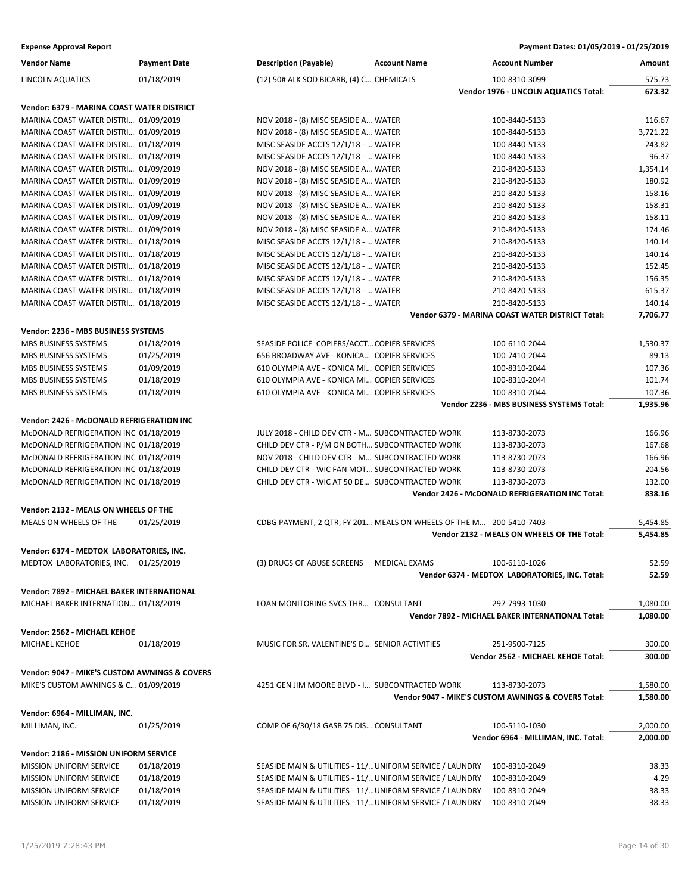| <b>Vendor Name</b>                            | <b>Payment Date</b> | <b>Description (Payable)</b>                     | <b>Account Name</b>                                                | <b>Account Number</b>                               | Amount   |
|-----------------------------------------------|---------------------|--------------------------------------------------|--------------------------------------------------------------------|-----------------------------------------------------|----------|
| LINCOLN AQUATICS                              | 01/18/2019          | (12) 50# ALK SOD BICARB, (4) C CHEMICALS         |                                                                    | 100-8310-3099                                       | 575.73   |
|                                               |                     |                                                  |                                                                    | Vendor 1976 - LINCOLN AQUATICS Total:               | 673.32   |
| Vendor: 6379 - MARINA COAST WATER DISTRICT    |                     |                                                  |                                                                    |                                                     |          |
| MARINA COAST WATER DISTRI 01/09/2019          |                     | NOV 2018 - (8) MISC SEASIDE A WATER              |                                                                    | 100-8440-5133                                       | 116.67   |
| MARINA COAST WATER DISTRI 01/09/2019          |                     | NOV 2018 - (8) MISC SEASIDE A WATER              |                                                                    | 100-8440-5133                                       | 3,721.22 |
| MARINA COAST WATER DISTRI 01/18/2019          |                     | MISC SEASIDE ACCTS 12/1/18 -  WATER              |                                                                    | 100-8440-5133                                       | 243.82   |
| MARINA COAST WATER DISTRI 01/18/2019          |                     | MISC SEASIDE ACCTS 12/1/18 -  WATER              |                                                                    | 100-8440-5133                                       | 96.37    |
| MARINA COAST WATER DISTRI 01/09/2019          |                     | NOV 2018 - (8) MISC SEASIDE A WATER              |                                                                    | 210-8420-5133                                       | 1,354.14 |
| MARINA COAST WATER DISTRI 01/09/2019          |                     | NOV 2018 - (8) MISC SEASIDE A WATER              |                                                                    | 210-8420-5133                                       | 180.92   |
| MARINA COAST WATER DISTRI 01/09/2019          |                     | NOV 2018 - (8) MISC SEASIDE A WATER              |                                                                    | 210-8420-5133                                       | 158.16   |
| MARINA COAST WATER DISTRI 01/09/2019          |                     | NOV 2018 - (8) MISC SEASIDE A WATER              |                                                                    | 210-8420-5133                                       | 158.31   |
| MARINA COAST WATER DISTRI 01/09/2019          |                     | NOV 2018 - (8) MISC SEASIDE A WATER              |                                                                    | 210-8420-5133                                       | 158.11   |
| MARINA COAST WATER DISTRI 01/09/2019          |                     | NOV 2018 - (8) MISC SEASIDE A WATER              |                                                                    | 210-8420-5133                                       | 174.46   |
| MARINA COAST WATER DISTRI 01/18/2019          |                     | MISC SEASIDE ACCTS 12/1/18 -  WATER              |                                                                    | 210-8420-5133                                       | 140.14   |
| MARINA COAST WATER DISTRI 01/18/2019          |                     | MISC SEASIDE ACCTS 12/1/18 -  WATER              |                                                                    | 210-8420-5133                                       | 140.14   |
| MARINA COAST WATER DISTRI 01/18/2019          |                     | MISC SEASIDE ACCTS 12/1/18 -  WATER              |                                                                    | 210-8420-5133                                       | 152.45   |
| MARINA COAST WATER DISTRI 01/18/2019          |                     | MISC SEASIDE ACCTS 12/1/18 -  WATER              |                                                                    | 210-8420-5133                                       | 156.35   |
| MARINA COAST WATER DISTRI 01/18/2019          |                     | MISC SEASIDE ACCTS 12/1/18 -  WATER              |                                                                    | 210-8420-5133                                       | 615.37   |
| MARINA COAST WATER DISTRI 01/18/2019          |                     | MISC SEASIDE ACCTS 12/1/18 -  WATER              |                                                                    | 210-8420-5133                                       | 140.14   |
|                                               |                     |                                                  |                                                                    | Vendor 6379 - MARINA COAST WATER DISTRICT Total:    | 7,706.77 |
|                                               |                     |                                                  |                                                                    |                                                     |          |
| Vendor: 2236 - MBS BUSINESS SYSTEMS           |                     |                                                  |                                                                    |                                                     |          |
| MBS BUSINESS SYSTEMS                          | 01/18/2019          | SEASIDE POLICE COPIERS/ACCT COPIER SERVICES      |                                                                    | 100-6110-2044                                       | 1,530.37 |
| MBS BUSINESS SYSTEMS                          | 01/25/2019          | 656 BROADWAY AVE - KONICA COPIER SERVICES        |                                                                    | 100-7410-2044                                       | 89.13    |
| MBS BUSINESS SYSTEMS                          | 01/09/2019          | 610 OLYMPIA AVE - KONICA MI COPIER SERVICES      |                                                                    | 100-8310-2044                                       | 107.36   |
| MBS BUSINESS SYSTEMS                          | 01/18/2019          | 610 OLYMPIA AVE - KONICA MI COPIER SERVICES      |                                                                    | 100-8310-2044                                       | 101.74   |
| MBS BUSINESS SYSTEMS                          | 01/18/2019          | 610 OLYMPIA AVE - KONICA MI COPIER SERVICES      |                                                                    | 100-8310-2044                                       | 107.36   |
|                                               |                     |                                                  |                                                                    | Vendor 2236 - MBS BUSINESS SYSTEMS Total:           | 1,935.96 |
| Vendor: 2426 - McDONALD REFRIGERATION INC     |                     |                                                  |                                                                    |                                                     |          |
| McDONALD REFRIGERATION INC 01/18/2019         |                     | JULY 2018 - CHILD DEV CTR - M SUBCONTRACTED WORK |                                                                    | 113-8730-2073                                       | 166.96   |
| McDONALD REFRIGERATION INC 01/18/2019         |                     | CHILD DEV CTR - P/M ON BOTH SUBCONTRACTED WORK   |                                                                    | 113-8730-2073                                       | 167.68   |
| McDONALD REFRIGERATION INC 01/18/2019         |                     | NOV 2018 - CHILD DEV CTR - M SUBCONTRACTED WORK  |                                                                    | 113-8730-2073                                       | 166.96   |
| McDONALD REFRIGERATION INC 01/18/2019         |                     | CHILD DEV CTR - WIC FAN MOT SUBCONTRACTED WORK   |                                                                    | 113-8730-2073                                       | 204.56   |
| McDONALD REFRIGERATION INC 01/18/2019         |                     | CHILD DEV CTR - WIC AT 50 DE SUBCONTRACTED WORK  |                                                                    | 113-8730-2073                                       | 132.00   |
|                                               |                     |                                                  |                                                                    | Vendor 2426 - McDONALD REFRIGERATION INC Total:     | 838.16   |
| Vendor: 2132 - MEALS ON WHEELS OF THE         |                     |                                                  |                                                                    |                                                     |          |
| MEALS ON WHEELS OF THE                        | 01/25/2019          |                                                  | CDBG PAYMENT, 2 QTR, FY 201 MEALS ON WHEELS OF THE M 200-5410-7403 |                                                     | 5,454.85 |
|                                               |                     |                                                  |                                                                    | Vendor 2132 - MEALS ON WHEELS OF THE Total:         | 5,454.85 |
| Vendor: 6374 - MEDTOX LABORATORIES, INC.      |                     |                                                  |                                                                    |                                                     |          |
| MEDTOX LABORATORIES, INC. 01/25/2019          |                     | (3) DRUGS OF ABUSE SCREENS MEDICAL EXAMS         |                                                                    | 100-6110-1026                                       | 52.59    |
|                                               |                     |                                                  |                                                                    | Vendor 6374 - MEDTOX LABORATORIES, INC. Total:      | 52.59    |
|                                               |                     |                                                  |                                                                    |                                                     |          |
| Vendor: 7892 - MICHAEL BAKER INTERNATIONAL    |                     |                                                  |                                                                    |                                                     |          |
| MICHAEL BAKER INTERNATION 01/18/2019          |                     | LOAN MONITORING SVCS THR CONSULTANT              |                                                                    | 297-7993-1030                                       | 1,080.00 |
|                                               |                     |                                                  |                                                                    | Vendor 7892 - MICHAEL BAKER INTERNATIONAL Total:    | 1,080.00 |
| Vendor: 2562 - MICHAEL KEHOE                  |                     |                                                  |                                                                    |                                                     |          |
| MICHAEL KEHOE                                 | 01/18/2019          | MUSIC FOR SR. VALENTINE'S D SENIOR ACTIVITIES    |                                                                    | 251-9500-7125                                       | 300.00   |
|                                               |                     |                                                  |                                                                    | Vendor 2562 - MICHAEL KEHOE Total:                  | 300.00   |
| Vendor: 9047 - MIKE'S CUSTOM AWNINGS & COVERS |                     |                                                  |                                                                    |                                                     |          |
| MIKE'S CUSTOM AWNINGS & C 01/09/2019          |                     | 4251 GEN JIM MOORE BLVD - I SUBCONTRACTED WORK   |                                                                    | 113-8730-2073                                       | 1,580.00 |
|                                               |                     |                                                  |                                                                    | Vendor 9047 - MIKE'S CUSTOM AWNINGS & COVERS Total: | 1,580.00 |
| Vendor: 6964 - MILLIMAN, INC.                 |                     |                                                  |                                                                    |                                                     |          |
| MILLIMAN, INC.                                | 01/25/2019          | COMP OF 6/30/18 GASB 75 DIS CONSULTANT           |                                                                    | 100-5110-1030                                       | 2,000.00 |
|                                               |                     |                                                  |                                                                    | Vendor 6964 - MILLIMAN, INC. Total:                 | 2,000.00 |
|                                               |                     |                                                  |                                                                    |                                                     |          |
| Vendor: 2186 - MISSION UNIFORM SERVICE        |                     |                                                  |                                                                    |                                                     |          |
| <b>MISSION UNIFORM SERVICE</b>                | 01/18/2019          |                                                  | SEASIDE MAIN & UTILITIES - 11/ UNIFORM SERVICE / LAUNDRY           | 100-8310-2049                                       | 38.33    |
| MISSION UNIFORM SERVICE                       | 01/18/2019          |                                                  | SEASIDE MAIN & UTILITIES - 11/ UNIFORM SERVICE / LAUNDRY           | 100-8310-2049                                       | 4.29     |
| <b>MISSION UNIFORM SERVICE</b>                | 01/18/2019          |                                                  | SEASIDE MAIN & UTILITIES - 11/ UNIFORM SERVICE / LAUNDRY           | 100-8310-2049                                       | 38.33    |
| MISSION UNIFORM SERVICE                       | 01/18/2019          |                                                  | SEASIDE MAIN & UTILITIES - 11/ UNIFORM SERVICE / LAUNDRY           | 100-8310-2049                                       | 38.33    |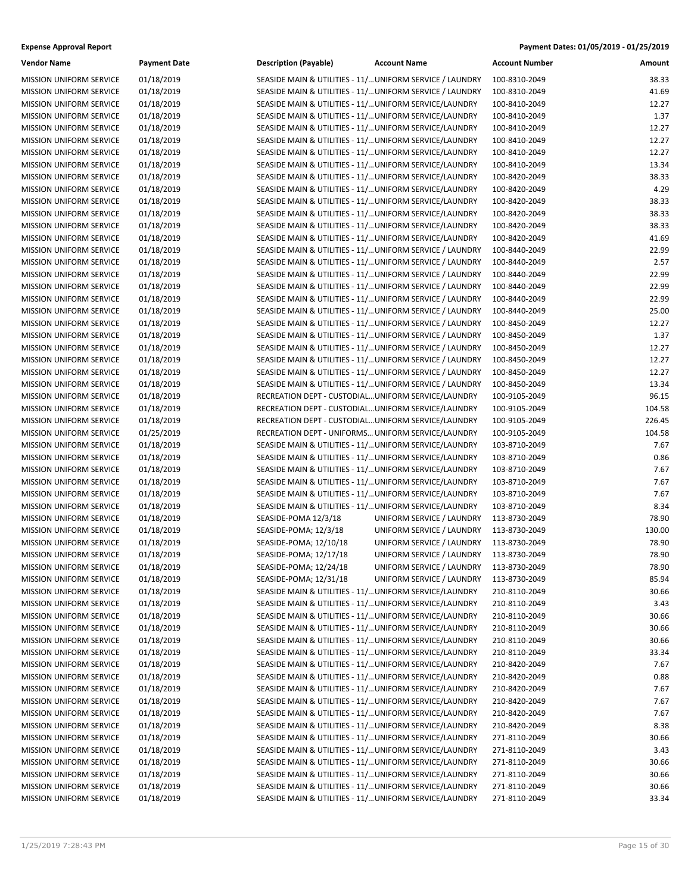| <b>Vendor Name</b>             | <b>Payment Date</b> | <b>Description (Payable)</b>                                                                                         | <b>Account Name</b>                     | <b>Account Number</b> | Amount |
|--------------------------------|---------------------|----------------------------------------------------------------------------------------------------------------------|-----------------------------------------|-----------------------|--------|
| <b>MISSION UNIFORM SERVICE</b> | 01/18/2019          | SEASIDE MAIN & UTILITIES - 11/ UNIFORM SERVICE / LAUNDRY                                                             |                                         | 100-8310-2049         | 38.33  |
| <b>MISSION UNIFORM SERVICE</b> | 01/18/2019          | SEASIDE MAIN & UTILITIES - 11/ UNIFORM SERVICE / LAUNDRY                                                             |                                         | 100-8310-2049         | 41.69  |
| <b>MISSION UNIFORM SERVICE</b> | 01/18/2019          | SEASIDE MAIN & UTILITIES - 11/ UNIFORM SERVICE/LAUNDRY                                                               |                                         | 100-8410-2049         | 12.27  |
| <b>MISSION UNIFORM SERVICE</b> | 01/18/2019          | SEASIDE MAIN & UTILITIES - 11/ UNIFORM SERVICE/LAUNDRY                                                               |                                         | 100-8410-2049         | 1.37   |
| MISSION UNIFORM SERVICE        | 01/18/2019          | SEASIDE MAIN & UTILITIES - 11/ UNIFORM SERVICE/LAUNDRY                                                               |                                         | 100-8410-2049         | 12.27  |
| MISSION UNIFORM SERVICE        | 01/18/2019          | SEASIDE MAIN & UTILITIES - 11/ UNIFORM SERVICE/LAUNDRY                                                               |                                         | 100-8410-2049         | 12.27  |
| MISSION UNIFORM SERVICE        | 01/18/2019          | SEASIDE MAIN & UTILITIES - 11/ UNIFORM SERVICE/LAUNDRY                                                               |                                         | 100-8410-2049         | 12.27  |
| MISSION UNIFORM SERVICE        | 01/18/2019          | SEASIDE MAIN & UTILITIES - 11/ UNIFORM SERVICE/LAUNDRY                                                               |                                         | 100-8410-2049         | 13.34  |
| <b>MISSION UNIFORM SERVICE</b> | 01/18/2019          | SEASIDE MAIN & UTILITIES - 11/ UNIFORM SERVICE/LAUNDRY                                                               |                                         | 100-8420-2049         | 38.33  |
| MISSION UNIFORM SERVICE        | 01/18/2019          | SEASIDE MAIN & UTILITIES - 11/ UNIFORM SERVICE/LAUNDRY                                                               |                                         | 100-8420-2049         | 4.29   |
| MISSION UNIFORM SERVICE        | 01/18/2019          | SEASIDE MAIN & UTILITIES - 11/ UNIFORM SERVICE/LAUNDRY                                                               |                                         | 100-8420-2049         | 38.33  |
| MISSION UNIFORM SERVICE        | 01/18/2019          | SEASIDE MAIN & UTILITIES - 11/ UNIFORM SERVICE/LAUNDRY                                                               |                                         | 100-8420-2049         | 38.33  |
| <b>MISSION UNIFORM SERVICE</b> | 01/18/2019          | SEASIDE MAIN & UTILITIES - 11/ UNIFORM SERVICE/LAUNDRY                                                               |                                         | 100-8420-2049         | 38.33  |
| <b>MISSION UNIFORM SERVICE</b> | 01/18/2019          | SEASIDE MAIN & UTILITIES - 11/ UNIFORM SERVICE/LAUNDRY                                                               |                                         | 100-8420-2049         | 41.69  |
| MISSION UNIFORM SERVICE        | 01/18/2019          | SEASIDE MAIN & UTILITIES - 11/ UNIFORM SERVICE / LAUNDRY                                                             |                                         | 100-8440-2049         | 22.99  |
| MISSION UNIFORM SERVICE        | 01/18/2019          | SEASIDE MAIN & UTILITIES - 11/ UNIFORM SERVICE / LAUNDRY                                                             |                                         | 100-8440-2049         | 2.57   |
| MISSION UNIFORM SERVICE        | 01/18/2019          | SEASIDE MAIN & UTILITIES - 11/ UNIFORM SERVICE / LAUNDRY                                                             |                                         | 100-8440-2049         | 22.99  |
| MISSION UNIFORM SERVICE        | 01/18/2019          | SEASIDE MAIN & UTILITIES - 11/ UNIFORM SERVICE / LAUNDRY                                                             |                                         | 100-8440-2049         | 22.99  |
| <b>MISSION UNIFORM SERVICE</b> | 01/18/2019          | SEASIDE MAIN & UTILITIES - 11/ UNIFORM SERVICE / LAUNDRY                                                             |                                         | 100-8440-2049         | 22.99  |
| MISSION UNIFORM SERVICE        | 01/18/2019          | SEASIDE MAIN & UTILITIES - 11/ UNIFORM SERVICE / LAUNDRY                                                             |                                         | 100-8440-2049         | 25.00  |
| MISSION UNIFORM SERVICE        | 01/18/2019          | SEASIDE MAIN & UTILITIES - 11/ UNIFORM SERVICE / LAUNDRY                                                             |                                         | 100-8450-2049         | 12.27  |
| MISSION UNIFORM SERVICE        | 01/18/2019          |                                                                                                                      |                                         | 100-8450-2049         | 1.37   |
| <b>MISSION UNIFORM SERVICE</b> | 01/18/2019          | SEASIDE MAIN & UTILITIES - 11/ UNIFORM SERVICE / LAUNDRY<br>SEASIDE MAIN & UTILITIES - 11/ UNIFORM SERVICE / LAUNDRY |                                         | 100-8450-2049         | 12.27  |
|                                |                     |                                                                                                                      |                                         |                       |        |
| <b>MISSION UNIFORM SERVICE</b> | 01/18/2019          | SEASIDE MAIN & UTILITIES - 11/ UNIFORM SERVICE / LAUNDRY                                                             |                                         | 100-8450-2049         | 12.27  |
| MISSION UNIFORM SERVICE        | 01/18/2019          | SEASIDE MAIN & UTILITIES - 11/ UNIFORM SERVICE / LAUNDRY                                                             |                                         | 100-8450-2049         | 12.27  |
| MISSION UNIFORM SERVICE        | 01/18/2019          | SEASIDE MAIN & UTILITIES - 11/ UNIFORM SERVICE / LAUNDRY                                                             |                                         | 100-8450-2049         | 13.34  |
| MISSION UNIFORM SERVICE        | 01/18/2019          | RECREATION DEPT - CUSTODIAL UNIFORM SERVICE/LAUNDRY                                                                  |                                         | 100-9105-2049         | 96.15  |
| MISSION UNIFORM SERVICE        | 01/18/2019          | RECREATION DEPT - CUSTODIAL UNIFORM SERVICE/LAUNDRY                                                                  |                                         | 100-9105-2049         | 104.58 |
| <b>MISSION UNIFORM SERVICE</b> | 01/18/2019          | RECREATION DEPT - CUSTODIAL UNIFORM SERVICE/LAUNDRY                                                                  |                                         | 100-9105-2049         | 226.45 |
| MISSION UNIFORM SERVICE        | 01/25/2019          | RECREATION DEPT - UNIFORMS UNIFORM SERVICE/LAUNDRY                                                                   |                                         | 100-9105-2049         | 104.58 |
| MISSION UNIFORM SERVICE        | 01/18/2019          | SEASIDE MAIN & UTILITIES - 11/ UNIFORM SERVICE/LAUNDRY                                                               |                                         | 103-8710-2049         | 7.67   |
| MISSION UNIFORM SERVICE        | 01/18/2019          | SEASIDE MAIN & UTILITIES - 11/ UNIFORM SERVICE/LAUNDRY                                                               |                                         | 103-8710-2049         | 0.86   |
| <b>MISSION UNIFORM SERVICE</b> | 01/18/2019          | SEASIDE MAIN & UTILITIES - 11/ UNIFORM SERVICE/LAUNDRY                                                               |                                         | 103-8710-2049         | 7.67   |
| MISSION UNIFORM SERVICE        | 01/18/2019          | SEASIDE MAIN & UTILITIES - 11/ UNIFORM SERVICE/LAUNDRY                                                               |                                         | 103-8710-2049         | 7.67   |
| MISSION UNIFORM SERVICE        | 01/18/2019          | SEASIDE MAIN & UTILITIES - 11/ UNIFORM SERVICE/LAUNDRY                                                               |                                         | 103-8710-2049         | 7.67   |
| MISSION UNIFORM SERVICE        | 01/18/2019          | SEASIDE MAIN & UTILITIES - 11/ UNIFORM SERVICE/LAUNDRY                                                               |                                         | 103-8710-2049         | 8.34   |
| MISSION UNIFORM SERVICE        | 01/18/2019          | SEASIDE-POMA 12/3/18                                                                                                 | UNIFORM SERVICE / LAUNDRY               | 113-8730-2049         | 78.90  |
| MISSION UNIFORM SERVICE        | 01/18/2019          | SEASIDE-POMA; 12/3/18                                                                                                | UNIFORM SERVICE / LAUNDRY               | 113-8730-2049         | 130.00 |
| MISSION UNIFORM SERVICE        | 01/18/2019          | SEASIDE-POMA; 12/10/18                                                                                               | UNIFORM SERVICE / LAUNDRY               | 113-8730-2049         | 78.90  |
| MISSION UNIFORM SERVICE        | 01/18/2019          | SEASIDE-POMA; 12/17/18                                                                                               | UNIFORM SERVICE / LAUNDRY               | 113-8730-2049         | 78.90  |
| MISSION UNIFORM SERVICE        | 01/18/2019          | SEASIDE-POMA; 12/24/18                                                                                               | UNIFORM SERVICE / LAUNDRY 113-8730-2049 |                       | 78.90  |
| <b>MISSION UNIFORM SERVICE</b> | 01/18/2019          | SEASIDE-POMA; 12/31/18                                                                                               | UNIFORM SERVICE / LAUNDRY               | 113-8730-2049         | 85.94  |
| <b>MISSION UNIFORM SERVICE</b> | 01/18/2019          | SEASIDE MAIN & UTILITIES - 11/ UNIFORM SERVICE/LAUNDRY                                                               |                                         | 210-8110-2049         | 30.66  |
| <b>MISSION UNIFORM SERVICE</b> | 01/18/2019          | SEASIDE MAIN & UTILITIES - 11/ UNIFORM SERVICE/LAUNDRY                                                               |                                         | 210-8110-2049         | 3.43   |
| MISSION UNIFORM SERVICE        | 01/18/2019          | SEASIDE MAIN & UTILITIES - 11/ UNIFORM SERVICE/LAUNDRY                                                               |                                         | 210-8110-2049         | 30.66  |
| MISSION UNIFORM SERVICE        | 01/18/2019          | SEASIDE MAIN & UTILITIES - 11/ UNIFORM SERVICE/LAUNDRY                                                               |                                         | 210-8110-2049         | 30.66  |
| <b>MISSION UNIFORM SERVICE</b> | 01/18/2019          | SEASIDE MAIN & UTILITIES - 11/ UNIFORM SERVICE/LAUNDRY                                                               |                                         | 210-8110-2049         | 30.66  |
| MISSION UNIFORM SERVICE        | 01/18/2019          | SEASIDE MAIN & UTILITIES - 11/ UNIFORM SERVICE/LAUNDRY                                                               |                                         | 210-8110-2049         | 33.34  |
| MISSION UNIFORM SERVICE        | 01/18/2019          | SEASIDE MAIN & UTILITIES - 11/ UNIFORM SERVICE/LAUNDRY                                                               |                                         | 210-8420-2049         | 7.67   |
| MISSION UNIFORM SERVICE        | 01/18/2019          | SEASIDE MAIN & UTILITIES - 11/ UNIFORM SERVICE/LAUNDRY                                                               |                                         | 210-8420-2049         | 0.88   |
| MISSION UNIFORM SERVICE        | 01/18/2019          | SEASIDE MAIN & UTILITIES - 11/ UNIFORM SERVICE/LAUNDRY                                                               |                                         | 210-8420-2049         | 7.67   |
| <b>MISSION UNIFORM SERVICE</b> | 01/18/2019          | SEASIDE MAIN & UTILITIES - 11/ UNIFORM SERVICE/LAUNDRY                                                               |                                         | 210-8420-2049         | 7.67   |
| MISSION UNIFORM SERVICE        | 01/18/2019          | SEASIDE MAIN & UTILITIES - 11/ UNIFORM SERVICE/LAUNDRY                                                               |                                         | 210-8420-2049         | 7.67   |
| MISSION UNIFORM SERVICE        | 01/18/2019          | SEASIDE MAIN & UTILITIES - 11/ UNIFORM SERVICE/LAUNDRY                                                               |                                         | 210-8420-2049         | 8.38   |
| MISSION UNIFORM SERVICE        | 01/18/2019          | SEASIDE MAIN & UTILITIES - 11/ UNIFORM SERVICE/LAUNDRY                                                               |                                         | 271-8110-2049         | 30.66  |
| MISSION UNIFORM SERVICE        | 01/18/2019          | SEASIDE MAIN & UTILITIES - 11/ UNIFORM SERVICE/LAUNDRY                                                               |                                         | 271-8110-2049         | 3.43   |
| <b>MISSION UNIFORM SERVICE</b> | 01/18/2019          | SEASIDE MAIN & UTILITIES - 11/ UNIFORM SERVICE/LAUNDRY                                                               |                                         | 271-8110-2049         | 30.66  |
| MISSION UNIFORM SERVICE        | 01/18/2019          | SEASIDE MAIN & UTILITIES - 11/ UNIFORM SERVICE/LAUNDRY                                                               |                                         | 271-8110-2049         | 30.66  |
| MISSION UNIFORM SERVICE        | 01/18/2019          | SEASIDE MAIN & UTILITIES - 11/ UNIFORM SERVICE/LAUNDRY                                                               |                                         | 271-8110-2049         | 30.66  |
| MISSION UNIFORM SERVICE        | 01/18/2019          | SEASIDE MAIN & UTILITIES - 11/ UNIFORM SERVICE/LAUNDRY                                                               |                                         | 271-8110-2049         | 33.34  |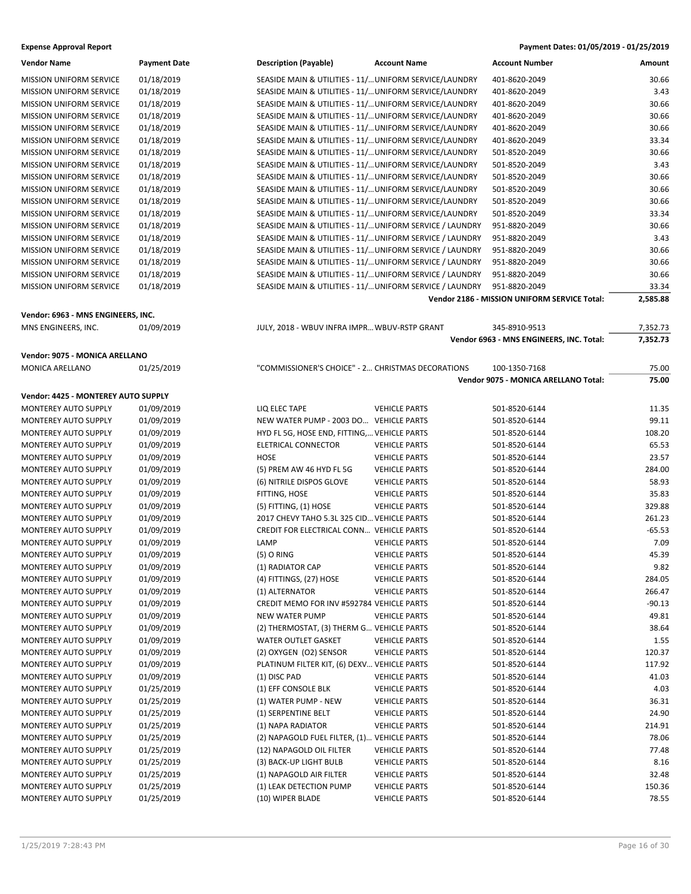| Vendor Name                    | Payment Dat |
|--------------------------------|-------------|
| <b>MISSION UNIFORM SERVICE</b> | 01/18/2019  |
| <b>MISSION UNIFORM SERVICE</b> | 01/18/2019  |
| <b>MISSION UNIFORM SERVICE</b> | 01/18/2019  |
| <b>MISSION UNIFORM SERVICE</b> | 01/18/2019  |
| <b>MISSION UNIFORM SERVICE</b> | 01/18/2019  |
| <b>MISSION UNIFORM SERVICE</b> | 01/18/2019  |
| MISSION UNIFORM SERVICE        | 01/18/2019  |
| <b>MISSION UNIFORM SERVICE</b> | 01/18/2019  |
| <b>MISSION UNIFORM SERVICE</b> | 01/18/2019  |
| <b>MISSION UNIFORM SERVICE</b> | 01/18/2019  |
| <b>MISSION UNIFORM SERVICE</b> | 01/18/2019  |
| <b>MISSION UNIFORM SERVICE</b> | 01/18/2019  |
| <b>MISSION UNIFORM SERVICE</b> | 01/18/2019  |
| <b>MISSION UNIFORM SERVICE</b> | 01/18/2019  |
| <b>MISSION UNIFORM SERVICE</b> | 01/18/2019  |
| <b>MISSION UNIFORM SERVICE</b> | 01/18/2019  |
| <b>MISSION UNIFORM SERVICE</b> | 01/18/2019  |
| <b>MISSION UNIFORM SERVICE</b> | 01/18/2019  |

### **Vendor: 6963 - MNS ENGINEERS, INC.**

### **Vendor: 9075 - MONICA ARELLANO**

| <b>MONICA ARELLANO</b> | 01/25/2019 |
|------------------------|------------|
|                        |            |

### **Vendor: 4425 - MONTEREY AUTO SUPPLY**

| MONTEREY AUTO SUPPLY        | 01/09/2019 |
|-----------------------------|------------|
| <b>MONTEREY AUTO SUPPLY</b> | 01/09/2019 |
| <b>MONTEREY AUTO SUPPLY</b> | 01/09/2019 |
| <b>MONTEREY AUTO SUPPLY</b> | 01/09/2019 |
| <b>MONTEREY AUTO SUPPLY</b> | 01/09/2019 |
| <b>MONTEREY AUTO SUPPLY</b> | 01/09/2019 |
| <b>MONTEREY AUTO SUPPLY</b> | 01/09/2019 |
| <b>MONTEREY AUTO SUPPLY</b> | 01/09/2019 |
| <b>MONTEREY AUTO SUPPLY</b> | 01/09/2019 |
| <b>MONTEREY AUTO SUPPLY</b> | 01/09/2019 |
| <b>MONTEREY AUTO SUPPLY</b> | 01/09/2019 |
| <b>MONTEREY AUTO SUPPLY</b> | 01/09/2019 |
| <b>MONTEREY AUTO SUPPLY</b> | 01/09/2019 |
| <b>MONTEREY AUTO SUPPLY</b> | 01/09/2019 |
| <b>MONTEREY AUTO SUPPLY</b> | 01/09/2019 |
| <b>MONTEREY AUTO SUPPLY</b> | 01/09/2019 |
| <b>MONTEREY AUTO SUPPLY</b> | 01/09/2019 |
| <b>MONTEREY AUTO SUPPLY</b> | 01/09/2019 |
| <b>MONTEREY AUTO SUPPLY</b> | 01/09/2019 |
| <b>MONTEREY AUTO SUPPLY</b> | 01/09/2019 |
| <b>MONTEREY AUTO SUPPLY</b> | 01/09/2019 |
| <b>MONTEREY AUTO SUPPLY</b> | 01/09/2019 |
| <b>MONTEREY AUTO SUPPLY</b> | 01/09/2019 |
| <b>MONTEREY AUTO SUPPLY</b> | 01/25/2019 |
| <b>MONTEREY AUTO SUPPLY</b> | 01/25/2019 |
| <b>MONTEREY AUTO SUPPLY</b> | 01/25/2019 |
| <b>MONTEREY AUTO SUPPLY</b> | 01/25/2019 |
| <b>MONTEREY AUTO SUPPLY</b> | 01/25/2019 |
| <b>MONTEREY AUTO SUPPLY</b> | 01/25/2019 |
| <b>MONTEREY AUTO SUPPLY</b> | 01/25/2019 |
| <b>MONTEREY AUTO SUPPLY</b> | 01/25/2019 |
| <b>MONTEREY AUTO SUPPLY</b> | 01/25/2019 |
| <b>MONTEREY AUTO SUPPLY</b> | 01/25/2019 |
|                             |            |

| Payment Dates: 01/05/2019 - 01/25/2019 |
|----------------------------------------|
|                                        |

| Vendor Name                                               | <b>Payment Date</b> | <b>Description (Payable)</b>                             | <b>Account Name</b>                                      | <b>Account Number</b>                        | Amount   |
|-----------------------------------------------------------|---------------------|----------------------------------------------------------|----------------------------------------------------------|----------------------------------------------|----------|
| MISSION UNIFORM SERVICE                                   | 01/18/2019          | SEASIDE MAIN & UTILITIES - 11/ UNIFORM SERVICE/LAUNDRY   |                                                          | 401-8620-2049                                | 30.66    |
| MISSION UNIFORM SERVICE                                   | 01/18/2019          | SEASIDE MAIN & UTILITIES - 11/ UNIFORM SERVICE/LAUNDRY   |                                                          | 401-8620-2049                                | 3.43     |
| MISSION UNIFORM SERVICE                                   | 01/18/2019          | SEASIDE MAIN & UTILITIES - 11/ UNIFORM SERVICE/LAUNDRY   |                                                          | 401-8620-2049                                | 30.66    |
| <b>MISSION UNIFORM SERVICE</b>                            | 01/18/2019          | SEASIDE MAIN & UTILITIES - 11/ UNIFORM SERVICE/LAUNDRY   |                                                          | 401-8620-2049                                | 30.66    |
| <b>MISSION UNIFORM SERVICE</b>                            | 01/18/2019          | SEASIDE MAIN & UTILITIES - 11/ UNIFORM SERVICE/LAUNDRY   |                                                          | 401-8620-2049                                | 30.66    |
| MISSION UNIFORM SERVICE                                   | 01/18/2019          | SEASIDE MAIN & UTILITIES - 11/ UNIFORM SERVICE/LAUNDRY   |                                                          | 401-8620-2049                                | 33.34    |
| MISSION UNIFORM SERVICE                                   | 01/18/2019          | SEASIDE MAIN & UTILITIES - 11/ UNIFORM SERVICE/LAUNDRY   |                                                          | 501-8520-2049                                | 30.66    |
| MISSION UNIFORM SERVICE                                   | 01/18/2019          | SEASIDE MAIN & UTILITIES - 11/ UNIFORM SERVICE/LAUNDRY   |                                                          | 501-8520-2049                                | 3.43     |
| <b>MISSION UNIFORM SERVICE</b>                            | 01/18/2019          | SEASIDE MAIN & UTILITIES - 11/ UNIFORM SERVICE/LAUNDRY   |                                                          | 501-8520-2049                                | 30.66    |
| <b>MISSION UNIFORM SERVICE</b>                            | 01/18/2019          | SEASIDE MAIN & UTILITIES - 11/ UNIFORM SERVICE/LAUNDRY   |                                                          | 501-8520-2049                                | 30.66    |
| MISSION UNIFORM SERVICE                                   | 01/18/2019          | SEASIDE MAIN & UTILITIES - 11/ UNIFORM SERVICE/LAUNDRY   |                                                          | 501-8520-2049                                | 30.66    |
| MISSION UNIFORM SERVICE                                   | 01/18/2019          | SEASIDE MAIN & UTILITIES - 11/ UNIFORM SERVICE/LAUNDRY   |                                                          | 501-8520-2049                                | 33.34    |
| MISSION UNIFORM SERVICE                                   | 01/18/2019          |                                                          | SEASIDE MAIN & UTILITIES - 11/ UNIFORM SERVICE / LAUNDRY | 951-8820-2049                                | 30.66    |
| <b>MISSION UNIFORM SERVICE</b>                            | 01/18/2019          |                                                          | SEASIDE MAIN & UTILITIES - 11/ UNIFORM SERVICE / LAUNDRY | 951-8820-2049                                | 3.43     |
| <b>MISSION UNIFORM SERVICE</b>                            | 01/18/2019          |                                                          | SEASIDE MAIN & UTILITIES - 11/ UNIFORM SERVICE / LAUNDRY | 951-8820-2049                                | 30.66    |
| MISSION UNIFORM SERVICE                                   | 01/18/2019          | SEASIDE MAIN & UTILITIES - 11/ UNIFORM SERVICE / LAUNDRY |                                                          | 951-8820-2049                                | 30.66    |
| MISSION UNIFORM SERVICE                                   | 01/18/2019          |                                                          | SEASIDE MAIN & UTILITIES - 11/ UNIFORM SERVICE / LAUNDRY | 951-8820-2049                                | 30.66    |
| MISSION UNIFORM SERVICE                                   | 01/18/2019          |                                                          | SEASIDE MAIN & UTILITIES - 11/ UNIFORM SERVICE / LAUNDRY | 951-8820-2049                                | 33.34    |
|                                                           |                     |                                                          |                                                          | Vendor 2186 - MISSION UNIFORM SERVICE Total: | 2,585.88 |
|                                                           |                     |                                                          |                                                          |                                              |          |
| Vendor: 6963 - MNS ENGINEERS, INC.<br>MNS ENGINEERS, INC. | 01/09/2019          | JULY, 2018 - WBUV INFRA IMPR WBUV-RSTP GRANT             |                                                          | 345-8910-9513                                | 7,352.73 |
|                                                           |                     |                                                          |                                                          | Vendor 6963 - MNS ENGINEERS, INC. Total:     | 7,352.73 |
|                                                           |                     |                                                          |                                                          |                                              |          |
| Vendor: 9075 - MONICA ARELLANO                            |                     |                                                          |                                                          |                                              |          |
| MONICA ARELLANO                                           | 01/25/2019          | "COMMISSIONER'S CHOICE" - 2 CHRISTMAS DECORATIONS        |                                                          | 100-1350-7168                                | 75.00    |
|                                                           |                     |                                                          |                                                          | Vendor 9075 - MONICA ARELLANO Total:         | 75.00    |
| Vendor: 4425 - MONTEREY AUTO SUPPLY                       |                     |                                                          |                                                          |                                              |          |
| MONTEREY AUTO SUPPLY                                      | 01/09/2019          | LIQ ELEC TAPE                                            | <b>VEHICLE PARTS</b>                                     | 501-8520-6144                                | 11.35    |
| MONTEREY AUTO SUPPLY                                      | 01/09/2019          | NEW WATER PUMP - 2003 DO VEHICLE PARTS                   |                                                          | 501-8520-6144                                | 99.11    |
| <b>MONTEREY AUTO SUPPLY</b>                               | 01/09/2019          | HYD FL 5G, HOSE END, FITTING, VEHICLE PARTS              |                                                          | 501-8520-6144                                | 108.20   |
| MONTEREY AUTO SUPPLY                                      | 01/09/2019          | ELETRICAL CONNECTOR                                      | <b>VEHICLE PARTS</b>                                     | 501-8520-6144                                | 65.53    |
| MONTEREY AUTO SUPPLY                                      | 01/09/2019          | <b>HOSE</b>                                              | <b>VEHICLE PARTS</b>                                     | 501-8520-6144                                | 23.57    |
| MONTEREY AUTO SUPPLY                                      | 01/09/2019          | (5) PREM AW 46 HYD FL 5G                                 | <b>VEHICLE PARTS</b>                                     | 501-8520-6144                                | 284.00   |
| <b>MONTEREY AUTO SUPPLY</b>                               | 01/09/2019          | (6) NITRILE DISPOS GLOVE                                 | <b>VEHICLE PARTS</b>                                     | 501-8520-6144                                | 58.93    |
| <b>MONTEREY AUTO SUPPLY</b>                               | 01/09/2019          | FITTING, HOSE                                            | <b>VEHICLE PARTS</b>                                     | 501-8520-6144                                | 35.83    |
| MONTEREY AUTO SUPPLY                                      | 01/09/2019          | (5) FITTING, (1) HOSE                                    | <b>VEHICLE PARTS</b>                                     | 501-8520-6144                                | 329.88   |
| MONTEREY AUTO SUPPLY                                      | 01/09/2019          | 2017 CHEVY TAHO 5.3L 325 CID VEHICLE PARTS               |                                                          | 501-8520-6144                                | 261.23   |
| MONTEREY AUTO SUPPLY                                      | 01/09/2019          | CREDIT FOR ELECTRICAL CONN VEHICLE PARTS                 |                                                          | 501-8520-6144                                | $-65.53$ |
| MONTEREY AUTO SUPPLY                                      | 01/09/2019          | LAMP                                                     | <b>VEHICLE PARTS</b>                                     | 501-8520-6144                                | 7.09     |
| <b>MONTEREY AUTO SUPPLY</b>                               | 01/09/2019          | $(5)$ O RING                                             | <b>VEHICLE PARTS</b>                                     | 501-8520-6144                                | 45.39    |
| MONTEREY AUTO SUPPLY                                      | 01/09/2019          | (1) RADIATOR CAP                                         | <b>VEHICLE PARTS</b>                                     | 501-8520-6144                                | 9.82     |
| MONTEREY AUTO SUPPLY                                      | 01/09/2019          | $(4)$ FITTINGS, $(27)$ HOSE                              | <b>VEHICLE PARTS</b>                                     | 501-8520-6144                                | 284.05   |
| MONTEREY AUTO SUPPLY                                      | 01/09/2019          | (1) ALTERNATOR                                           | <b>VEHICLE PARTS</b>                                     | 501-8520-6144                                | 266.47   |
| MONTEREY AUTO SUPPLY                                      | 01/09/2019          | CREDIT MEMO FOR INV #592784 VEHICLE PARTS                |                                                          | 501-8520-6144                                | $-90.13$ |
| MONTEREY AUTO SUPPLY                                      | 01/09/2019          | NEW WATER PUMP                                           | <b>VEHICLE PARTS</b>                                     | 501-8520-6144                                | 49.81    |
| MONTEREY AUTO SUPPLY                                      | 01/09/2019          | (2) THERMOSTAT, (3) THERM G VEHICLE PARTS                |                                                          | 501-8520-6144                                | 38.64    |
| MONTEREY AUTO SUPPLY                                      | 01/09/2019          | WATER OUTLET GASKET                                      | <b>VEHICLE PARTS</b>                                     | 501-8520-6144                                | 1.55     |
| MONTEREY AUTO SUPPLY                                      | 01/09/2019          | (2) OXYGEN (O2) SENSOR                                   | <b>VEHICLE PARTS</b>                                     | 501-8520-6144                                | 120.37   |
| MONTEREY AUTO SUPPLY                                      | 01/09/2019          | PLATINUM FILTER KIT, (6) DEXV VEHICLE PARTS              |                                                          | 501-8520-6144                                | 117.92   |
| MONTEREY AUTO SUPPLY                                      | 01/09/2019          | (1) DISC PAD                                             | <b>VEHICLE PARTS</b>                                     | 501-8520-6144                                | 41.03    |
| MONTEREY AUTO SUPPLY                                      | 01/25/2019          | (1) EFF CONSOLE BLK                                      | <b>VEHICLE PARTS</b>                                     | 501-8520-6144                                | 4.03     |
| <b>MONTEREY AUTO SUPPLY</b>                               | 01/25/2019          | (1) WATER PUMP - NEW                                     | <b>VEHICLE PARTS</b>                                     | 501-8520-6144                                | 36.31    |
| MONTEREY AUTO SUPPLY                                      | 01/25/2019          | (1) SERPENTINE BELT                                      | <b>VEHICLE PARTS</b>                                     | 501-8520-6144                                | 24.90    |
| MONTEREY AUTO SUPPLY                                      | 01/25/2019          | (1) NAPA RADIATOR                                        | <b>VEHICLE PARTS</b>                                     | 501-8520-6144                                | 214.91   |
| MONTEREY AUTO SUPPLY                                      | 01/25/2019          | (2) NAPAGOLD FUEL FILTER, (1) VEHICLE PARTS              |                                                          | 501-8520-6144                                | 78.06    |
| MONTEREY AUTO SUPPLY                                      | 01/25/2019          | (12) NAPAGOLD OIL FILTER                                 | <b>VEHICLE PARTS</b>                                     | 501-8520-6144                                | 77.48    |
| MONTEREY AUTO SUPPLY                                      | 01/25/2019          | (3) BACK-UP LIGHT BULB                                   | <b>VEHICLE PARTS</b>                                     | 501-8520-6144                                | 8.16     |
| MONTEREY AUTO SUPPLY                                      | 01/25/2019          | (1) NAPAGOLD AIR FILTER                                  | <b>VEHICLE PARTS</b>                                     | 501-8520-6144                                | 32.48    |
| MONTEREY AUTO SUPPLY                                      | 01/25/2019          | (1) LEAK DETECTION PUMP                                  | <b>VEHICLE PARTS</b>                                     | 501-8520-6144                                | 150.36   |

(10) WIPER BLADE **VEHICLE PARTS** 501-8520-6144 78.55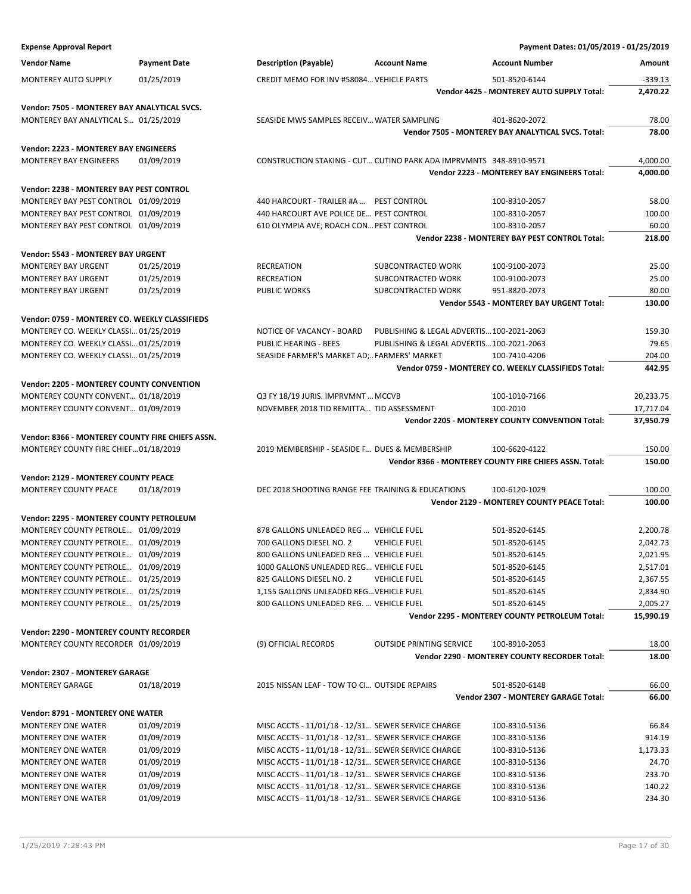| <b>Expense Approval Report</b>                   |                     |                                                                    |                                           | Payment Dates: 01/05/2019 - 01/25/2019                 |           |
|--------------------------------------------------|---------------------|--------------------------------------------------------------------|-------------------------------------------|--------------------------------------------------------|-----------|
| <b>Vendor Name</b>                               | <b>Payment Date</b> | <b>Description (Payable)</b>                                       | <b>Account Name</b>                       | <b>Account Number</b>                                  | Amount    |
| <b>MONTEREY AUTO SUPPLY</b>                      | 01/25/2019          | CREDIT MEMO FOR INV #58084 VEHICLE PARTS                           |                                           | 501-8520-6144                                          | $-339.13$ |
|                                                  |                     |                                                                    |                                           | Vendor 4425 - MONTEREY AUTO SUPPLY Total:              | 2,470.22  |
| Vendor: 7505 - MONTEREY BAY ANALYTICAL SVCS.     |                     |                                                                    |                                           |                                                        |           |
| MONTEREY BAY ANALYTICAL S 01/25/2019             |                     | SEASIDE MWS SAMPLES RECEIV WATER SAMPLING                          |                                           | 401-8620-2072                                          | 78.00     |
|                                                  |                     |                                                                    |                                           | Vendor 7505 - MONTEREY BAY ANALYTICAL SVCS. Total:     | 78.00     |
| Vendor: 2223 - MONTEREY BAY ENGINEERS            |                     |                                                                    |                                           |                                                        |           |
| <b>MONTEREY BAY ENGINEERS</b>                    | 01/09/2019          | CONSTRUCTION STAKING - CUT CUTINO PARK ADA IMPRVMNTS 348-8910-9571 |                                           |                                                        | 4,000.00  |
|                                                  |                     |                                                                    |                                           | Vendor 2223 - MONTEREY BAY ENGINEERS Total:            | 4.000.00  |
| Vendor: 2238 - MONTEREY BAY PEST CONTROL         |                     |                                                                    |                                           |                                                        |           |
| MONTEREY BAY PEST CONTROL 01/09/2019             |                     | 440 HARCOURT - TRAILER #A  PEST CONTROL                            |                                           | 100-8310-2057                                          | 58.00     |
| MONTEREY BAY PEST CONTROL 01/09/2019             |                     | 440 HARCOURT AVE POLICE DE PEST CONTROL                            |                                           | 100-8310-2057                                          | 100.00    |
| MONTEREY BAY PEST CONTROL 01/09/2019             |                     | 610 OLYMPIA AVE; ROACH CON PEST CONTROL                            |                                           | 100-8310-2057                                          | 60.00     |
|                                                  |                     |                                                                    |                                           | Vendor 2238 - MONTEREY BAY PEST CONTROL Total:         | 218.00    |
| Vendor: 5543 - MONTEREY BAY URGENT               |                     |                                                                    |                                           |                                                        |           |
| <b>MONTEREY BAY URGENT</b>                       | 01/25/2019          | RECREATION                                                         | SUBCONTRACTED WORK                        | 100-9100-2073                                          | 25.00     |
| <b>MONTEREY BAY URGENT</b>                       | 01/25/2019          | <b>RECREATION</b>                                                  | SUBCONTRACTED WORK                        | 100-9100-2073                                          | 25.00     |
| <b>MONTEREY BAY URGENT</b>                       | 01/25/2019          | <b>PUBLIC WORKS</b>                                                | SUBCONTRACTED WORK                        | 951-8820-2073                                          | 80.00     |
|                                                  |                     |                                                                    |                                           | <b>Vendor 5543 - MONTEREY BAY URGENT Total:</b>        | 130.00    |
| Vendor: 0759 - MONTEREY CO. WEEKLY CLASSIFIEDS   |                     |                                                                    |                                           |                                                        |           |
| MONTEREY CO. WEEKLY CLASSI 01/25/2019            |                     | NOTICE OF VACANCY - BOARD                                          | PUBLISHING & LEGAL ADVERTIS 100-2021-2063 |                                                        | 159.30    |
| MONTEREY CO. WEEKLY CLASSI 01/25/2019            |                     | <b>PUBLIC HEARING - BEES</b>                                       | PUBLISHING & LEGAL ADVERTIS 100-2021-2063 |                                                        | 79.65     |
| MONTEREY CO. WEEKLY CLASSI 01/25/2019            |                     | SEASIDE FARMER'S MARKET AD;FARMERS' MARKET                         |                                           | 100-7410-4206                                          | 204.00    |
|                                                  |                     |                                                                    |                                           | Vendor 0759 - MONTEREY CO. WEEKLY CLASSIFIEDS Total:   | 442.95    |
|                                                  |                     |                                                                    |                                           |                                                        |           |
| Vendor: 2205 - MONTEREY COUNTY CONVENTION        |                     |                                                                    |                                           |                                                        |           |
| MONTEREY COUNTY CONVENT 01/18/2019               |                     | Q3 FY 18/19 JURIS. IMPRVMNT  MCCVB                                 |                                           | 100-1010-7166                                          | 20,233.75 |
| MONTEREY COUNTY CONVENT 01/09/2019               |                     | NOVEMBER 2018 TID REMITTA TID ASSESSMENT                           |                                           | 100-2010                                               | 17,717.04 |
|                                                  |                     |                                                                    |                                           | Vendor 2205 - MONTEREY COUNTY CONVENTION Total:        | 37,950.79 |
| Vendor: 8366 - MONTEREY COUNTY FIRE CHIEFS ASSN. |                     |                                                                    |                                           |                                                        |           |
| MONTEREY COUNTY FIRE CHIEF 01/18/2019            |                     | 2019 MEMBERSHIP - SEASIDE F DUES & MEMBERSHIP                      |                                           | 100-6620-4122                                          | 150.00    |
|                                                  |                     |                                                                    |                                           | Vendor 8366 - MONTEREY COUNTY FIRE CHIEFS ASSN. Total: | 150.00    |
| Vendor: 2129 - MONTEREY COUNTY PEACE             |                     |                                                                    |                                           |                                                        |           |
| MONTEREY COUNTY PEACE                            | 01/18/2019          | DEC 2018 SHOOTING RANGE FEE TRAINING & EDUCATIONS                  |                                           | 100-6120-1029                                          | 100.00    |
|                                                  |                     |                                                                    |                                           | <b>Vendor 2129 - MONTEREY COUNTY PEACE Total:</b>      | 100.00    |
| Vendor: 2295 - MONTEREY COUNTY PETROLEUM         |                     |                                                                    |                                           |                                                        |           |
| MONTEREY COUNTY PETROLE 01/09/2019               |                     | 878 GALLONS UNLEADED REG  VEHICLE FUEL                             |                                           | 501-8520-6145                                          | 2,200.78  |
| MONTEREY COUNTY PETROLE 01/09/2019               |                     | 700 GALLONS DIESEL NO. 2                                           | <b>VEHICLE FUEL</b>                       | 501-8520-6145                                          | 2,042.73  |
| MONTEREY COUNTY PETROLE 01/09/2019               |                     | 800 GALLONS UNLEADED REG  VEHICLE FUEL                             |                                           | 501-8520-6145                                          | 2,021.95  |
| MONTEREY COUNTY PETROLE 01/09/2019               |                     | 1000 GALLONS UNLEADED REG VEHICLE FUEL                             |                                           | 501-8520-6145                                          | 2,517.01  |
| MONTEREY COUNTY PETROLE 01/25/2019               |                     | 825 GALLONS DIESEL NO. 2                                           | <b>VEHICLE FUEL</b>                       | 501-8520-6145                                          | 2,367.55  |
| MONTEREY COUNTY PETROLE 01/25/2019               |                     | 1,155 GALLONS UNLEADED REG VEHICLE FUEL                            |                                           | 501-8520-6145                                          | 2,834.90  |
| MONTEREY COUNTY PETROLE 01/25/2019               |                     | 800 GALLONS UNLEADED REG.  VEHICLE FUEL                            |                                           | 501-8520-6145                                          | 2,005.27  |
|                                                  |                     |                                                                    |                                           | <b>Vendor 2295 - MONTEREY COUNTY PETROLEUM Total:</b>  | 15,990.19 |
| Vendor: 2290 - MONTEREY COUNTY RECORDER          |                     |                                                                    |                                           |                                                        |           |
| MONTEREY COUNTY RECORDER 01/09/2019              |                     | (9) OFFICIAL RECORDS                                               | <b>OUTSIDE PRINTING SERVICE</b>           | 100-8910-2053                                          | 18.00     |
|                                                  |                     |                                                                    |                                           | Vendor 2290 - MONTEREY COUNTY RECORDER Total:          | 18.00     |
|                                                  |                     |                                                                    |                                           |                                                        |           |
| Vendor: 2307 - MONTEREY GARAGE                   |                     |                                                                    |                                           |                                                        |           |
| <b>MONTEREY GARAGE</b>                           | 01/18/2019          | 2015 NISSAN LEAF - TOW TO CI OUTSIDE REPAIRS                       |                                           | 501-8520-6148                                          | 66.00     |
|                                                  |                     |                                                                    |                                           | Vendor 2307 - MONTEREY GARAGE Total:                   | 66.00     |
| Vendor: 8791 - MONTEREY ONE WATER                |                     |                                                                    |                                           |                                                        |           |
| <b>MONTEREY ONE WATER</b>                        | 01/09/2019          | MISC ACCTS - 11/01/18 - 12/31 SEWER SERVICE CHARGE                 |                                           | 100-8310-5136                                          | 66.84     |
| <b>MONTEREY ONE WATER</b>                        | 01/09/2019          | MISC ACCTS - 11/01/18 - 12/31 SEWER SERVICE CHARGE                 |                                           | 100-8310-5136                                          | 914.19    |
| MONTEREY ONE WATER                               | 01/09/2019          | MISC ACCTS - 11/01/18 - 12/31 SEWER SERVICE CHARGE                 |                                           | 100-8310-5136                                          | 1,173.33  |
| <b>MONTEREY ONE WATER</b>                        | 01/09/2019          | MISC ACCTS - 11/01/18 - 12/31 SEWER SERVICE CHARGE                 |                                           | 100-8310-5136                                          | 24.70     |
| <b>MONTEREY ONE WATER</b>                        | 01/09/2019          | MISC ACCTS - 11/01/18 - 12/31 SEWER SERVICE CHARGE                 |                                           | 100-8310-5136                                          | 233.70    |
| MONTEREY ONE WATER                               | 01/09/2019          | MISC ACCTS - 11/01/18 - 12/31 SEWER SERVICE CHARGE                 |                                           | 100-8310-5136                                          | 140.22    |
| <b>MONTEREY ONE WATER</b>                        | 01/09/2019          | MISC ACCTS - 11/01/18 - 12/31 SEWER SERVICE CHARGE                 |                                           | 100-8310-5136                                          | 234.30    |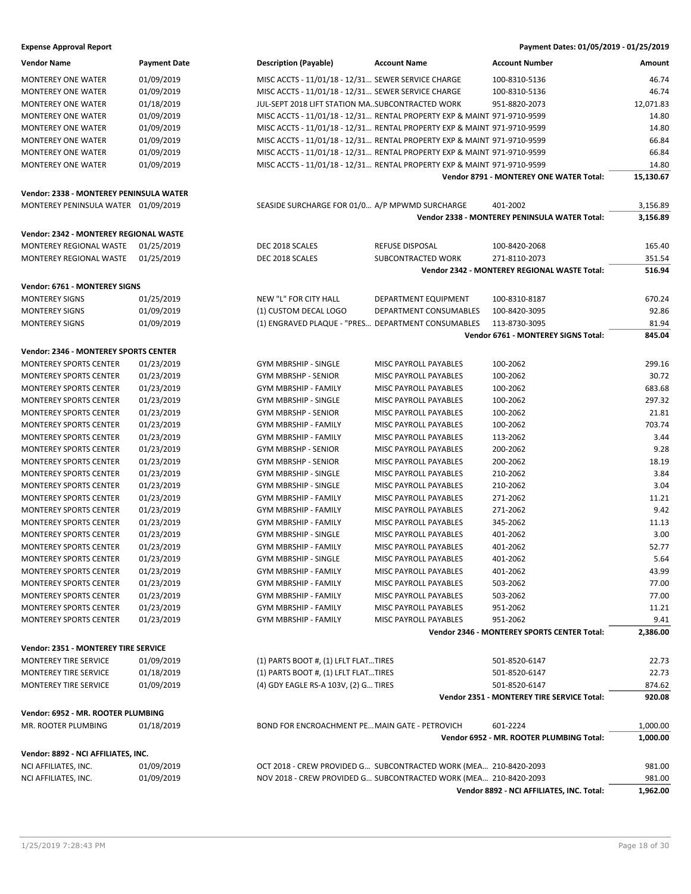| <b>Vendor Name</b>                      | <b>Payment Date</b> | <b>Description (Payable)</b>                       | <b>Account Name</b>                                                     | <b>Account Number</b>                                     | Amount               |
|-----------------------------------------|---------------------|----------------------------------------------------|-------------------------------------------------------------------------|-----------------------------------------------------------|----------------------|
| <b>MONTEREY ONE WATER</b>               | 01/09/2019          | MISC ACCTS - 11/01/18 - 12/31 SEWER SERVICE CHARGE |                                                                         | 100-8310-5136                                             | 46.74                |
| <b>MONTEREY ONE WATER</b>               | 01/09/2019          | MISC ACCTS - 11/01/18 - 12/31 SEWER SERVICE CHARGE |                                                                         | 100-8310-5136                                             | 46.74                |
| <b>MONTEREY ONE WATER</b>               | 01/18/2019          | JUL-SEPT 2018 LIFT STATION MASUBCONTRACTED WORK    |                                                                         | 951-8820-2073                                             | 12,071.83            |
| <b>MONTEREY ONE WATER</b>               | 01/09/2019          |                                                    | MISC ACCTS - 11/01/18 - 12/31 RENTAL PROPERTY EXP & MAINT 971-9710-9599 |                                                           | 14.80                |
| <b>MONTEREY ONE WATER</b>               | 01/09/2019          |                                                    | MISC ACCTS - 11/01/18 - 12/31 RENTAL PROPERTY EXP & MAINT 971-9710-9599 |                                                           | 14.80                |
| <b>MONTEREY ONE WATER</b>               | 01/09/2019          |                                                    | MISC ACCTS - 11/01/18 - 12/31 RENTAL PROPERTY EXP & MAINT 971-9710-9599 |                                                           | 66.84                |
| <b>MONTEREY ONE WATER</b>               | 01/09/2019          |                                                    | MISC ACCTS - 11/01/18 - 12/31 RENTAL PROPERTY EXP & MAINT 971-9710-9599 |                                                           | 66.84                |
| <b>MONTEREY ONE WATER</b>               | 01/09/2019          |                                                    | MISC ACCTS - 11/01/18 - 12/31 RENTAL PROPERTY EXP & MAINT 971-9710-9599 |                                                           | 14.80                |
|                                         |                     |                                                    |                                                                         | Vendor 8791 - MONTEREY ONE WATER Total:                   | 15,130.67            |
| Vendor: 2338 - MONTEREY PENINSULA WATER |                     |                                                    |                                                                         |                                                           |                      |
|                                         |                     |                                                    |                                                                         |                                                           |                      |
| MONTEREY PENINSULA WATER 01/09/2019     |                     | SEASIDE SURCHARGE FOR 01/0 A/P MPWMD SURCHARGE     |                                                                         | 401-2002<br>Vendor 2338 - MONTEREY PENINSULA WATER Total: | 3,156.89<br>3,156.89 |
|                                         |                     |                                                    |                                                                         |                                                           |                      |
| Vendor: 2342 - MONTEREY REGIONAL WASTE  |                     |                                                    |                                                                         |                                                           |                      |
| MONTEREY REGIONAL WASTE                 | 01/25/2019          | DEC 2018 SCALES                                    | REFUSE DISPOSAL                                                         | 100-8420-2068                                             | 165.40               |
| MONTEREY REGIONAL WASTE                 | 01/25/2019          | DEC 2018 SCALES                                    | SUBCONTRACTED WORK                                                      | 271-8110-2073                                             | 351.54               |
|                                         |                     |                                                    |                                                                         | Vendor 2342 - MONTEREY REGIONAL WASTE Total:              | 516.94               |
| Vendor: 6761 - MONTEREY SIGNS           |                     |                                                    |                                                                         |                                                           |                      |
| <b>MONTEREY SIGNS</b>                   | 01/25/2019          | <b>NEW "L" FOR CITY HALL</b>                       | DEPARTMENT EQUIPMENT                                                    | 100-8310-8187                                             | 670.24               |
| <b>MONTEREY SIGNS</b>                   | 01/09/2019          | (1) CUSTOM DECAL LOGO                              | <b>DEPARTMENT CONSUMABLES</b>                                           | 100-8420-3095                                             | 92.86                |
| <b>MONTEREY SIGNS</b>                   | 01/09/2019          | (1) ENGRAVED PLAQUE - "PRES DEPARTMENT CONSUMABLES |                                                                         | 113-8730-3095                                             | 81.94                |
|                                         |                     |                                                    |                                                                         | Vendor 6761 - MONTEREY SIGNS Total:                       | 845.04               |
| Vendor: 2346 - MONTEREY SPORTS CENTER   |                     |                                                    |                                                                         |                                                           |                      |
| <b>MONTEREY SPORTS CENTER</b>           | 01/23/2019          | <b>GYM MBRSHIP - SINGLE</b>                        | MISC PAYROLL PAYABLES                                                   | 100-2062                                                  | 299.16               |
| <b>MONTEREY SPORTS CENTER</b>           | 01/23/2019          | <b>GYM MBRSHP - SENIOR</b>                         | MISC PAYROLL PAYABLES                                                   | 100-2062                                                  | 30.72                |
| <b>MONTEREY SPORTS CENTER</b>           | 01/23/2019          | <b>GYM MBRSHIP - FAMILY</b>                        | MISC PAYROLL PAYABLES                                                   | 100-2062                                                  | 683.68               |
| <b>MONTEREY SPORTS CENTER</b>           | 01/23/2019          | <b>GYM MBRSHIP - SINGLE</b>                        | MISC PAYROLL PAYABLES                                                   | 100-2062                                                  | 297.32               |
|                                         |                     |                                                    |                                                                         |                                                           |                      |
| <b>MONTEREY SPORTS CENTER</b>           | 01/23/2019          | <b>GYM MBRSHP - SENIOR</b>                         | MISC PAYROLL PAYABLES                                                   | 100-2062                                                  | 21.81<br>703.74      |
| <b>MONTEREY SPORTS CENTER</b>           | 01/23/2019          | <b>GYM MBRSHIP - FAMILY</b>                        | MISC PAYROLL PAYABLES                                                   | 100-2062                                                  |                      |
| <b>MONTEREY SPORTS CENTER</b>           | 01/23/2019          | <b>GYM MBRSHIP - FAMILY</b>                        | MISC PAYROLL PAYABLES                                                   | 113-2062                                                  | 3.44                 |
| <b>MONTEREY SPORTS CENTER</b>           | 01/23/2019          | <b>GYM MBRSHP - SENIOR</b>                         | MISC PAYROLL PAYABLES                                                   | 200-2062                                                  | 9.28                 |
| <b>MONTEREY SPORTS CENTER</b>           | 01/23/2019          | <b>GYM MBRSHP - SENIOR</b>                         | MISC PAYROLL PAYABLES                                                   | 200-2062                                                  | 18.19                |
| <b>MONTEREY SPORTS CENTER</b>           | 01/23/2019          | <b>GYM MBRSHIP - SINGLE</b>                        | MISC PAYROLL PAYABLES                                                   | 210-2062                                                  | 3.84                 |
| <b>MONTEREY SPORTS CENTER</b>           | 01/23/2019          | <b>GYM MBRSHIP - SINGLE</b>                        | MISC PAYROLL PAYABLES                                                   | 210-2062                                                  | 3.04                 |
| <b>MONTEREY SPORTS CENTER</b>           | 01/23/2019          | <b>GYM MBRSHIP - FAMILY</b>                        | MISC PAYROLL PAYABLES                                                   | 271-2062                                                  | 11.21                |
| <b>MONTEREY SPORTS CENTER</b>           | 01/23/2019          | <b>GYM MBRSHIP - FAMILY</b>                        | MISC PAYROLL PAYABLES                                                   | 271-2062                                                  | 9.42                 |
| <b>MONTEREY SPORTS CENTER</b>           | 01/23/2019          | <b>GYM MBRSHIP - FAMILY</b>                        | MISC PAYROLL PAYABLES                                                   | 345-2062                                                  | 11.13                |
| <b>MONTEREY SPORTS CENTER</b>           | 01/23/2019          | <b>GYM MBRSHIP - SINGLE</b>                        | MISC PAYROLL PAYABLES                                                   | 401-2062                                                  | 3.00                 |
| <b>MONTEREY SPORTS CENTER</b>           | 01/23/2019          | <b>GYM MBRSHIP - FAMILY</b>                        | MISC PAYROLL PAYABLES                                                   | 401-2062                                                  | 52.77                |
| MONTEREY SPORTS CENTER                  | 01/23/2019          | <b>GYM MBRSHIP - SINGLE</b>                        | MISC PAYROLL PAYABLES                                                   | 401-2062                                                  | 5.64                 |
| <b>MONTEREY SPORTS CENTER</b>           | 01/23/2019          | <b>GYM MBRSHIP - FAMILY</b>                        | MISC PAYROLL PAYABLES                                                   | 401-2062                                                  | 43.99                |
| <b>MONTEREY SPORTS CENTER</b>           | 01/23/2019          | GYM MBRSHIP - FAMILY                               | MISC PAYROLL PAYABLES                                                   | 503-2062                                                  | 77.00                |
| <b>MONTEREY SPORTS CENTER</b>           | 01/23/2019          | <b>GYM MBRSHIP - FAMILY</b>                        | MISC PAYROLL PAYABLES                                                   | 503-2062                                                  | 77.00                |
| MONTEREY SPORTS CENTER                  | 01/23/2019          | <b>GYM MBRSHIP - FAMILY</b>                        | MISC PAYROLL PAYABLES                                                   | 951-2062                                                  | 11.21                |
| <b>MONTEREY SPORTS CENTER</b>           | 01/23/2019          | GYM MBRSHIP - FAMILY                               | MISC PAYROLL PAYABLES                                                   | 951-2062                                                  | 9.41                 |
|                                         |                     |                                                    |                                                                         | Vendor 2346 - MONTEREY SPORTS CENTER Total:               | 2,386.00             |
| Vendor: 2351 - MONTEREY TIRE SERVICE    |                     |                                                    |                                                                         |                                                           |                      |
| MONTEREY TIRE SERVICE                   | 01/09/2019          | (1) PARTS BOOT #, (1) LFLT FLATTIRES               |                                                                         | 501-8520-6147                                             | 22.73                |
| MONTEREY TIRE SERVICE                   | 01/18/2019          | (1) PARTS BOOT #, (1) LFLT FLATTIRES               |                                                                         | 501-8520-6147                                             | 22.73                |
| MONTEREY TIRE SERVICE                   | 01/09/2019          | (4) GDY EAGLE RS-A 103V, (2) G TIRES               |                                                                         | 501-8520-6147                                             | 874.62               |
|                                         |                     |                                                    |                                                                         | Vendor 2351 - MONTEREY TIRE SERVICE Total:                | 920.08               |
| Vendor: 6952 - MR. ROOTER PLUMBING      |                     |                                                    |                                                                         |                                                           |                      |
| MR. ROOTER PLUMBING                     | 01/18/2019          | BOND FOR ENCROACHMENT PE MAIN GATE - PETROVICH     |                                                                         | 601-2224                                                  | 1,000.00             |
|                                         |                     |                                                    |                                                                         | Vendor 6952 - MR. ROOTER PLUMBING Total:                  | 1,000.00             |
|                                         |                     |                                                    |                                                                         |                                                           |                      |
| Vendor: 8892 - NCI AFFILIATES, INC.     |                     |                                                    |                                                                         |                                                           |                      |
| NCI AFFILIATES, INC.                    | 01/09/2019          |                                                    | OCT 2018 - CREW PROVIDED G SUBCONTRACTED WORK (MEA 210-8420-2093        |                                                           | 981.00               |
| NCI AFFILIATES, INC.                    | 01/09/2019          |                                                    | NOV 2018 - CREW PROVIDED G SUBCONTRACTED WORK (MEA 210-8420-2093        |                                                           | 981.00               |
|                                         |                     |                                                    |                                                                         | Vendor 8892 - NCI AFFILIATES, INC. Total:                 | 1,962.00             |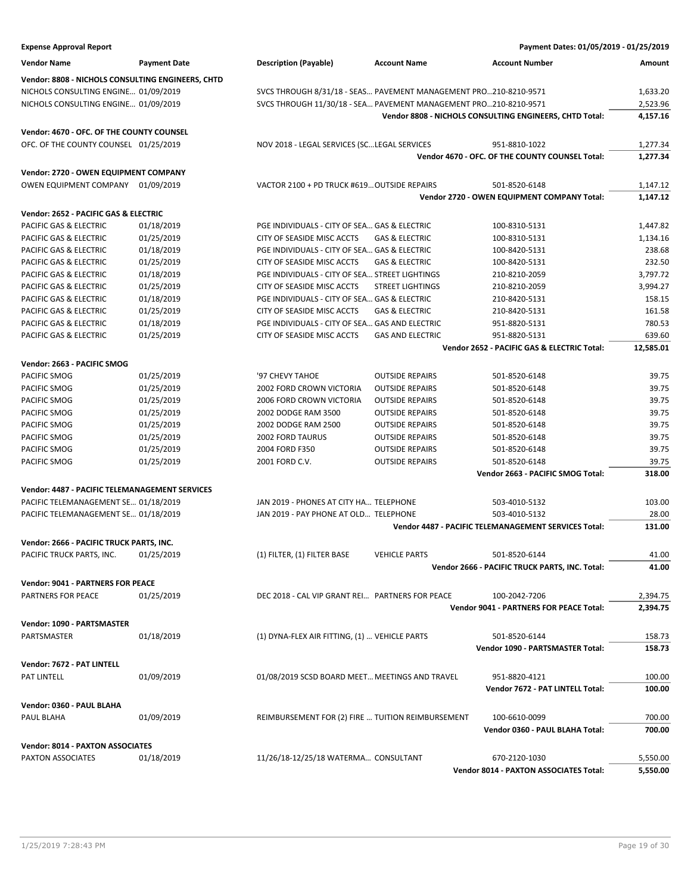| <b>Expense Approval Report</b>                        |                     |                                                                  |                           | Payment Dates: 01/05/2019 - 01/25/2019                          |                |
|-------------------------------------------------------|---------------------|------------------------------------------------------------------|---------------------------|-----------------------------------------------------------------|----------------|
| <b>Vendor Name</b>                                    | <b>Payment Date</b> | <b>Description (Payable)</b>                                     | <b>Account Name</b>       | <b>Account Number</b>                                           | Amount         |
| Vendor: 8808 - NICHOLS CONSULTING ENGINEERS, CHTD     |                     |                                                                  |                           |                                                                 |                |
| NICHOLS CONSULTING ENGINE 01/09/2019                  |                     | SVCS THROUGH 8/31/18 - SEAS PAVEMENT MANAGEMENT PRO210-8210-9571 |                           |                                                                 | 1,633.20       |
| NICHOLS CONSULTING ENGINE 01/09/2019                  |                     | SVCS THROUGH 11/30/18 - SEA PAVEMENT MANAGEMENT PRO210-8210-9571 |                           |                                                                 | 2,523.96       |
|                                                       |                     |                                                                  |                           | Vendor 8808 - NICHOLS CONSULTING ENGINEERS, CHTD Total:         | 4,157.16       |
| Vendor: 4670 - OFC. OF THE COUNTY COUNSEL             |                     |                                                                  |                           |                                                                 |                |
| OFC. OF THE COUNTY COUNSEL 01/25/2019                 |                     | NOV 2018 - LEGAL SERVICES (SCLEGAL SERVICES                      |                           | 951-8810-1022                                                   | 1,277.34       |
|                                                       |                     |                                                                  |                           | Vendor 4670 - OFC. OF THE COUNTY COUNSEL Total:                 | 1,277.34       |
| Vendor: 2720 - OWEN EQUIPMENT COMPANY                 |                     |                                                                  |                           |                                                                 |                |
| OWEN EQUIPMENT COMPANY 01/09/2019                     |                     | VACTOR 2100 + PD TRUCK #619 OUTSIDE REPAIRS                      |                           | 501-8520-6148                                                   | 1,147.12       |
|                                                       |                     |                                                                  |                           | Vendor 2720 - OWEN EQUIPMENT COMPANY Total:                     | 1,147.12       |
| Vendor: 2652 - PACIFIC GAS & ELECTRIC                 |                     |                                                                  |                           |                                                                 |                |
| PACIFIC GAS & ELECTRIC                                | 01/18/2019          | PGE INDIVIDUALS - CITY OF SEA GAS & ELECTRIC                     |                           | 100-8310-5131                                                   | 1,447.82       |
| PACIFIC GAS & ELECTRIC                                | 01/25/2019          | CITY OF SEASIDE MISC ACCTS                                       | <b>GAS &amp; ELECTRIC</b> | 100-8310-5131                                                   | 1,134.16       |
| PACIFIC GAS & ELECTRIC                                | 01/18/2019          | PGE INDIVIDUALS - CITY OF SEA GAS & ELECTRIC                     |                           | 100-8420-5131                                                   | 238.68         |
| PACIFIC GAS & ELECTRIC                                | 01/25/2019          | CITY OF SEASIDE MISC ACCTS                                       | <b>GAS &amp; ELECTRIC</b> | 100-8420-5131                                                   | 232.50         |
| PACIFIC GAS & ELECTRIC                                | 01/18/2019          | PGE INDIVIDUALS - CITY OF SEA STREET LIGHTINGS                   |                           | 210-8210-2059                                                   | 3,797.72       |
| PACIFIC GAS & ELECTRIC                                |                     | CITY OF SEASIDE MISC ACCTS                                       |                           |                                                                 |                |
|                                                       | 01/25/2019          |                                                                  | <b>STREET LIGHTINGS</b>   | 210-8210-2059                                                   | 3,994.27       |
| PACIFIC GAS & ELECTRIC                                | 01/18/2019          | PGE INDIVIDUALS - CITY OF SEA GAS & ELECTRIC                     |                           | 210-8420-5131                                                   | 158.15         |
| PACIFIC GAS & ELECTRIC                                | 01/25/2019          | CITY OF SEASIDE MISC ACCTS                                       | <b>GAS &amp; ELECTRIC</b> | 210-8420-5131                                                   | 161.58         |
| PACIFIC GAS & ELECTRIC                                | 01/18/2019          | PGE INDIVIDUALS - CITY OF SEA GAS AND ELECTRIC                   |                           | 951-8820-5131                                                   | 780.53         |
| PACIFIC GAS & ELECTRIC                                | 01/25/2019          | CITY OF SEASIDE MISC ACCTS                                       | <b>GAS AND ELECTRIC</b>   | 951-8820-5131                                                   | 639.60         |
|                                                       |                     |                                                                  |                           | Vendor 2652 - PACIFIC GAS & ELECTRIC Total:                     | 12,585.01      |
| Vendor: 2663 - PACIFIC SMOG                           |                     |                                                                  |                           |                                                                 |                |
| PACIFIC SMOG                                          | 01/25/2019          | '97 CHEVY TAHOE                                                  | <b>OUTSIDE REPAIRS</b>    | 501-8520-6148                                                   | 39.75          |
| PACIFIC SMOG                                          | 01/25/2019          | 2002 FORD CROWN VICTORIA                                         | <b>OUTSIDE REPAIRS</b>    | 501-8520-6148                                                   | 39.75          |
| PACIFIC SMOG                                          | 01/25/2019          | 2006 FORD CROWN VICTORIA                                         | <b>OUTSIDE REPAIRS</b>    | 501-8520-6148                                                   | 39.75          |
| PACIFIC SMOG                                          | 01/25/2019          | 2002 DODGE RAM 3500                                              | <b>OUTSIDE REPAIRS</b>    | 501-8520-6148                                                   | 39.75          |
| PACIFIC SMOG                                          | 01/25/2019          | 2002 DODGE RAM 2500                                              | <b>OUTSIDE REPAIRS</b>    | 501-8520-6148                                                   | 39.75          |
| PACIFIC SMOG                                          | 01/25/2019          | <b>2002 FORD TAURUS</b>                                          | <b>OUTSIDE REPAIRS</b>    | 501-8520-6148                                                   | 39.75          |
| PACIFIC SMOG                                          | 01/25/2019          | 2004 FORD F350                                                   | <b>OUTSIDE REPAIRS</b>    | 501-8520-6148                                                   | 39.75          |
| PACIFIC SMOG                                          | 01/25/2019          | 2001 FORD C.V.                                                   | <b>OUTSIDE REPAIRS</b>    | 501-8520-6148                                                   | 39.75          |
|                                                       |                     |                                                                  |                           | Vendor 2663 - PACIFIC SMOG Total:                               | 318.00         |
| <b>Vendor: 4487 - PACIFIC TELEMANAGEMENT SERVICES</b> |                     |                                                                  |                           |                                                                 |                |
| PACIFIC TELEMANAGEMENT SE 01/18/2019                  |                     | JAN 2019 - PHONES AT CITY HA TELEPHONE                           |                           | 503-4010-5132                                                   | 103.00         |
| PACIFIC TELEMANAGEMENT SE 01/18/2019                  |                     | JAN 2019 - PAY PHONE AT OLD TELEPHONE                            |                           | 503-4010-5132                                                   | 28.00          |
|                                                       |                     |                                                                  |                           | Vendor 4487 - PACIFIC TELEMANAGEMENT SERVICES Total:            | 131.00         |
|                                                       |                     |                                                                  |                           |                                                                 |                |
| Vendor: 2666 - PACIFIC TRUCK PARTS, INC.              |                     |                                                                  |                           |                                                                 |                |
| PACIFIC TRUCK PARTS, INC.                             | 01/25/2019          | (1) FILTER, (1) FILTER BASE                                      | <b>VEHICLE PARTS</b>      | 501-8520-6144<br>Vendor 2666 - PACIFIC TRUCK PARTS, INC. Total: | 41.00<br>41.00 |
|                                                       |                     |                                                                  |                           |                                                                 |                |
| <b>Vendor: 9041 - PARTNERS FOR PEACE</b>              |                     |                                                                  |                           |                                                                 |                |
| PARTNERS FOR PEACE                                    | 01/25/2019          | DEC 2018 - CAL VIP GRANT REI PARTNERS FOR PEACE                  |                           | 100-2042-7206                                                   | 2,394.75       |
|                                                       |                     |                                                                  |                           | Vendor 9041 - PARTNERS FOR PEACE Total:                         | 2,394.75       |
| Vendor: 1090 - PARTSMASTER                            |                     |                                                                  |                           |                                                                 |                |
| PARTSMASTER                                           | 01/18/2019          | (1) DYNA-FLEX AIR FITTING, (1)  VEHICLE PARTS                    |                           | 501-8520-6144                                                   | 158.73         |
|                                                       |                     |                                                                  |                           | Vendor 1090 - PARTSMASTER Total:                                | 158.73         |
| Vendor: 7672 - PAT LINTELL                            |                     |                                                                  |                           |                                                                 |                |
| PAT LINTELL                                           | 01/09/2019          | 01/08/2019 SCSD BOARD MEET MEETINGS AND TRAVEL                   |                           | 951-8820-4121                                                   | 100.00         |
|                                                       |                     |                                                                  |                           | Vendor 7672 - PAT LINTELL Total:                                | 100.00         |
| Vendor: 0360 - PAUL BLAHA                             |                     |                                                                  |                           |                                                                 |                |
| PAUL BLAHA                                            | 01/09/2019          | REIMBURSEMENT FOR (2) FIRE  TUITION REIMBURSEMENT                |                           | 100-6610-0099                                                   | 700.00         |
|                                                       |                     |                                                                  |                           | Vendor 0360 - PAUL BLAHA Total:                                 | 700.00         |
| <b>Vendor: 8014 - PAXTON ASSOCIATES</b>               |                     |                                                                  |                           |                                                                 |                |
| PAXTON ASSOCIATES                                     | 01/18/2019          | 11/26/18-12/25/18 WATERMA CONSULTANT                             |                           | 670-2120-1030                                                   | 5,550.00       |
|                                                       |                     |                                                                  |                           | <b>Vendor 8014 - PAXTON ASSOCIATES Total:</b>                   | 5,550.00       |
|                                                       |                     |                                                                  |                           |                                                                 |                |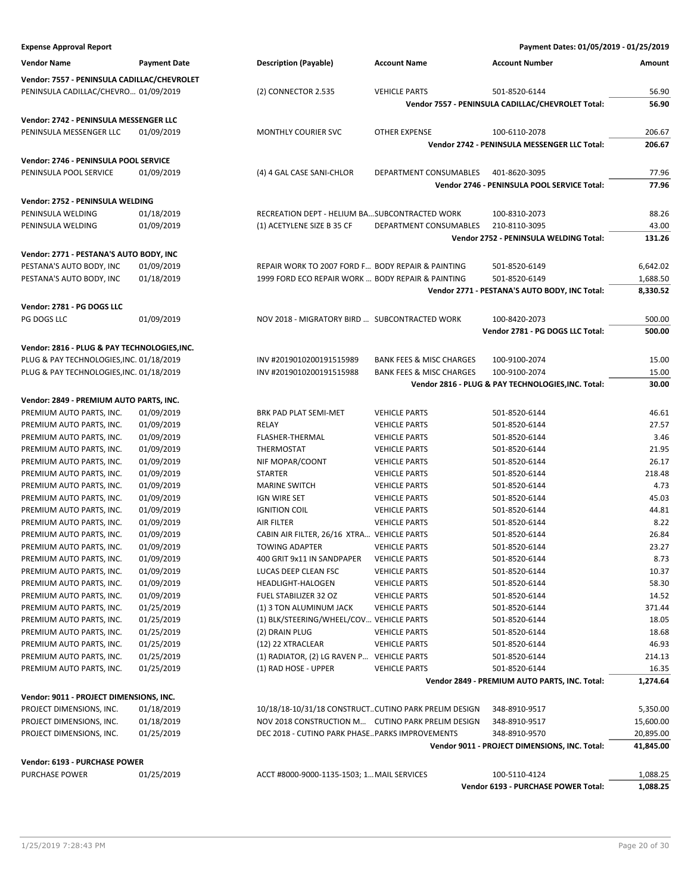| <b>Expense Approval Report</b>               |                     |                                                      |                                     | Payment Dates: 01/05/2019 - 01/25/2019             |           |
|----------------------------------------------|---------------------|------------------------------------------------------|-------------------------------------|----------------------------------------------------|-----------|
| <b>Vendor Name</b>                           | <b>Payment Date</b> | <b>Description (Payable)</b>                         | <b>Account Name</b>                 | <b>Account Number</b>                              | Amount    |
| Vendor: 7557 - PENINSULA CADILLAC/CHEVROLET  |                     |                                                      |                                     |                                                    |           |
| PENINSULA CADILLAC/CHEVRO 01/09/2019         |                     | (2) CONNECTOR 2.535                                  | <b>VEHICLE PARTS</b>                | 501-8520-6144                                      | 56.90     |
|                                              |                     |                                                      |                                     | Vendor 7557 - PENINSULA CADILLAC/CHEVROLET Total:  | 56.90     |
|                                              |                     |                                                      |                                     |                                                    |           |
| Vendor: 2742 - PENINSULA MESSENGER LLC       |                     |                                                      |                                     |                                                    |           |
| PENINSULA MESSENGER LLC                      | 01/09/2019          | <b>MONTHLY COURIER SVC</b>                           | <b>OTHER EXPENSE</b>                | 100-6110-2078                                      | 206.67    |
|                                              |                     |                                                      |                                     | Vendor 2742 - PENINSULA MESSENGER LLC Total:       | 206.67    |
| Vendor: 2746 - PENINSULA POOL SERVICE        |                     |                                                      |                                     |                                                    |           |
| PENINSULA POOL SERVICE                       | 01/09/2019          | (4) 4 GAL CASE SANI-CHLOR                            | DEPARTMENT CONSUMABLES              | 401-8620-3095                                      | 77.96     |
|                                              |                     |                                                      |                                     | Vendor 2746 - PENINSULA POOL SERVICE Total:        | 77.96     |
|                                              |                     |                                                      |                                     |                                                    |           |
| Vendor: 2752 - PENINSULA WELDING             |                     |                                                      |                                     |                                                    |           |
| PENINSULA WELDING                            | 01/18/2019          | RECREATION DEPT - HELIUM BASUBCONTRACTED WORK        |                                     | 100-8310-2073                                      | 88.26     |
| PENINSULA WELDING                            | 01/09/2019          | (1) ACETYLENE SIZE B 35 CF                           | DEPARTMENT CONSUMABLES              | 210-8110-3095                                      | 43.00     |
|                                              |                     |                                                      |                                     | Vendor 2752 - PENINSULA WELDING Total:             | 131.26    |
| Vendor: 2771 - PESTANA'S AUTO BODY, INC      |                     |                                                      |                                     |                                                    |           |
| PESTANA'S AUTO BODY, INC                     | 01/09/2019          | REPAIR WORK TO 2007 FORD F BODY REPAIR & PAINTING    |                                     | 501-8520-6149                                      | 6,642.02  |
| PESTANA'S AUTO BODY, INC                     | 01/18/2019          | 1999 FORD ECO REPAIR WORK  BODY REPAIR & PAINTING    |                                     | 501-8520-6149                                      | 1,688.50  |
|                                              |                     |                                                      |                                     | Vendor 2771 - PESTANA'S AUTO BODY, INC Total:      | 8,330.52  |
| Vendor: 2781 - PG DOGS LLC                   |                     |                                                      |                                     |                                                    |           |
|                                              |                     |                                                      |                                     |                                                    |           |
| PG DOGS LLC                                  | 01/09/2019          | NOV 2018 - MIGRATORY BIRD  SUBCONTRACTED WORK        |                                     | 100-8420-2073                                      | 500.00    |
|                                              |                     |                                                      |                                     | Vendor 2781 - PG DOGS LLC Total:                   | 500.00    |
| Vendor: 2816 - PLUG & PAY TECHNOLOGIES, INC. |                     |                                                      |                                     |                                                    |           |
| PLUG & PAY TECHNOLOGIES, INC. 01/18/2019     |                     | INV #2019010200191515989                             | <b>BANK FEES &amp; MISC CHARGES</b> | 100-9100-2074                                      | 15.00     |
| PLUG & PAY TECHNOLOGIES, INC. 01/18/2019     |                     | INV #2019010200191515988                             | <b>BANK FEES &amp; MISC CHARGES</b> | 100-9100-2074                                      | 15.00     |
|                                              |                     |                                                      |                                     | Vendor 2816 - PLUG & PAY TECHNOLOGIES, INC. Total: | 30.00     |
| Vendor: 2849 - PREMIUM AUTO PARTS, INC.      |                     |                                                      |                                     |                                                    |           |
| PREMIUM AUTO PARTS, INC.                     | 01/09/2019          | BRK PAD PLAT SEMI-MET                                | <b>VEHICLE PARTS</b>                | 501-8520-6144                                      | 46.61     |
| PREMIUM AUTO PARTS, INC.                     | 01/09/2019          | RELAY                                                | <b>VEHICLE PARTS</b>                | 501-8520-6144                                      | 27.57     |
| PREMIUM AUTO PARTS, INC.                     | 01/09/2019          | <b>FLASHER-THERMAL</b>                               | <b>VEHICLE PARTS</b>                | 501-8520-6144                                      | 3.46      |
| PREMIUM AUTO PARTS, INC.                     | 01/09/2019          | THERMOSTAT                                           | <b>VEHICLE PARTS</b>                | 501-8520-6144                                      | 21.95     |
| PREMIUM AUTO PARTS, INC.                     | 01/09/2019          | NIF MOPAR/COONT                                      | <b>VEHICLE PARTS</b>                | 501-8520-6144                                      | 26.17     |
| PREMIUM AUTO PARTS, INC.                     | 01/09/2019          | <b>STARTER</b>                                       | <b>VEHICLE PARTS</b>                | 501-8520-6144                                      | 218.48    |
| PREMIUM AUTO PARTS, INC.                     | 01/09/2019          | <b>MARINE SWITCH</b>                                 | <b>VEHICLE PARTS</b>                | 501-8520-6144                                      | 4.73      |
| PREMIUM AUTO PARTS, INC.                     | 01/09/2019          | IGN WIRE SET                                         | <b>VEHICLE PARTS</b>                | 501-8520-6144                                      | 45.03     |
| PREMIUM AUTO PARTS, INC.                     | 01/09/2019          | <b>IGNITION COIL</b>                                 | <b>VEHICLE PARTS</b>                | 501-8520-6144                                      | 44.81     |
| PREMIUM AUTO PARTS, INC.                     | 01/09/2019          | <b>AIR FILTER</b>                                    | <b>VEHICLE PARTS</b>                | 501-8520-6144                                      | 8.22      |
| PREMIUM AUTO PARTS, INC.                     | 01/09/2019          | CABIN AIR FILTER, 26/16 XTRA VEHICLE PARTS           |                                     | 501-8520-6144                                      | 26.84     |
|                                              |                     | <b>TOWING ADAPTER</b>                                |                                     |                                                    | 23.27     |
| PREMIUM AUTO PARTS, INC.                     | 01/09/2019          |                                                      | <b>VEHICLE PARTS</b>                | 501-8520-6144                                      |           |
| PREMIUM AUTO PARTS, INC.                     | 01/09/2019          | 400 GRIT 9x11 IN SANDPAPER                           | <b>VEHICLE PARTS</b>                | 501-8520-6144                                      | 8.73      |
| PREMIUM AUTO PARTS, INC.                     | 01/09/2019          | LUCAS DEEP CLEAN FSC                                 | <b>VEHICLE PARTS</b>                | 501-8520-6144                                      | 10.37     |
| PREMIUM AUTO PARTS, INC.                     | 01/09/2019          | HEADLIGHT-HALOGEN                                    | <b>VEHICLE PARTS</b>                | 501-8520-6144                                      | 58.30     |
| PREMIUM AUTO PARTS, INC.                     | 01/09/2019          | FUEL STABILIZER 32 OZ                                | <b>VEHICLE PARTS</b>                | 501-8520-6144                                      | 14.52     |
| PREMIUM AUTO PARTS, INC.                     | 01/25/2019          | (1) 3 TON ALUMINUM JACK                              | <b>VEHICLE PARTS</b>                | 501-8520-6144                                      | 371.44    |
| PREMIUM AUTO PARTS, INC.                     | 01/25/2019          | (1) BLK/STEERING/WHEEL/COV VEHICLE PARTS             |                                     | 501-8520-6144                                      | 18.05     |
| PREMIUM AUTO PARTS, INC.                     | 01/25/2019          | (2) DRAIN PLUG                                       | <b>VEHICLE PARTS</b>                | 501-8520-6144                                      | 18.68     |
| PREMIUM AUTO PARTS, INC.                     | 01/25/2019          | (12) 22 XTRACLEAR                                    | <b>VEHICLE PARTS</b>                | 501-8520-6144                                      | 46.93     |
| PREMIUM AUTO PARTS, INC.                     | 01/25/2019          | (1) RADIATOR, (2) LG RAVEN P VEHICLE PARTS           |                                     | 501-8520-6144                                      | 214.13    |
| PREMIUM AUTO PARTS, INC.                     | 01/25/2019          | (1) RAD HOSE - UPPER                                 | <b>VEHICLE PARTS</b>                | 501-8520-6144                                      | 16.35     |
|                                              |                     |                                                      |                                     | Vendor 2849 - PREMIUM AUTO PARTS, INC. Total:      | 1,274.64  |
| Vendor: 9011 - PROJECT DIMENSIONS, INC.      |                     |                                                      |                                     |                                                    |           |
| PROJECT DIMENSIONS, INC.                     | 01/18/2019          | 10/18/18-10/31/18 CONSTRUCTCUTINO PARK PRELIM DESIGN |                                     | 348-8910-9517                                      | 5,350.00  |
| PROJECT DIMENSIONS, INC.                     | 01/18/2019          | NOV 2018 CONSTRUCTION M CUTINO PARK PRELIM DESIGN    |                                     | 348-8910-9517                                      | 15,600.00 |
| PROJECT DIMENSIONS, INC.                     | 01/25/2019          | DEC 2018 - CUTINO PARK PHASEPARKS IMPROVEMENTS       |                                     | 348-8910-9570                                      | 20,895.00 |
|                                              |                     |                                                      |                                     | Vendor 9011 - PROJECT DIMENSIONS, INC. Total:      | 41,845.00 |
|                                              |                     |                                                      |                                     |                                                    |           |
| Vendor: 6193 - PURCHASE POWER                |                     |                                                      |                                     |                                                    |           |
| PURCHASE POWER                               | 01/25/2019          | ACCT #8000-9000-1135-1503; 1 MAIL SERVICES           |                                     | 100-5110-4124                                      | 1,088.25  |
|                                              |                     |                                                      |                                     | Vendor 6193 - PURCHASE POWER Total:                | 1,088.25  |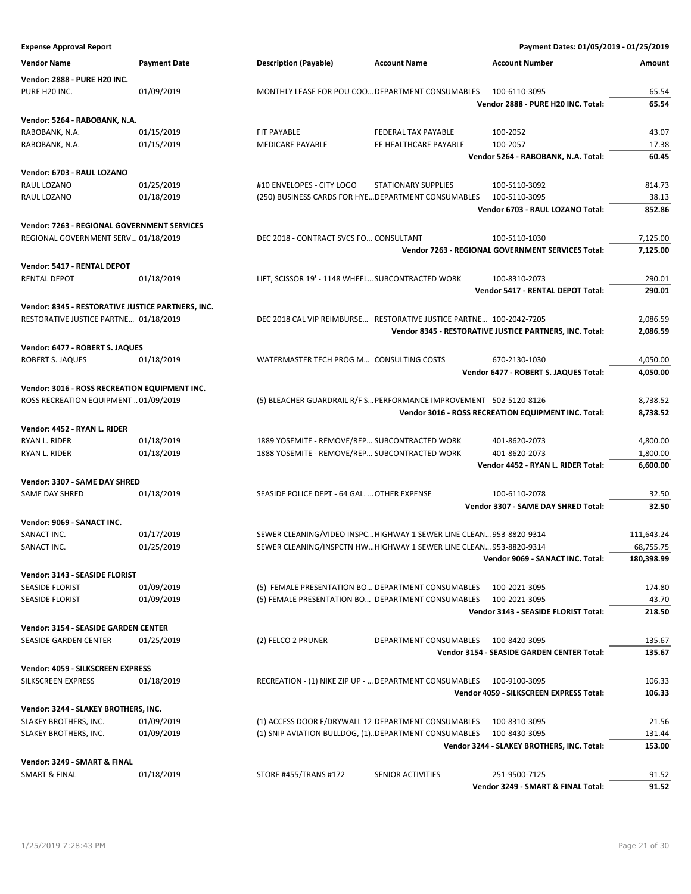**Expense Approval Report Payment Dates: 01/05/2019 - 01/25/2019 Vendor Name Payment Date Description (Payable) Account Name Account Number Amount Vendor: 2888 - PURE H20 INC.** PURE H20 INC. **01/09/2019 MONTHLY LEASE FOR POU COO... DEPARTMENT CONSUMABLES 100-6110-3095** 65.54 **Vendor 2888 - PURE H20 INC. Total: 65.54 Vendor: 5264 - RABOBANK, N.A.** RABOBANK, N.A. 601/15/2019 FIT PAYABLE FEDERAL TAX PAYABLE 100-2052 43.07 RABOBANK, N.A. **01/15/2019** MEDICARE PAYABLE EE HEALTHCARE PAYABLE 100-2057 17.38 **Vendor 5264 - RABOBANK, N.A. Total: 60.45 Vendor: 6703 - RAUL LOZANO** RAUL LOZANO 01/25/2019 #10 ENVELOPES - CITY LOGO STATIONARY SUPPLIES 100-5110-3092 814.73 RAUL LOZANO **1/18/2019 COLOGY CARDIS EN EXAMPLE AND EXAMPLE CONSUMABLES** 100-5110-3095 38.13 **Vendor 6703 - RAUL LOZANO Total: 852.86 Vendor: 7263 - REGIONAL GOVERNMENT SERVICES** REGIONAL GOVERNMENT SERV... 01/18/2019 DEC 2018 - CONTRACT SVCS FO... CONSULTANT 100-5110-1030 7,125.00 **Vendor 7263 - REGIONAL GOVERNMENT SERVICES Total: 7,125.00 Vendor: 5417 - RENTAL DEPOT** RENTAL DEPOT **12/18/2019** CONTROLLER SCISSOR 19' - 1148 WHEEL... SUBCONTRACTED WORK 100-8310-2073 **Vendor 5417 - RENTAL DEPOT Total: 290.01 Vendor: 8345 - RESTORATIVE JUSTICE PARTNERS, INC.** RESTORATIVE JUSTICE PARTNE… 01/18/2019 DEC 2018 CAL VIP REIMBURSE… RESTORATIVE JUSTICE PARTNE… 100-2042-7205 2,086.59 **Vendor 8345 - RESTORATIVE JUSTICE PARTNERS, INC. Total: 2,086.59 Vendor: 6477 - ROBERT S. JAQUES** ROBERT S. JAQUES 01/18/2019 WATERMASTER TECH PROG M... CONSULTING COSTS 670-2130-1030 4.050.00 **Vendor 6477 - ROBERT S. JAQUES Total: 4,050.00 Vendor: 3016 - ROSS RECREATION EQUIPMENT INC.** ROSS RECREATION EQUIPMENT …01/09/2019 (5) BLEACHER GUARDRAIL R/F S… PERFORMANCE IMPROVEMENT 502-5120-8126 8.738.52 **Vendor 3016 - ROSS RECREATION EQUIPMENT INC. Total: 8,738.52 Vendor: 4452 - RYAN L. RIDER** RYAN L. RIDER **1999 1889 YOSEMITE - REMOVE/REP... SUBCONTRACTED WORK** 401-8620-2073 4,800.00 RYAN L. RIDER **1.000 101/18/2019** 1888 YOSEMITE - REMOVE/REP... SUBCONTRACTED WORK 401-8620-2073 1,800.00 **Vendor 4452 - RYAN L. RIDER Total: 6,600.00 Vendor: 3307 - SAME DAY SHRED** SAME DAY SHRED **1/18/2019** SEASIDE POLICE DEPT - 64 GAL. ... OTHER EXPENSE 32.50 **Vendor 3307 - SAME DAY SHRED Total: 32.50 Vendor: 9069 - SANACT INC.** SANACT INC. 20117/2019 SEWER CLEANING/VIDEO INSPC... HIGHWAY 1 SEWER LINE CLEAN... 953-8820-9314 111,643.24 SANACT INC. **11/25/2019** SEWER CLEANING/INSPCTN HW...HIGHWAY 1 SEWER LINE CLEAN... 953-8820-9314 68,755.75 **Vendor 9069 - SANACT INC. Total: 180,398.99 Vendor: 3143 - SEASIDE FLORIST** SEASIDE FLORIST **11/09/2019** 01/09/2019 (5) FEMALE PRESENTATION BO... DEPARTMENT CONSUMABLES 100-2021-3095 174.80 SEASIDE FLORIST **12/09/2019** 01/09/2019 (5) FEMALE PRESENTATION BO... DEPARTMENT CONSUMABLES 100-2021-3095 43.70 **Vendor 3143 - SEASIDE FLORIST Total: 218.50 Vendor: 3154 - SEASIDE GARDEN CENTER** SEASIDE GARDEN CENTER 01/25/2019 (2) FELCO 2 PRUNER DEPARTMENT CONSUMABLES 100-8420-3095 135.67 **Vendor 3154 - SEASIDE GARDEN CENTER Total: 135.67 Vendor: 4059 - SILKSCREEN EXPRESS** SILKSCREEN EXPRESS 01/18/2019 RECREATION - (1) NIKE ZIP UP - ... DEPARTMENT CONSUMABLES 100-9100-3095 106.33 **Vendor 4059 - SILKSCREEN EXPRESS Total: 106.33 Vendor: 3244 - SLAKEY BROTHERS, INC.** SLAKEY BROTHERS, INC. 01/09/2019 (1) ACCESS DOOR F/DRYWALL 12 DEPARTMENT CONSUMABLES 100-8310-3095 21.56 SLAKEY BROTHERS, INC. 01/09/2019 (1) SNIP AVIATION BULLDOG, (1)..DEPARTMENT CONSUMABLES 100-8430-3095 131.44 **Vendor 3244 - SLAKEY BROTHERS, INC. Total: 153.00 Vendor: 3249 - SMART & FINAL** SMART & FINAL 01/18/2019 STORE #455/TRANS #172 SENIOR ACTIVITIES 251-9500-7125 91.52 **Vendor 3249 - SMART & FINAL Total: 91.52**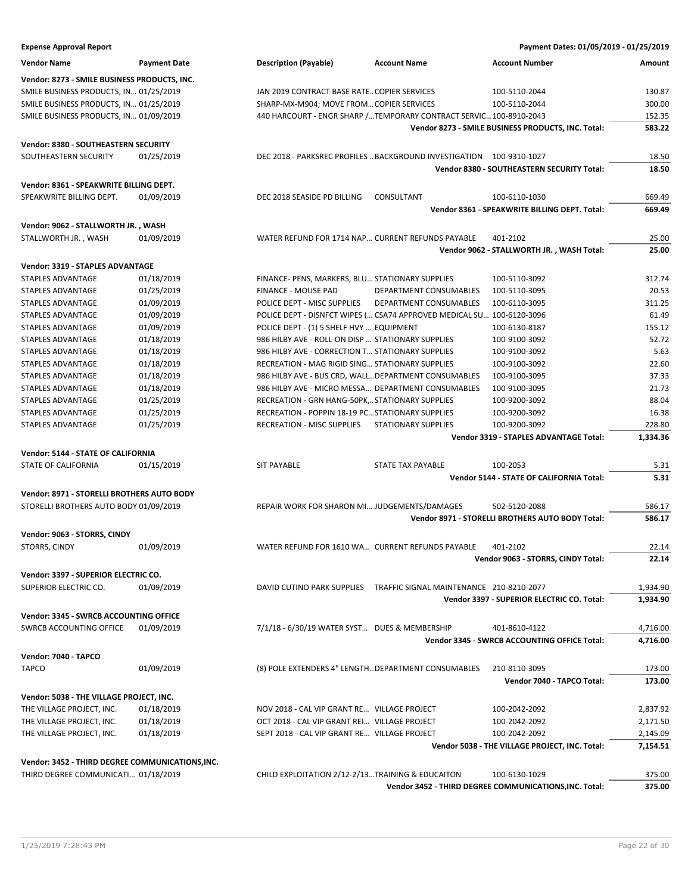| <b>Expense Approval Report</b>                   |                     |                                                        |                                                                       | Payment Dates: 01/05/2019 - 01/25/2019                  |          |
|--------------------------------------------------|---------------------|--------------------------------------------------------|-----------------------------------------------------------------------|---------------------------------------------------------|----------|
| <b>Vendor Name</b>                               | <b>Payment Date</b> | <b>Description (Payable)</b>                           | <b>Account Name</b>                                                   | <b>Account Number</b>                                   | Amount   |
| Vendor: 8273 - SMILE BUSINESS PRODUCTS, INC.     |                     |                                                        |                                                                       |                                                         |          |
| SMILE BUSINESS PRODUCTS, IN 01/25/2019           |                     | JAN 2019 CONTRACT BASE RATECOPIER SERVICES             |                                                                       | 100-5110-2044                                           | 130.87   |
| SMILE BUSINESS PRODUCTS, IN 01/25/2019           |                     | SHARP-MX-M904; MOVE FROMCOPIER SERVICES                |                                                                       | 100-5110-2044                                           | 300.00   |
| SMILE BUSINESS PRODUCTS, IN 01/09/2019           |                     |                                                        | 440 HARCOURT - ENGR SHARP /TEMPORARY CONTRACT SERVIC100-8910-2043     |                                                         | 152.35   |
|                                                  |                     |                                                        |                                                                       | Vendor 8273 - SMILE BUSINESS PRODUCTS, INC. Total:      | 583.22   |
| Vendor: 8380 - SOUTHEASTERN SECURITY             |                     |                                                        |                                                                       |                                                         |          |
| SOUTHEASTERN SECURITY                            | 01/25/2019          |                                                        | DEC 2018 - PARKSREC PROFILES  BACKGROUND INVESTIGATION 100-9310-1027  |                                                         | 18.50    |
|                                                  |                     |                                                        |                                                                       | Vendor 8380 - SOUTHEASTERN SECURITY Total:              | 18.50    |
| Vendor: 8361 - SPEAKWRITE BILLING DEPT.          |                     |                                                        |                                                                       |                                                         |          |
| SPEAKWRITE BILLING DEPT.                         | 01/09/2019          | DEC 2018 SEASIDE PD BILLING                            | CONSULTANT                                                            | 100-6110-1030                                           | 669.49   |
|                                                  |                     |                                                        |                                                                       | Vendor 8361 - SPEAKWRITE BILLING DEPT. Total:           | 669.49   |
| Vendor: 9062 - STALLWORTH JR., WASH              |                     |                                                        |                                                                       |                                                         |          |
| STALLWORTH JR., WASH                             | 01/09/2019          | WATER REFUND FOR 1714 NAP CURRENT REFUNDS PAYABLE      |                                                                       | 401-2102                                                | 25.00    |
|                                                  |                     |                                                        |                                                                       | Vendor 9062 - STALLWORTH JR., WASH Total:               | 25.00    |
| Vendor: 3319 - STAPLES ADVANTAGE                 |                     |                                                        |                                                                       |                                                         |          |
| STAPLES ADVANTAGE                                | 01/18/2019          | FINANCE- PENS, MARKERS, BLU STATIONARY SUPPLIES        |                                                                       | 100-5110-3092                                           | 312.74   |
| STAPLES ADVANTAGE                                | 01/25/2019          | <b>FINANCE - MOUSE PAD</b>                             | DEPARTMENT CONSUMABLES                                                | 100-5110-3095                                           | 20.53    |
| <b>STAPLES ADVANTAGE</b>                         | 01/09/2019          | POLICE DEPT - MISC SUPPLIES                            | <b>DEPARTMENT CONSUMABLES</b>                                         | 100-6110-3095                                           | 311.25   |
| STAPLES ADVANTAGE                                | 01/09/2019          |                                                        | POLICE DEPT - DISNFCT WIPES ( CSA74 APPROVED MEDICAL SU 100-6120-3096 |                                                         | 61.49    |
| STAPLES ADVANTAGE                                | 01/09/2019          | POLICE DEPT - (1) 5 SHELF HVY  EQUIPMENT               |                                                                       | 100-6130-8187                                           | 155.12   |
| <b>STAPLES ADVANTAGE</b>                         | 01/18/2019          | 986 HILBY AVE - ROLL-ON DISP  STATIONARY SUPPLIES      |                                                                       | 100-9100-3092                                           | 52.72    |
| STAPLES ADVANTAGE                                | 01/18/2019          | 986 HILBY AVE - CORRECTION T STATIONARY SUPPLIES       |                                                                       | 100-9100-3092                                           | 5.63     |
| STAPLES ADVANTAGE                                | 01/18/2019          | <b>RECREATION - MAG RIGID SING STATIONARY SUPPLIES</b> |                                                                       | 100-9100-3092                                           | 22.60    |
|                                                  |                     |                                                        |                                                                       |                                                         |          |
| STAPLES ADVANTAGE                                | 01/18/2019          | 986 HILBY AVE - BUS CRD, WALL DEPARTMENT CONSUMABLES   |                                                                       | 100-9100-3095                                           | 37.33    |
| STAPLES ADVANTAGE                                | 01/18/2019          | 986 HILBY AVE - MICRO MESSA DEPARTMENT CONSUMABLES     |                                                                       | 100-9100-3095                                           | 21.73    |
| STAPLES ADVANTAGE                                | 01/25/2019          | RECREATION - GRN HANG-50PK,STATIONARY SUPPLIES         |                                                                       | 100-9200-3092                                           | 88.04    |
| STAPLES ADVANTAGE                                | 01/25/2019          | RECREATION - POPPIN 18-19 PC STATIONARY SUPPLIES       |                                                                       | 100-9200-3092                                           | 16.38    |
| STAPLES ADVANTAGE                                | 01/25/2019          | RECREATION - MISC SUPPLIES                             | <b>STATIONARY SUPPLIES</b>                                            | 100-9200-3092<br>Vendor 3319 - STAPLES ADVANTAGE Total: | 228.80   |
|                                                  |                     |                                                        |                                                                       |                                                         | 1,334.36 |
| Vendor: 5144 - STATE OF CALIFORNIA               |                     |                                                        |                                                                       |                                                         |          |
| STATE OF CALIFORNIA                              | 01/15/2019          | <b>SIT PAYABLE</b>                                     | <b>STATE TAX PAYABLE</b>                                              | 100-2053                                                | 5.31     |
|                                                  |                     |                                                        |                                                                       | Vendor 5144 - STATE OF CALIFORNIA Total:                | 5.31     |
| Vendor: 8971 - STORELLI BROTHERS AUTO BODY       |                     |                                                        |                                                                       |                                                         |          |
| STORELLI BROTHERS AUTO BODY 01/09/2019           |                     | REPAIR WORK FOR SHARON MI JUDGEMENTS/DAMAGES           |                                                                       | 502-5120-2088                                           | 586.17   |
|                                                  |                     |                                                        |                                                                       | Vendor 8971 - STORELLI BROTHERS AUTO BODY Total:        | 586.17   |
| Vendor: 9063 - STORRS, CINDY                     |                     |                                                        |                                                                       |                                                         |          |
| STORRS, CINDY                                    | 01/09/2019          | WATER REFUND FOR 1610 WA CURRENT REFUNDS PAYABLE       |                                                                       | 401-2102                                                | 22.14    |
|                                                  |                     |                                                        |                                                                       | Vendor 9063 - STORRS, CINDY Total:                      | 22.14    |
| Vendor: 3397 - SUPERIOR ELECTRIC CO.             |                     |                                                        |                                                                       |                                                         |          |
| SUPERIOR ELECTRIC CO.                            | 01/09/2019          |                                                        | DAVID CUTINO PARK SUPPLIES TRAFFIC SIGNAL MAINTENANCE 210-8210-2077   |                                                         | 1,934.90 |
|                                                  |                     |                                                        |                                                                       | Vendor 3397 - SUPERIOR ELECTRIC CO. Total:              | 1,934.90 |
| Vendor: 3345 - SWRCB ACCOUNTING OFFICE           |                     |                                                        |                                                                       |                                                         |          |
| <b>SWRCB ACCOUNTING OFFICE</b>                   | 01/09/2019          | 7/1/18 - 6/30/19 WATER SYST DUES & MEMBERSHIP          |                                                                       | 401-8610-4122                                           | 4,716.00 |
|                                                  |                     |                                                        |                                                                       | <b>Vendor 3345 - SWRCB ACCOUNTING OFFICE Total:</b>     | 4,716.00 |
| Vendor: 7040 - TAPCO                             |                     |                                                        |                                                                       |                                                         |          |
| <b>TAPCO</b>                                     | 01/09/2019          | (8) POLE EXTENDERS 4" LENGTH DEPARTMENT CONSUMABLES    |                                                                       | 210-8110-3095                                           | 173.00   |
|                                                  |                     |                                                        |                                                                       | Vendor 7040 - TAPCO Total:                              | 173.00   |
| Vendor: 5038 - THE VILLAGE PROJECT, INC.         |                     |                                                        |                                                                       |                                                         |          |
| THE VILLAGE PROJECT, INC.                        | 01/18/2019          | NOV 2018 - CAL VIP GRANT RE VILLAGE PROJECT            |                                                                       | 100-2042-2092                                           | 2,837.92 |
| THE VILLAGE PROJECT, INC.                        | 01/18/2019          | OCT 2018 - CAL VIP GRANT REI VILLAGE PROJECT           |                                                                       | 100-2042-2092                                           | 2,171.50 |
| THE VILLAGE PROJECT, INC.                        | 01/18/2019          | SEPT 2018 - CAL VIP GRANT RE VILLAGE PROJECT           |                                                                       | 100-2042-2092                                           | 2,145.09 |
|                                                  |                     |                                                        |                                                                       | Vendor 5038 - THE VILLAGE PROJECT, INC. Total:          | 7,154.51 |
| Vendor: 3452 - THIRD DEGREE COMMUNICATIONS, INC. |                     |                                                        |                                                                       |                                                         |          |
| THIRD DEGREE COMMUNICATI 01/18/2019              |                     | CHILD EXPLOITATION 2/12-2/13TRAINING & EDUCAITON       |                                                                       | 100-6130-1029                                           | 375.00   |
|                                                  |                     |                                                        |                                                                       |                                                         |          |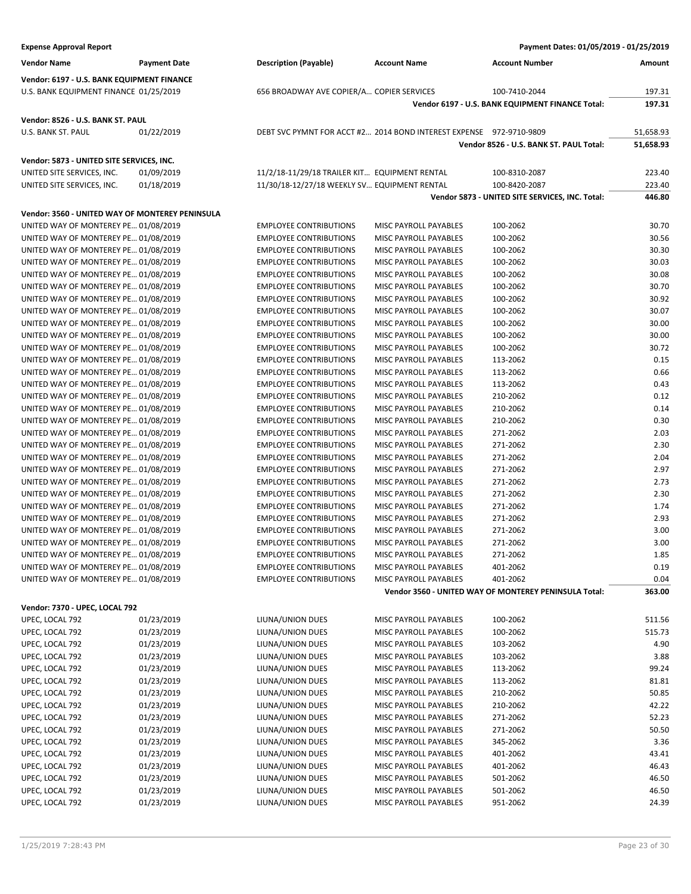| <b>Expense Approval Report</b>                  |                     |                                                                     |                       | Payment Dates: 01/05/2019 - 01/25/2019                            |                |
|-------------------------------------------------|---------------------|---------------------------------------------------------------------|-----------------------|-------------------------------------------------------------------|----------------|
| <b>Vendor Name</b>                              | <b>Payment Date</b> | <b>Description (Payable)</b>                                        | <b>Account Name</b>   | <b>Account Number</b>                                             | Amount         |
| Vendor: 6197 - U.S. BANK EQUIPMENT FINANCE      |                     |                                                                     |                       |                                                                   |                |
| U.S. BANK EQUIPMENT FINANCE 01/25/2019          |                     | 656 BROADWAY AVE COPIER/A COPIER SERVICES                           |                       | 100-7410-2044                                                     | 197.31         |
|                                                 |                     |                                                                     |                       | Vendor 6197 - U.S. BANK EQUIPMENT FINANCE Total:                  | 197.31         |
| Vendor: 8526 - U.S. BANK ST. PAUL               |                     |                                                                     |                       |                                                                   |                |
| U.S. BANK ST. PAUL                              | 01/22/2019          | DEBT SVC PYMNT FOR ACCT #2 2014 BOND INTEREST EXPENSE 972-9710-9809 |                       |                                                                   | 51,658.93      |
|                                                 |                     |                                                                     |                       | Vendor 8526 - U.S. BANK ST. PAUL Total:                           | 51,658.93      |
| Vendor: 5873 - UNITED SITE SERVICES, INC.       |                     |                                                                     |                       |                                                                   |                |
| UNITED SITE SERVICES, INC.                      | 01/09/2019          | 11/2/18-11/29/18 TRAILER KIT EQUIPMENT RENTAL                       |                       | 100-8310-2087                                                     | 223.40         |
| UNITED SITE SERVICES, INC.                      | 01/18/2019          | 11/30/18-12/27/18 WEEKLY SV EQUIPMENT RENTAL                        |                       | 100-8420-2087                                                     | 223.40         |
|                                                 |                     |                                                                     |                       | Vendor 5873 - UNITED SITE SERVICES, INC. Total:                   | 446.80         |
| Vendor: 3560 - UNITED WAY OF MONTEREY PENINSULA |                     |                                                                     |                       |                                                                   |                |
| UNITED WAY OF MONTEREY PE 01/08/2019            |                     | <b>EMPLOYEE CONTRIBUTIONS</b>                                       | MISC PAYROLL PAYABLES | 100-2062                                                          | 30.70          |
| UNITED WAY OF MONTEREY PE 01/08/2019            |                     | <b>EMPLOYEE CONTRIBUTIONS</b>                                       | MISC PAYROLL PAYABLES | 100-2062                                                          | 30.56          |
| UNITED WAY OF MONTEREY PE 01/08/2019            |                     | <b>EMPLOYEE CONTRIBUTIONS</b>                                       | MISC PAYROLL PAYABLES | 100-2062                                                          | 30.30          |
| UNITED WAY OF MONTEREY PE 01/08/2019            |                     | <b>EMPLOYEE CONTRIBUTIONS</b>                                       | MISC PAYROLL PAYABLES | 100-2062                                                          | 30.03          |
| UNITED WAY OF MONTEREY PE 01/08/2019            |                     | <b>EMPLOYEE CONTRIBUTIONS</b>                                       | MISC PAYROLL PAYABLES | 100-2062                                                          | 30.08          |
| UNITED WAY OF MONTEREY PE 01/08/2019            |                     | <b>EMPLOYEE CONTRIBUTIONS</b>                                       | MISC PAYROLL PAYABLES | 100-2062                                                          | 30.70          |
| UNITED WAY OF MONTEREY PE 01/08/2019            |                     | <b>EMPLOYEE CONTRIBUTIONS</b>                                       | MISC PAYROLL PAYABLES | 100-2062                                                          | 30.92          |
| UNITED WAY OF MONTEREY PE 01/08/2019            |                     | <b>EMPLOYEE CONTRIBUTIONS</b>                                       | MISC PAYROLL PAYABLES | 100-2062                                                          | 30.07          |
| UNITED WAY OF MONTEREY PE 01/08/2019            |                     | <b>EMPLOYEE CONTRIBUTIONS</b>                                       | MISC PAYROLL PAYABLES | 100-2062                                                          | 30.00          |
| UNITED WAY OF MONTEREY PE 01/08/2019            |                     | <b>EMPLOYEE CONTRIBUTIONS</b>                                       | MISC PAYROLL PAYABLES | 100-2062                                                          | 30.00          |
| UNITED WAY OF MONTEREY PE 01/08/2019            |                     | <b>EMPLOYEE CONTRIBUTIONS</b>                                       | MISC PAYROLL PAYABLES | 100-2062                                                          | 30.72          |
| UNITED WAY OF MONTEREY PE 01/08/2019            |                     | <b>EMPLOYEE CONTRIBUTIONS</b>                                       | MISC PAYROLL PAYABLES | 113-2062                                                          | 0.15           |
| UNITED WAY OF MONTEREY PE 01/08/2019            |                     | <b>EMPLOYEE CONTRIBUTIONS</b>                                       | MISC PAYROLL PAYABLES | 113-2062                                                          | 0.66           |
| UNITED WAY OF MONTEREY PE 01/08/2019            |                     | <b>EMPLOYEE CONTRIBUTIONS</b>                                       | MISC PAYROLL PAYABLES | 113-2062                                                          | 0.43           |
| UNITED WAY OF MONTEREY PE 01/08/2019            |                     | <b>EMPLOYEE CONTRIBUTIONS</b>                                       | MISC PAYROLL PAYABLES | 210-2062                                                          | 0.12           |
| UNITED WAY OF MONTEREY PE 01/08/2019            |                     | <b>EMPLOYEE CONTRIBUTIONS</b>                                       | MISC PAYROLL PAYABLES | 210-2062                                                          | 0.14           |
| UNITED WAY OF MONTEREY PE 01/08/2019            |                     | <b>EMPLOYEE CONTRIBUTIONS</b>                                       | MISC PAYROLL PAYABLES | 210-2062                                                          | 0.30           |
| UNITED WAY OF MONTEREY PE 01/08/2019            |                     | <b>EMPLOYEE CONTRIBUTIONS</b>                                       | MISC PAYROLL PAYABLES | 271-2062                                                          | 2.03           |
| UNITED WAY OF MONTEREY PE 01/08/2019            |                     | <b>EMPLOYEE CONTRIBUTIONS</b>                                       | MISC PAYROLL PAYABLES | 271-2062                                                          | 2.30           |
| UNITED WAY OF MONTEREY PE 01/08/2019            |                     | <b>EMPLOYEE CONTRIBUTIONS</b>                                       | MISC PAYROLL PAYABLES | 271-2062                                                          | 2.04           |
| UNITED WAY OF MONTEREY PE 01/08/2019            |                     | <b>EMPLOYEE CONTRIBUTIONS</b>                                       | MISC PAYROLL PAYABLES | 271-2062                                                          | 2.97           |
| UNITED WAY OF MONTEREY PE 01/08/2019            |                     | <b>EMPLOYEE CONTRIBUTIONS</b>                                       | MISC PAYROLL PAYABLES | 271-2062                                                          | 2.73           |
| UNITED WAY OF MONTEREY PE 01/08/2019            |                     | <b>EMPLOYEE CONTRIBUTIONS</b>                                       | MISC PAYROLL PAYABLES | 271-2062                                                          | 2.30           |
| UNITED WAY OF MONTEREY PE 01/08/2019            |                     | <b>EMPLOYEE CONTRIBUTIONS</b>                                       | MISC PAYROLL PAYABLES | 271-2062                                                          | 1.74           |
| UNITED WAY OF MONTEREY PE 01/08/2019            |                     | <b>EMPLOYEE CONTRIBUTIONS</b>                                       | MISC PAYROLL PAYABLES | 271-2062                                                          | 2.93           |
| UNITED WAY OF MONTEREY PE 01/08/2019            |                     | <b>EMPLOYEE CONTRIBUTIONS</b>                                       | MISC PAYROLL PAYABLES | 271-2062                                                          | 3.00           |
| UNITED WAY OF MONTEREY PE 01/08/2019            |                     | <b>EMPLOYEE CONTRIBUTIONS</b>                                       | MISC PAYROLL PAYABLES | 271-2062                                                          | 3.00           |
| UNITED WAY OF MONTEREY PE 01/08/2019            |                     | <b>EMPLOYEE CONTRIBUTIONS</b>                                       | MISC PAYROLL PAYABLES | 271-2062                                                          | 1.85           |
| UNITED WAY OF MONTEREY PE 01/08/2019            |                     | <b>EMPLOYEE CONTRIBUTIONS</b>                                       | MISC PAYROLL PAYABLES | 401-2062                                                          | 0.19           |
| UNITED WAY OF MONTEREY PE 01/08/2019            |                     | <b>EMPLOYEE CONTRIBUTIONS</b>                                       | MISC PAYROLL PAYABLES | 401-2062<br>Vendor 3560 - UNITED WAY OF MONTEREY PENINSULA Total: | 0.04<br>363.00 |
|                                                 |                     |                                                                     |                       |                                                                   |                |
| Vendor: 7370 - UPEC, LOCAL 792                  |                     |                                                                     |                       |                                                                   |                |
| UPEC, LOCAL 792                                 | 01/23/2019          | LIUNA/UNION DUES                                                    | MISC PAYROLL PAYABLES | 100-2062                                                          | 511.56         |
| UPEC, LOCAL 792                                 | 01/23/2019          | LIUNA/UNION DUES                                                    | MISC PAYROLL PAYABLES | 100-2062                                                          | 515.73         |
| UPEC, LOCAL 792                                 | 01/23/2019          | LIUNA/UNION DUES                                                    | MISC PAYROLL PAYABLES | 103-2062                                                          | 4.90           |
| UPEC, LOCAL 792                                 | 01/23/2019          | LIUNA/UNION DUES                                                    | MISC PAYROLL PAYABLES | 103-2062                                                          | 3.88           |
| UPEC, LOCAL 792                                 | 01/23/2019          | LIUNA/UNION DUES                                                    | MISC PAYROLL PAYABLES | 113-2062                                                          | 99.24          |
| UPEC, LOCAL 792                                 | 01/23/2019          | LIUNA/UNION DUES                                                    | MISC PAYROLL PAYABLES | 113-2062                                                          | 81.81          |
| UPEC, LOCAL 792                                 | 01/23/2019          | LIUNA/UNION DUES                                                    | MISC PAYROLL PAYABLES | 210-2062                                                          | 50.85          |
| UPEC, LOCAL 792                                 | 01/23/2019          | LIUNA/UNION DUES                                                    | MISC PAYROLL PAYABLES | 210-2062                                                          | 42.22          |
| UPEC, LOCAL 792                                 | 01/23/2019          | LIUNA/UNION DUES                                                    | MISC PAYROLL PAYABLES | 271-2062                                                          | 52.23          |
| UPEC, LOCAL 792                                 | 01/23/2019          | LIUNA/UNION DUES                                                    | MISC PAYROLL PAYABLES | 271-2062                                                          | 50.50          |
| UPEC, LOCAL 792                                 | 01/23/2019          | LIUNA/UNION DUES                                                    | MISC PAYROLL PAYABLES | 345-2062                                                          | 3.36           |
| UPEC, LOCAL 792                                 | 01/23/2019          | LIUNA/UNION DUES                                                    | MISC PAYROLL PAYABLES | 401-2062                                                          | 43.41          |
| UPEC, LOCAL 792                                 | 01/23/2019          | LIUNA/UNION DUES                                                    | MISC PAYROLL PAYABLES | 401-2062                                                          | 46.43          |
| UPEC, LOCAL 792                                 | 01/23/2019          | LIUNA/UNION DUES                                                    | MISC PAYROLL PAYABLES | 501-2062                                                          | 46.50          |
| UPEC, LOCAL 792                                 | 01/23/2019          | LIUNA/UNION DUES                                                    | MISC PAYROLL PAYABLES | 501-2062                                                          | 46.50          |
| UPEC, LOCAL 792                                 | 01/23/2019          | LIUNA/UNION DUES                                                    | MISC PAYROLL PAYABLES | 951-2062                                                          | 24.39          |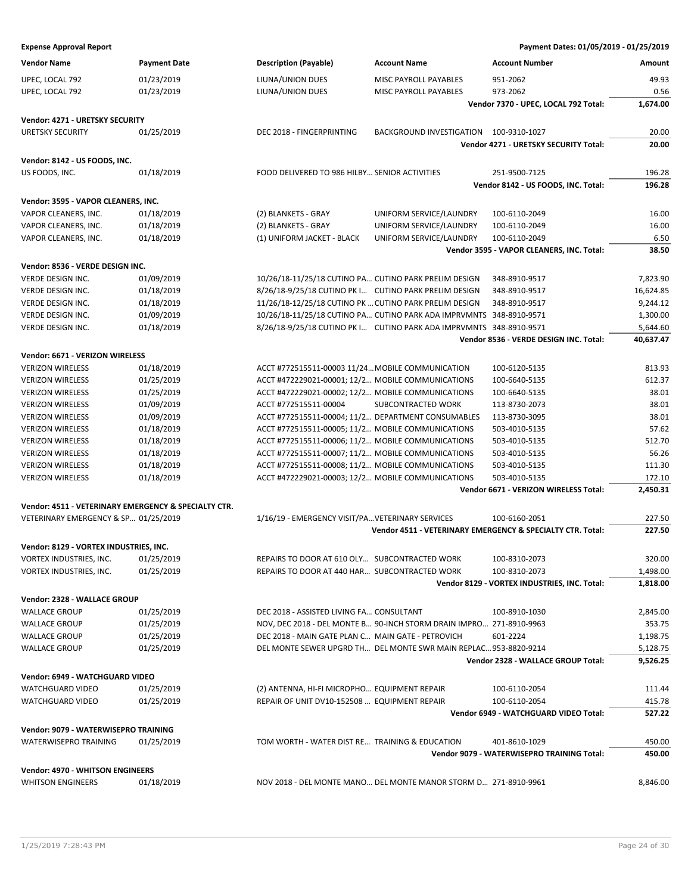| Payment Dates: 01/05/2019 - 01/25/2019 |  |  |  |  |
|----------------------------------------|--|--|--|--|
|----------------------------------------|--|--|--|--|

| <b>Expense Approval Report</b>                       |                     |                                                                     |                                        | Payment Dates: 01/05/2019 - 01/25/2019                     |               |
|------------------------------------------------------|---------------------|---------------------------------------------------------------------|----------------------------------------|------------------------------------------------------------|---------------|
| <b>Vendor Name</b>                                   | <b>Payment Date</b> | <b>Description (Payable)</b>                                        | <b>Account Name</b>                    | <b>Account Number</b>                                      | Amount        |
| UPEC, LOCAL 792                                      | 01/23/2019          | LIUNA/UNION DUES                                                    | MISC PAYROLL PAYABLES                  | 951-2062                                                   | 49.93         |
|                                                      | 01/23/2019          |                                                                     | MISC PAYROLL PAYABLES                  | 973-2062                                                   | 0.56          |
| UPEC, LOCAL 792                                      |                     | LIUNA/UNION DUES                                                    |                                        | Vendor 7370 - UPEC, LOCAL 792 Total:                       | 1.674.00      |
|                                                      |                     |                                                                     |                                        |                                                            |               |
| Vendor: 4271 - URETSKY SECURITY                      |                     |                                                                     |                                        |                                                            |               |
| <b>URETSKY SECURITY</b>                              | 01/25/2019          | DEC 2018 - FINGERPRINTING                                           | BACKGROUND INVESTIGATION 100-9310-1027 |                                                            | 20.00         |
|                                                      |                     |                                                                     |                                        | Vendor 4271 - URETSKY SECURITY Total:                      | 20.00         |
| Vendor: 8142 - US FOODS, INC.                        |                     |                                                                     |                                        |                                                            |               |
| US FOODS, INC.                                       | 01/18/2019          | FOOD DELIVERED TO 986 HILBY SENIOR ACTIVITIES                       |                                        | 251-9500-7125                                              | 196.28        |
|                                                      |                     |                                                                     |                                        | Vendor 8142 - US FOODS, INC. Total:                        | 196.28        |
| Vendor: 3595 - VAPOR CLEANERS, INC.                  |                     |                                                                     |                                        |                                                            |               |
| VAPOR CLEANERS, INC.                                 | 01/18/2019          | (2) BLANKETS - GRAY                                                 | UNIFORM SERVICE/LAUNDRY                | 100-6110-2049                                              | 16.00         |
| VAPOR CLEANERS, INC.                                 | 01/18/2019          | (2) BLANKETS - GRAY                                                 | UNIFORM SERVICE/LAUNDRY                | 100-6110-2049                                              | 16.00         |
|                                                      |                     |                                                                     |                                        |                                                            |               |
| VAPOR CLEANERS, INC.                                 | 01/18/2019          | (1) UNIFORM JACKET - BLACK                                          | UNIFORM SERVICE/LAUNDRY                | 100-6110-2049                                              | 6.50<br>38.50 |
|                                                      |                     |                                                                     |                                        | Vendor 3595 - VAPOR CLEANERS, INC. Total:                  |               |
| Vendor: 8536 - VERDE DESIGN INC.                     |                     |                                                                     |                                        |                                                            |               |
| VERDE DESIGN INC.                                    | 01/09/2019          | 10/26/18-11/25/18 CUTINO PA CUTINO PARK PRELIM DESIGN               |                                        | 348-8910-9517                                              | 7,823.90      |
| <b>VERDE DESIGN INC.</b>                             | 01/18/2019          | 8/26/18-9/25/18 CUTINO PK I CUTINO PARK PRELIM DESIGN               |                                        | 348-8910-9517                                              | 16,624.85     |
| VERDE DESIGN INC.                                    | 01/18/2019          | 11/26/18-12/25/18 CUTINO PK  CUTINO PARK PRELIM DESIGN              |                                        | 348-8910-9517                                              | 9,244.12      |
| VERDE DESIGN INC.                                    | 01/09/2019          | 10/26/18-11/25/18 CUTINO PA CUTINO PARK ADA IMPRVMNTS               |                                        | 348-8910-9571                                              | 1,300.00      |
| VERDE DESIGN INC.                                    | 01/18/2019          | 8/26/18-9/25/18 CUTINO PK I CUTINO PARK ADA IMPRVMNTS               |                                        | 348-8910-9571                                              | 5,644.60      |
|                                                      |                     |                                                                     |                                        | Vendor 8536 - VERDE DESIGN INC. Total:                     | 40,637.47     |
| Vendor: 6671 - VERIZON WIRELESS                      |                     |                                                                     |                                        |                                                            |               |
| <b>VERIZON WIRELESS</b>                              | 01/18/2019          | ACCT #772515511-00003 11/24 MOBILE COMMUNICATION                    |                                        | 100-6120-5135                                              | 813.93        |
| <b>VERIZON WIRELESS</b>                              | 01/25/2019          | ACCT #472229021-00001; 12/2 MOBILE COMMUNICATIONS                   |                                        | 100-6640-5135                                              | 612.37        |
| <b>VERIZON WIRELESS</b>                              | 01/25/2019          | ACCT #472229021-00002; 12/2 MOBILE COMMUNICATIONS                   |                                        | 100-6640-5135                                              | 38.01         |
| <b>VERIZON WIRELESS</b>                              | 01/09/2019          | ACCT #772515511-00004                                               | SUBCONTRACTED WORK                     | 113-8730-2073                                              | 38.01         |
| <b>VERIZON WIRELESS</b>                              | 01/09/2019          | ACCT #772515511-00004; 11/2 DEPARTMENT CONSUMABLES                  |                                        | 113-8730-3095                                              | 38.01         |
| <b>VERIZON WIRELESS</b>                              | 01/18/2019          | ACCT #772515511-00005; 11/2 MOBILE COMMUNICATIONS                   |                                        | 503-4010-5135                                              | 57.62         |
| <b>VERIZON WIRELESS</b>                              | 01/18/2019          | ACCT #772515511-00006; 11/2 MOBILE COMMUNICATIONS                   |                                        | 503-4010-5135                                              | 512.70        |
| <b>VERIZON WIRELESS</b>                              | 01/18/2019          | ACCT #772515511-00007; 11/2 MOBILE COMMUNICATIONS                   |                                        | 503-4010-5135                                              | 56.26         |
| <b>VERIZON WIRELESS</b>                              | 01/18/2019          | ACCT #772515511-00008; 11/2 MOBILE COMMUNICATIONS                   |                                        | 503-4010-5135                                              | 111.30        |
| <b>VERIZON WIRELESS</b>                              | 01/18/2019          | ACCT #472229021-00003; 12/2 MOBILE COMMUNICATIONS                   |                                        | 503-4010-5135                                              | 172.10        |
|                                                      |                     |                                                                     |                                        | Vendor 6671 - VERIZON WIRELESS Total:                      | 2,450.31      |
|                                                      |                     |                                                                     |                                        |                                                            |               |
| Vendor: 4511 - VETERINARY EMERGENCY & SPECIALTY CTR. |                     |                                                                     |                                        |                                                            |               |
| VETERINARY EMERGENCY & SP 01/25/2019                 |                     | 1/16/19 - EMERGENCY VISIT/PA VETERINARY SERVICES                    |                                        | 100-6160-2051                                              | 227.50        |
|                                                      |                     |                                                                     |                                        | Vendor 4511 - VETERINARY EMERGENCY & SPECIALTY CTR. Total: | 227.50        |
| Vendor: 8129 - VORTEX INDUSTRIES, INC.               |                     |                                                                     |                                        |                                                            |               |
| VORTEX INDUSTRIES, INC.                              | 01/25/2019          | REPAIRS TO DOOR AT 610 OLY SUBCONTRACTED WORK                       |                                        | 100-8310-2073                                              | 320.00        |
| VORTEX INDUSTRIES, INC.                              | 01/25/2019          | REPAIRS TO DOOR AT 440 HAR SUBCONTRACTED WORK                       |                                        | 100-8310-2073                                              | 1,498.00      |
|                                                      |                     |                                                                     |                                        | Vendor 8129 - VORTEX INDUSTRIES, INC. Total:               | 1,818.00      |
| Vendor: 2328 - WALLACE GROUP                         |                     |                                                                     |                                        |                                                            |               |
| <b>WALLACE GROUP</b>                                 | 01/25/2019          | DEC 2018 - ASSISTED LIVING FA CONSULTANT                            |                                        | 100-8910-1030                                              | 2,845.00      |
| <b>WALLACE GROUP</b>                                 | 01/25/2019          | NOV, DEC 2018 - DEL MONTE B 90-INCH STORM DRAIN IMPRO 271-8910-9963 |                                        |                                                            | 353.75        |
| <b>WALLACE GROUP</b>                                 | 01/25/2019          | DEC 2018 - MAIN GATE PLAN C MAIN GATE - PETROVICH                   |                                        | 601-2224                                                   | 1,198.75      |
| <b>WALLACE GROUP</b>                                 | 01/25/2019          | DEL MONTE SEWER UPGRD TH DEL MONTE SWR MAIN REPLAC 953-8820-9214    |                                        |                                                            | 5,128.75      |
|                                                      |                     |                                                                     |                                        | Vendor 2328 - WALLACE GROUP Total:                         | 9,526.25      |
|                                                      |                     |                                                                     |                                        |                                                            |               |
| Vendor: 6949 - WATCHGUARD VIDEO                      |                     |                                                                     |                                        |                                                            |               |
| WATCHGUARD VIDEO                                     | 01/25/2019          | (2) ANTENNA, HI-FI MICROPHO EQUIPMENT REPAIR                        |                                        | 100-6110-2054                                              | 111.44        |
| WATCHGUARD VIDEO                                     | 01/25/2019          | REPAIR OF UNIT DV10-152508  EQUIPMENT REPAIR                        |                                        | 100-6110-2054                                              | 415.78        |
|                                                      |                     |                                                                     |                                        | Vendor 6949 - WATCHGUARD VIDEO Total:                      | 527.22        |
| Vendor: 9079 - WATERWISEPRO TRAINING                 |                     |                                                                     |                                        |                                                            |               |
| WATERWISEPRO TRAINING                                | 01/25/2019          | TOM WORTH - WATER DIST RE TRAINING & EDUCATION                      |                                        | 401-8610-1029                                              | 450.00        |
|                                                      |                     |                                                                     |                                        | Vendor 9079 - WATERWISEPRO TRAINING Total:                 | 450.00        |
| Vendor: 4970 - WHITSON ENGINEERS                     |                     |                                                                     |                                        |                                                            |               |
| <b>WHITSON ENGINEERS</b>                             | 01/18/2019          | NOV 2018 - DEL MONTE MANO DEL MONTE MANOR STORM D 271-8910-9961     |                                        |                                                            | 8,846.00      |
|                                                      |                     |                                                                     |                                        |                                                            |               |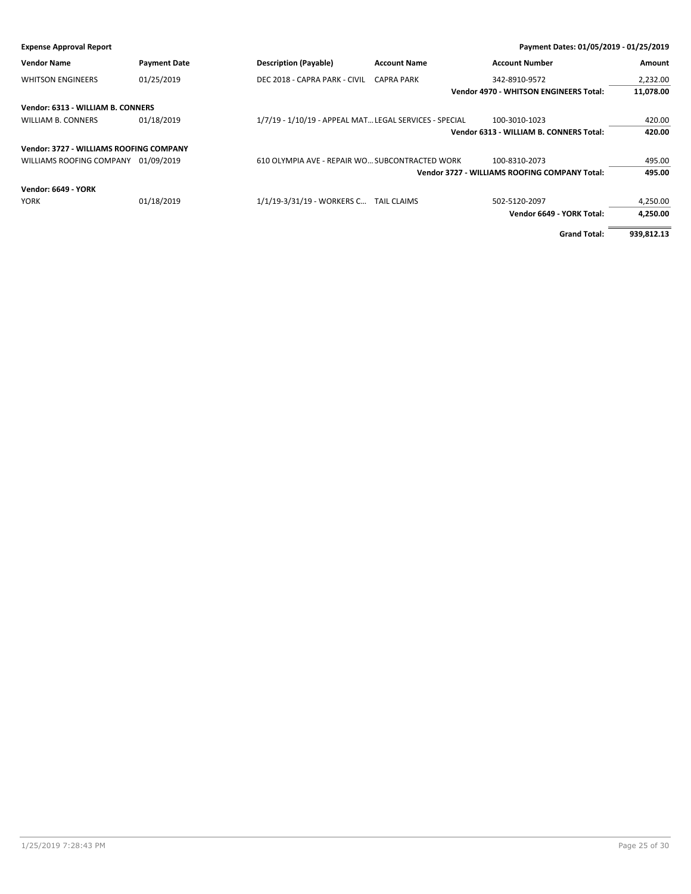| <b>Expense Approval Report</b>          |                     |                                                        |                     | Payment Dates: 01/05/2019 - 01/25/2019        |            |
|-----------------------------------------|---------------------|--------------------------------------------------------|---------------------|-----------------------------------------------|------------|
| <b>Vendor Name</b>                      | <b>Payment Date</b> | <b>Description (Payable)</b>                           | <b>Account Name</b> | <b>Account Number</b>                         | Amount     |
| <b>WHITSON ENGINEERS</b>                | 01/25/2019          | DEC 2018 - CAPRA PARK - CIVIL                          | <b>CAPRA PARK</b>   | 342-8910-9572                                 | 2,232.00   |
|                                         |                     |                                                        |                     | <b>Vendor 4970 - WHITSON ENGINEERS Total:</b> | 11,078.00  |
| Vendor: 6313 - WILLIAM B. CONNERS       |                     |                                                        |                     |                                               |            |
| WILLIAM B. CONNERS                      | 01/18/2019          | 1/7/19 - 1/10/19 - APPEAL MAT LEGAL SERVICES - SPECIAL |                     | 100-3010-1023                                 | 420.00     |
|                                         |                     |                                                        |                     | Vendor 6313 - WILLIAM B. CONNERS Total:       | 420.00     |
| Vendor: 3727 - WILLIAMS ROOFING COMPANY |                     |                                                        |                     |                                               |            |
| WILLIAMS ROOFING COMPANY                | 01/09/2019          | 610 OLYMPIA AVE - REPAIR WO SUBCONTRACTED WORK         |                     | 100-8310-2073                                 | 495.00     |
|                                         |                     |                                                        |                     | Vendor 3727 - WILLIAMS ROOFING COMPANY Total: | 495.00     |
| <b>Vendor: 6649 - YORK</b>              |                     |                                                        |                     |                                               |            |
| <b>YORK</b>                             | 01/18/2019          | 1/1/19-3/31/19 - WORKERS C TAIL CLAIMS                 |                     | 502-5120-2097                                 | 4,250.00   |
|                                         |                     |                                                        |                     | Vendor 6649 - YORK Total:                     | 4,250.00   |
|                                         |                     |                                                        |                     | <b>Grand Total:</b>                           | 939,812.13 |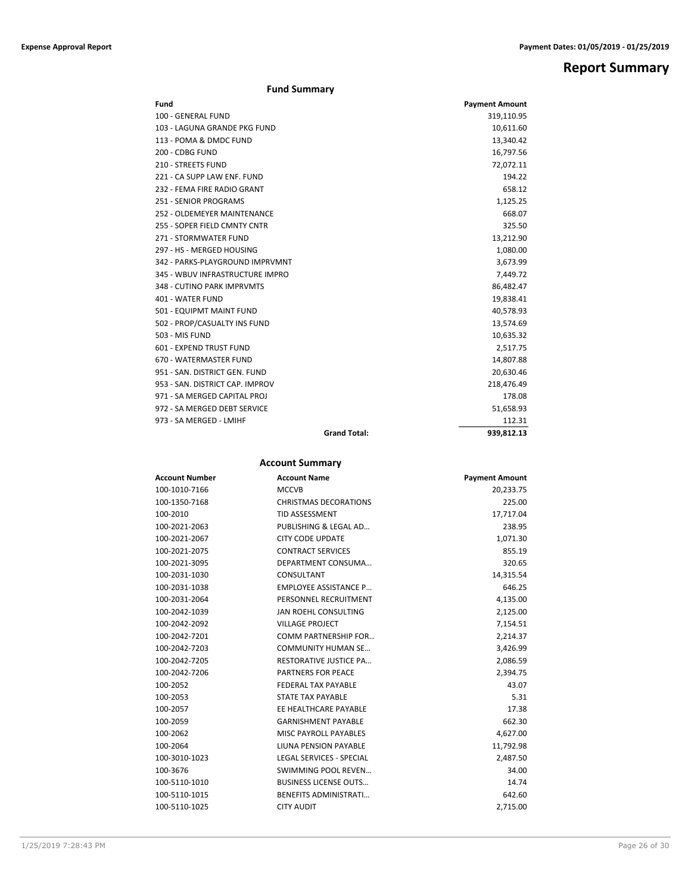**Report Summary**

# **Fund Summary**

| Fund                            |                     | <b>Payment Amount</b> |
|---------------------------------|---------------------|-----------------------|
| 100 - GENERAL FUND              |                     | 319,110.95            |
| 103 - LAGUNA GRANDE PKG FUND    |                     | 10,611.60             |
| 113 - POMA & DMDC FUND          |                     | 13,340.42             |
| 200 - CDBG FUND                 |                     | 16,797.56             |
| <b>210 - STREETS FUND</b>       |                     | 72,072.11             |
| 221 - CA SUPP LAW ENF. FUND     |                     | 194.22                |
| 232 - FEMA FIRE RADIO GRANT     |                     | 658.12                |
| <b>251 - SENIOR PROGRAMS</b>    |                     | 1,125.25              |
| 252 - OLDEMEYER MAINTENANCE     |                     | 668.07                |
| 255 - SOPER FIELD CMNTY CNTR    |                     | 325.50                |
| 271 - STORMWATER FUND           |                     | 13,212.90             |
| 297 - HS - MERGED HOUSING       |                     | 1,080.00              |
| 342 - PARKS-PLAYGROUND IMPRVMNT |                     | 3,673.99              |
| 345 - WBUV INFRASTRUCTURE IMPRO |                     | 7,449.72              |
| 348 - CUTINO PARK IMPRVMTS      |                     | 86,482.47             |
| 401 - WATER FUND                |                     | 19,838.41             |
| 501 - EQUIPMT MAINT FUND        |                     | 40,578.93             |
| 502 - PROP/CASUALTY INS FUND    |                     | 13,574.69             |
| 503 - MIS FUND                  |                     | 10,635.32             |
| 601 - EXPEND TRUST FUND         |                     | 2,517.75              |
| 670 - WATERMASTER FUND          |                     | 14,807.88             |
| 951 - SAN, DISTRICT GEN, FUND   |                     | 20,630.46             |
| 953 - SAN, DISTRICT CAP, IMPROV |                     | 218,476.49            |
| 971 - SA MERGED CAPITAL PROJ    |                     | 178.08                |
| 972 - SA MERGED DEBT SERVICE    |                     | 51,658.93             |
| 973 - SA MERGED - LMIHF         |                     | 112.31                |
|                                 | <b>Grand Total:</b> | 939.812.13            |

# **Account Summary**

| <b>Account Number</b> | <b>Account Name</b>           | <b>Payment Amount</b> |
|-----------------------|-------------------------------|-----------------------|
| 100-1010-7166         | <b>MCCVB</b>                  | 20,233.75             |
| 100-1350-7168         | <b>CHRISTMAS DECORATIONS</b>  | 225.00                |
| 100-2010              | <b>TID ASSESSMENT</b>         | 17,717.04             |
| 100-2021-2063         | PUBLISHING & LEGAL AD         | 238.95                |
| 100-2021-2067         | <b>CITY CODE UPDATE</b>       | 1,071.30              |
| 100-2021-2075         | <b>CONTRACT SERVICES</b>      | 855.19                |
| 100-2021-3095         | DEPARTMENT CONSUMA            | 320.65                |
| 100-2031-1030         | CONSULTANT                    | 14,315.54             |
| 100-2031-1038         | <b>EMPLOYEE ASSISTANCE P</b>  | 646.25                |
| 100-2031-2064         | PERSONNEL RECRUITMENT         | 4,135.00              |
| 100-2042-1039         | JAN ROEHL CONSULTING          | 2,125.00              |
| 100-2042-2092         | <b>VILLAGE PROJECT</b>        | 7,154.51              |
| 100-2042-7201         | COMM PARTNERSHIP FOR          | 2,214.37              |
| 100-2042-7203         | <b>COMMUNITY HUMAN SE</b>     | 3,426.99              |
| 100-2042-7205         | <b>RESTORATIVE JUSTICE PA</b> | 2,086.59              |
| 100-2042-7206         | <b>PARTNERS FOR PEACE</b>     | 2,394.75              |
| 100-2052              | <b>FEDERAL TAX PAYABLE</b>    | 43.07                 |
| 100-2053              | <b>STATE TAX PAYABLE</b>      | 5.31                  |
| 100-2057              | EE HEALTHCARE PAYABLE         | 17.38                 |
| 100-2059              | <b>GARNISHMENT PAYABLE</b>    | 662.30                |
| 100-2062              | <b>MISC PAYROLL PAYABLES</b>  | 4,627.00              |
| 100-2064              | LIUNA PENSION PAYABLE         | 11,792.98             |
| 100-3010-1023         | LEGAL SERVICES - SPECIAL      | 2,487.50              |
| 100-3676              | SWIMMING POOL REVEN           | 34.00                 |
| 100-5110-1010         | <b>BUSINESS LICENSE OUTS</b>  | 14.74                 |
| 100-5110-1015         | <b>BENEFITS ADMINISTRATI</b>  | 642.60                |
| 100-5110-1025         | <b>CITY AUDIT</b>             | 2,715.00              |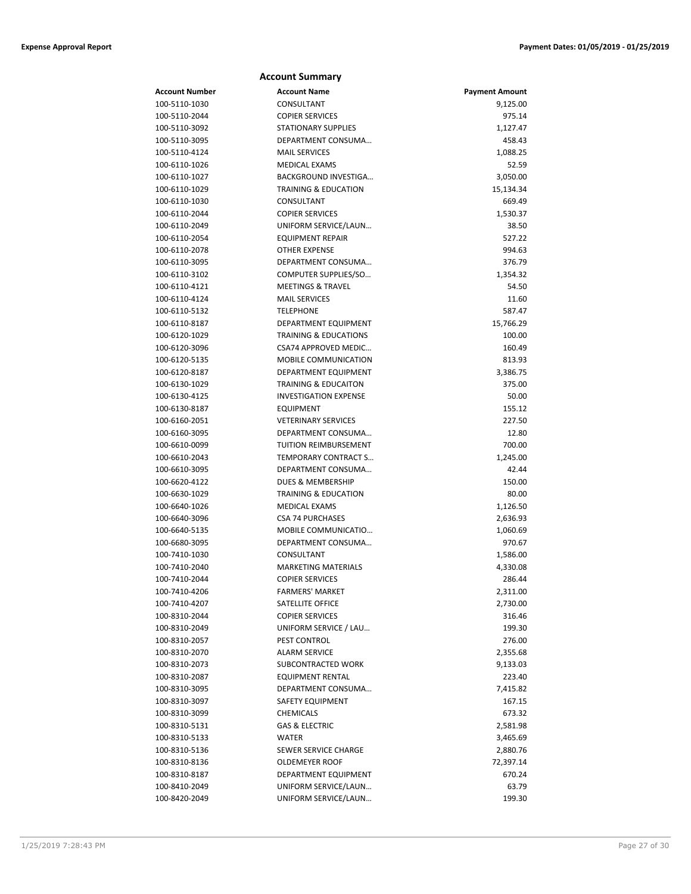| Account Number                 | <b>Account Name</b>                            | <b>Payment Amount</b> |
|--------------------------------|------------------------------------------------|-----------------------|
| 100-5110-1030                  | CONSULTANT                                     | 9,125.00              |
| 100-5110-2044                  | <b>COPIER SERVICES</b>                         | 975.14                |
| 100-5110-3092                  | <b>STATIONARY SUPPLIES</b>                     | 1,127.47              |
| 100-5110-3095                  | DEPARTMENT CONSUMA                             | 458.43                |
| 100-5110-4124                  | <b>MAIL SERVICES</b>                           | 1,088.25              |
| 100-6110-1026                  | <b>MEDICAL EXAMS</b>                           | 52.59                 |
| 100-6110-1027                  | BACKGROUND INVESTIGA                           | 3,050.00              |
| 100-6110-1029                  | <b>TRAINING &amp; EDUCATION</b>                | 15,134.34             |
| 100-6110-1030                  | CONSULTANT                                     | 669.49                |
| 100-6110-2044                  | <b>COPIER SERVICES</b>                         | 1,530.37              |
| 100-6110-2049                  | UNIFORM SERVICE/LAUN                           | 38.50                 |
| 100-6110-2054                  | <b>EQUIPMENT REPAIR</b>                        | 527.22                |
| 100-6110-2078                  | OTHER EXPENSE                                  | 994.63                |
| 100-6110-3095                  | DEPARTMENT CONSUMA                             | 376.79                |
| 100-6110-3102                  | COMPUTER SUPPLIES/SO                           | 1,354.32              |
| 100-6110-4121                  | <b>MEETINGS &amp; TRAVEL</b>                   | 54.50                 |
| 100-6110-4124                  | <b>MAIL SERVICES</b>                           | 11.60                 |
| 100-6110-5132                  | <b>TELEPHONE</b>                               | 587.47                |
| 100-6110-8187                  | DEPARTMENT EQUIPMENT                           | 15,766.29             |
| 100-6120-1029                  | <b>TRAINING &amp; EDUCATIONS</b>               | 100.00                |
| 100-6120-3096                  | CSA74 APPROVED MEDIC                           | 160.49                |
| 100-6120-5135                  | <b>MOBILE COMMUNICATION</b>                    | 813.93                |
| 100-6120-8187                  | <b>DEPARTMENT EQUIPMENT</b>                    | 3,386.75              |
| 100-6130-1029                  | <b>TRAINING &amp; EDUCAITON</b>                | 375.00                |
| 100-6130-4125                  | <b>INVESTIGATION EXPENSE</b>                   | 50.00                 |
| 100-6130-8187                  | <b>EQUIPMENT</b>                               | 155.12                |
| 100-6160-2051                  | <b>VETERINARY SERVICES</b>                     | 227.50                |
| 100-6160-3095                  | DEPARTMENT CONSUMA                             | 12.80                 |
| 100-6610-0099                  | TUITION REIMBURSEMENT                          | 700.00                |
| 100-6610-2043                  | TEMPORARY CONTRACT S                           | 1,245.00              |
| 100-6610-3095                  | DEPARTMENT CONSUMA                             | 42.44                 |
| 100-6620-4122                  | <b>DUES &amp; MEMBERSHIP</b>                   | 150.00                |
| 100-6630-1029                  | <b>TRAINING &amp; EDUCATION</b>                | 80.00                 |
| 100-6640-1026                  | <b>MEDICAL EXAMS</b>                           | 1,126.50              |
| 100-6640-3096                  | <b>CSA 74 PURCHASES</b><br>MOBILE COMMUNICATIO | 2,636.93              |
| 100-6640-5135                  | DEPARTMENT CONSUMA                             | 1,060.69              |
| 100-6680-3095<br>100-7410-1030 | CONSULTANT                                     | 970.67<br>1,586.00    |
| 100-7410-2040                  | <b>MARKETING MATERIALS</b>                     | 4,330.08              |
| 100-7410-2044                  | <b>COPIER SERVICES</b>                         | 286.44                |
| 100-7410-4206                  | FARMERS' MARKET                                | 2,311.00              |
| 100-7410-4207                  | SATELLITE OFFICE                               | 2,730.00              |
| 100-8310-2044                  | <b>COPIER SERVICES</b>                         | 316.46                |
| 100-8310-2049                  | UNIFORM SERVICE / LAU                          | 199.30                |
| 100-8310-2057                  | PEST CONTROL                                   | 276.00                |
| 100-8310-2070                  | <b>ALARM SERVICE</b>                           | 2,355.68              |
| 100-8310-2073                  | SUBCONTRACTED WORK                             | 9,133.03              |
| 100-8310-2087                  | <b>EQUIPMENT RENTAL</b>                        | 223.40                |
| 100-8310-3095                  | DEPARTMENT CONSUMA                             | 7,415.82              |
| 100-8310-3097                  | SAFETY EQUIPMENT                               | 167.15                |
| 100-8310-3099                  | CHEMICALS                                      | 673.32                |
| 100-8310-5131                  | <b>GAS &amp; ELECTRIC</b>                      | 2,581.98              |
| 100-8310-5133                  | WATER                                          | 3,465.69              |
| 100-8310-5136                  | SEWER SERVICE CHARGE                           | 2,880.76              |
| 100-8310-8136                  | OLDEMEYER ROOF                                 | 72,397.14             |
| 100-8310-8187                  | DEPARTMENT EQUIPMENT                           | 670.24                |
| 100-8410-2049                  | UNIFORM SERVICE/LAUN                           | 63.79                 |
| 100-8420-2049                  | UNIFORM SERVICE/LAUN                           | 199.30                |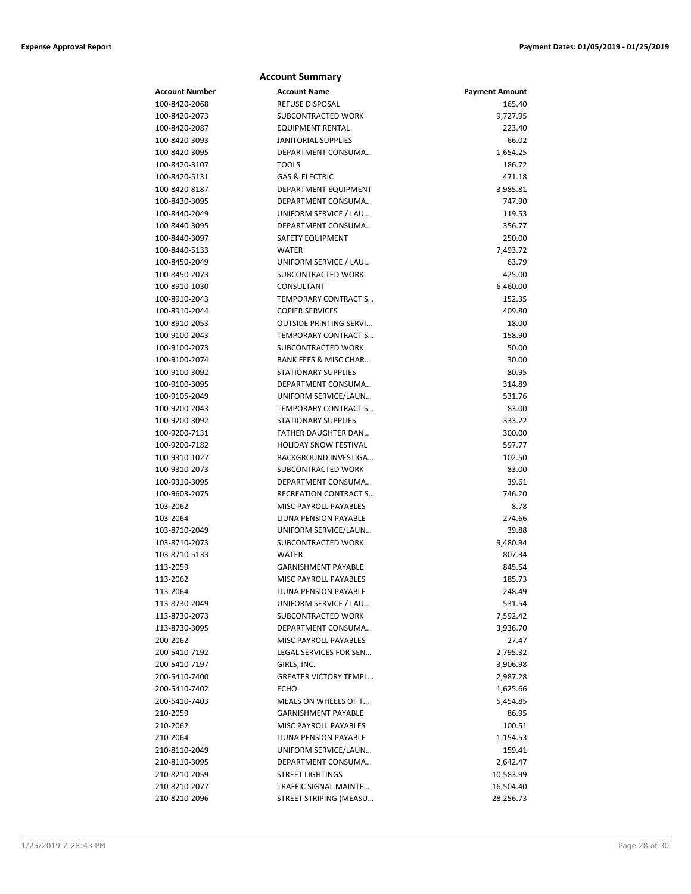|                                | <b>Account Summary</b>                         |                       |
|--------------------------------|------------------------------------------------|-----------------------|
| <b>Account Number</b>          | <b>Account Name</b>                            | <b>Payment Amount</b> |
| 100-8420-2068                  | <b>REFUSE DISPOSAL</b>                         | 165.40                |
| 100-8420-2073                  | SUBCONTRACTED WORK                             | 9,727.95              |
| 100-8420-2087                  | <b>EQUIPMENT RENTAL</b>                        | 223.40                |
| 100-8420-3093                  | <b>JANITORIAL SUPPLIES</b>                     | 66.02                 |
| 100-8420-3095                  | DEPARTMENT CONSUMA                             | 1,654.25              |
| 100-8420-3107                  | <b>TOOLS</b>                                   | 186.72                |
| 100-8420-5131                  | <b>GAS &amp; ELECTRIC</b>                      | 471.18                |
| 100-8420-8187                  | DEPARTMENT EQUIPMENT                           | 3,985.81              |
| 100-8430-3095                  | DEPARTMENT CONSUMA                             | 747.90                |
| 100-8440-2049                  | UNIFORM SERVICE / LAU                          | 119.53                |
| 100-8440-3095                  | DEPARTMENT CONSUMA                             | 356.77                |
| 100-8440-3097                  | SAFETY EQUIPMENT                               | 250.00                |
| 100-8440-5133                  | <b>WATER</b>                                   | 7,493.72              |
| 100-8450-2049                  | UNIFORM SERVICE / LAU                          | 63.79                 |
| 100-8450-2073                  | SUBCONTRACTED WORK                             | 425.00                |
| 100-8910-1030                  | CONSULTANT                                     | 6,460.00              |
| 100-8910-2043                  | TEMPORARY CONTRACT S                           | 152.35                |
| 100-8910-2044                  | <b>COPIER SERVICES</b>                         | 409.80                |
| 100-8910-2053                  | <b>OUTSIDE PRINTING SERVI</b>                  | 18.00                 |
| 100-9100-2043                  | TEMPORARY CONTRACT S                           | 158.90                |
| 100-9100-2073                  | SUBCONTRACTED WORK                             | 50.00                 |
| 100-9100-2074                  | BANK FEES & MISC CHAR                          | 30.00                 |
| 100-9100-3092                  | <b>STATIONARY SUPPLIES</b>                     | 80.95                 |
| 100-9100-3095                  | DEPARTMENT CONSUMA                             | 314.89                |
| 100-9105-2049                  | UNIFORM SERVICE/LAUN                           | 531.76                |
| 100-9200-2043                  | <b>TEMPORARY CONTRACT S</b>                    | 83.00                 |
| 100-9200-3092                  | <b>STATIONARY SUPPLIES</b>                     | 333.22                |
| 100-9200-7131                  | FATHER DAUGHTER DAN                            | 300.00                |
| 100-9200-7182                  | <b>HOLIDAY SNOW FESTIVAL</b>                   | 597.77                |
| 100-9310-1027                  | BACKGROUND INVESTIGA                           | 102.50                |
| 100-9310-2073                  | SUBCONTRACTED WORK                             | 83.00                 |
| 100-9310-3095                  | DEPARTMENT CONSUMA                             | 39.61                 |
| 100-9603-2075                  | <b>RECREATION CONTRACT S</b>                   | 746.20<br>8.78        |
| 103-2062                       | MISC PAYROLL PAYABLES<br>LIUNA PENSION PAYABLE |                       |
| 103-2064                       |                                                | 274.66                |
| 103-8710-2049<br>103-8710-2073 | UNIFORM SERVICE/LAUN<br>SUBCONTRACTED WORK     | 39.88<br>9,480.94     |
| 103-8710-5133                  | WATER                                          | 807.34                |
| 113-2059                       | <b>GARNISHMENT PAYABLE</b>                     | 845.54                |
| 113-2062                       | MISC PAYROLL PAYABLES                          | 185.73                |
| 113-2064                       | LIUNA PENSION PAYABLE                          | 248.49                |
| 113-8730-2049                  | UNIFORM SERVICE / LAU                          | 531.54                |
| 113-8730-2073                  | <b>SUBCONTRACTED WORK</b>                      | 7,592.42              |
| 113-8730-3095                  | DEPARTMENT CONSUMA                             | 3,936.70              |
| 200-2062                       | MISC PAYROLL PAYABLES                          | 27.47                 |
| 200-5410-7192                  | LEGAL SERVICES FOR SEN                         | 2,795.32              |
| 200-5410-7197                  | GIRLS, INC.                                    | 3,906.98              |
| 200-5410-7400                  | <b>GREATER VICTORY TEMPL</b>                   | 2,987.28              |
| 200-5410-7402                  | ECHO                                           | 1,625.66              |
| 200-5410-7403                  | MEALS ON WHEELS OF T                           | 5,454.85              |
| 210-2059                       | <b>GARNISHMENT PAYABLE</b>                     | 86.95                 |
| 210-2062                       | MISC PAYROLL PAYABLES                          | 100.51                |
| 210-2064                       | LIUNA PENSION PAYABLE                          | 1,154.53              |
| 210-8110-2049                  | UNIFORM SERVICE/LAUN                           | 159.41                |
| 210-8110-3095                  | DEPARTMENT CONSUMA                             | 2,642.47              |
| 210-8210-2059                  | <b>STREET LIGHTINGS</b>                        | 10,583.99             |
| 210-8210-2077                  | TRAFFIC SIGNAL MAINTE                          | 16,504.40             |
| 210-8210-2096                  | STREET STRIPING (MEASU                         | 28,256.73             |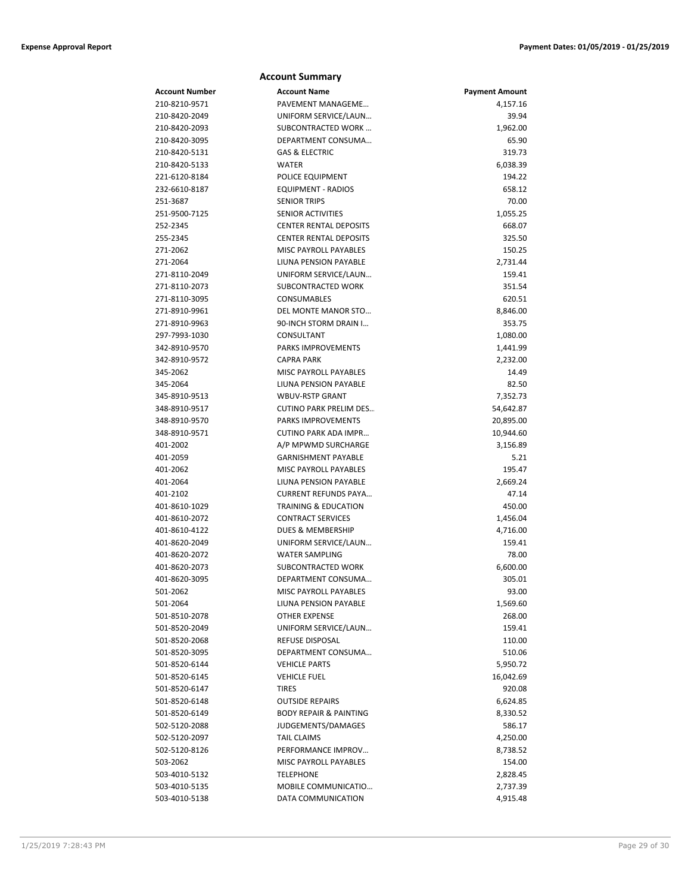|                           | <b>Account Summary</b>                                      |                       |
|---------------------------|-------------------------------------------------------------|-----------------------|
| Account Number            | <b>Account Name</b>                                         | <b>Payment Amount</b> |
| 210-8210-9571             | PAVEMENT MANAGEME                                           | 4,157.16              |
| 210-8420-2049             | UNIFORM SERVICE/LAUN                                        | 39.94                 |
| 210-8420-2093             | SUBCONTRACTED WORK                                          | 1,962.00              |
| 210-8420-3095             | DEPARTMENT CONSUMA                                          | 65.90                 |
| 210-8420-5131             | <b>GAS &amp; ELECTRIC</b>                                   | 319.73                |
| 210-8420-5133             | <b>WATER</b>                                                | 6,038.39              |
| 221-6120-8184             | POLICE EQUIPMENT                                            | 194.22                |
| 232-6610-8187             | <b>EQUIPMENT - RADIOS</b>                                   | 658.12                |
| 251-3687                  | <b>SENIOR TRIPS</b>                                         | 70.00                 |
| 251-9500-7125             | SENIOR ACTIVITIES                                           | 1,055.25              |
| 252-2345                  | <b>CENTER RENTAL DEPOSITS</b>                               | 668.07                |
| 255-2345                  | <b>CENTER RENTAL DEPOSITS</b>                               | 325.50                |
| 271-2062                  | MISC PAYROLL PAYABLES                                       | 150.25                |
| 271-2064                  | LIUNA PENSION PAYABLE                                       | 2,731.44              |
| 271-8110-2049             | UNIFORM SERVICE/LAUN                                        | 159.41                |
| 271-8110-2073             | SUBCONTRACTED WORK                                          | 351.54                |
| 271-8110-3095             | CONSUMABLES                                                 | 620.51                |
| 271-8910-9961             | DEL MONTE MANOR STO                                         | 8,846.00              |
| 271-8910-9963             | 90-INCH STORM DRAIN I                                       | 353.75                |
| 297-7993-1030             | CONSULTANT                                                  | 1,080.00              |
| 342-8910-9570             | <b>PARKS IMPROVEMENTS</b>                                   | 1,441.99              |
| 342-8910-9572             | <b>CAPRA PARK</b>                                           | 2,232.00              |
| 345-2062                  | MISC PAYROLL PAYABLES                                       | 14.49                 |
| 345-2064                  | LIUNA PENSION PAYABLE                                       | 82.50                 |
| 345-8910-9513             | <b>WBUV-RSTP GRANT</b>                                      | 7,352.73              |
| 348-8910-9517             | <b>CUTINO PARK PRELIM DES</b>                               | 54,642.87             |
| 348-8910-9570             | <b>PARKS IMPROVEMENTS</b>                                   | 20,895.00             |
| 348-8910-9571             | CUTINO PARK ADA IMPR                                        | 10,944.60             |
| 401-2002                  | A/P MPWMD SURCHARGE                                         | 3,156.89              |
| 401-2059                  | <b>GARNISHMENT PAYABLE</b>                                  | 5.21                  |
| 401-2062                  | MISC PAYROLL PAYABLES                                       | 195.47                |
| 401-2064                  | LIUNA PENSION PAYABLE                                       | 2,669.24              |
| 401-2102<br>401-8610-1029 | <b>CURRENT REFUNDS PAYA</b>                                 | 47.14                 |
| 401-8610-2072             | <b>TRAINING &amp; EDUCATION</b><br><b>CONTRACT SERVICES</b> | 450.00                |
| 401-8610-4122             | DUES & MEMBERSHIP                                           | 1,456.04              |
| 401-8620-2049             | UNIFORM SERVICE/LAUN                                        | 4,716.00<br>159.41    |
| 401-8620-2072             | <b>WATER SAMPLING</b>                                       | 78.00                 |
| 401-8620-2073             | SUBCONTRACTED WORK                                          | 6,600.00              |
| 401-8620-3095             | DEPARTMENT CONSUMA                                          | 305.01                |
| 501-2062                  | MISC PAYROLL PAYABLES                                       | 93.00                 |
| 501-2064                  | LIUNA PENSION PAYABLE                                       | 1,569.60              |
| 501-8510-2078             | <b>OTHER EXPENSE</b>                                        | 268.00                |
| 501-8520-2049             | UNIFORM SERVICE/LAUN                                        | 159.41                |
| 501-8520-2068             | <b>REFUSE DISPOSAL</b>                                      | 110.00                |
| 501-8520-3095             | DEPARTMENT CONSUMA                                          | 510.06                |
| 501-8520-6144             | <b>VEHICLE PARTS</b>                                        | 5,950.72              |
| 501-8520-6145             | <b>VEHICLE FUEL</b>                                         | 16,042.69             |
| 501-8520-6147             | <b>TIRES</b>                                                | 920.08                |
| 501-8520-6148             | <b>OUTSIDE REPAIRS</b>                                      | 6,624.85              |
| 501-8520-6149             | <b>BODY REPAIR &amp; PAINTING</b>                           | 8,330.52              |
| 502-5120-2088             | JUDGEMENTS/DAMAGES                                          | 586.17                |
| 502-5120-2097             | <b>TAIL CLAIMS</b>                                          | 4,250.00              |
| 502-5120-8126             | PERFORMANCE IMPROV                                          | 8,738.52              |
| 503-2062                  | MISC PAYROLL PAYABLES                                       | 154.00                |
| 503-4010-5132             | <b>TELEPHONE</b>                                            | 2,828.45              |
| 503-4010-5135             | MOBILE COMMUNICATIO                                         | 2,737.39              |
| 503-4010-5138             | DATA COMMUNICATION                                          | 4,915.48              |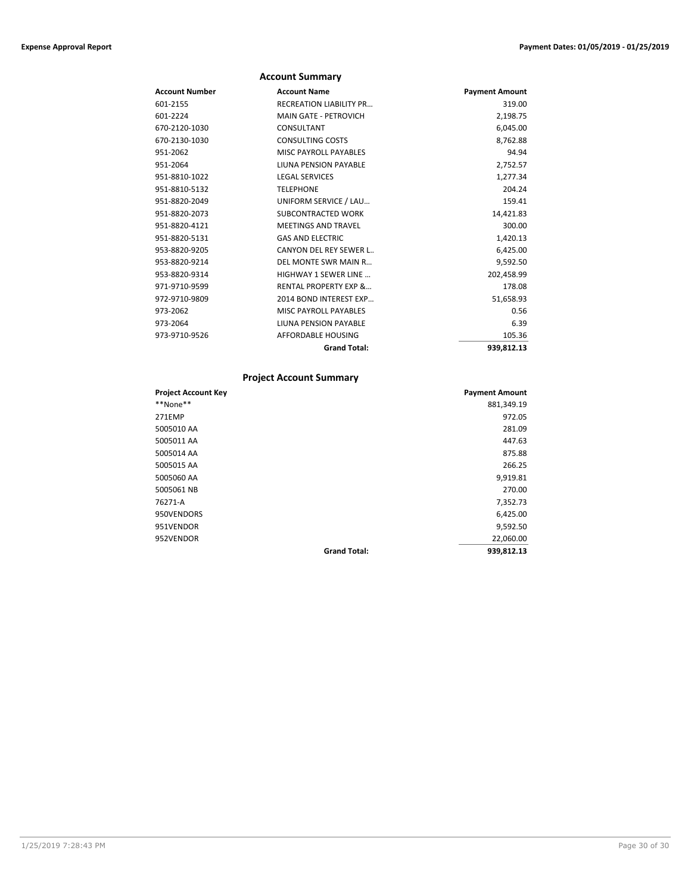|                | <b>Account Summary</b>           |                       |
|----------------|----------------------------------|-----------------------|
| Account Number | <b>Account Name</b>              | <b>Payment Amount</b> |
| 601-2155       | <b>RECREATION LIABILITY PR</b>   | 319.00                |
| 601-2224       | <b>MAIN GATE - PETROVICH</b>     | 2,198.75              |
| 670-2120-1030  | CONSULTANT                       | 6,045.00              |
| 670-2130-1030  | <b>CONSULTING COSTS</b>          | 8,762.88              |
| 951-2062       | <b>MISC PAYROLL PAYABLES</b>     | 94.94                 |
| 951-2064       | LIUNA PENSION PAYABLE            | 2,752.57              |
| 951-8810-1022  | <b>LEGAL SERVICES</b>            | 1,277.34              |
| 951-8810-5132  | <b>TELEPHONE</b>                 | 204.24                |
| 951-8820-2049  | UNIFORM SERVICE / LAU            | 159.41                |
| 951-8820-2073  | SUBCONTRACTED WORK               | 14,421.83             |
| 951-8820-4121  | <b>MEETINGS AND TRAVEL</b>       | 300.00                |
| 951-8820-5131  | <b>GAS AND ELECTRIC</b>          | 1,420.13              |
| 953-8820-9205  | CANYON DEL REY SEWER L           | 6,425.00              |
| 953-8820-9214  | DEL MONTE SWR MAIN R             | 9,592.50              |
| 953-8820-9314  | <b>HIGHWAY 1 SEWER LINE</b>      | 202,458.99            |
| 971-9710-9599  | <b>RENTAL PROPERTY EXP &amp;</b> | 178.08                |
| 972-9710-9809  | 2014 BOND INTEREST EXP           | 51,658.93             |
| 973-2062       | MISC PAYROLL PAYABLES            | 0.56                  |
| 973-2064       | LIUNA PENSION PAYABLE            | 6.39                  |
| 973-9710-9526  | AFFORDABLE HOUSING               | 105.36                |
|                | <b>Grand Total:</b>              | 939,812.13            |

# **Project Account Summary**

| <b>Project Account Key</b> |                     | <b>Payment Amount</b> |
|----------------------------|---------------------|-----------------------|
| **None**                   |                     | 881,349.19            |
| 271EMP                     |                     | 972.05                |
| 5005010 AA                 |                     | 281.09                |
| 5005011 AA                 |                     | 447.63                |
| 5005014 AA                 |                     | 875.88                |
| 5005015 AA                 |                     | 266.25                |
| 5005060 AA                 |                     | 9,919.81              |
| 5005061 NB                 |                     | 270.00                |
| 76271-A                    |                     | 7,352.73              |
| 950VENDORS                 |                     | 6,425.00              |
| 951VENDOR                  |                     | 9,592.50              |
| 952VENDOR                  |                     | 22,060.00             |
|                            | <b>Grand Total:</b> | 939,812.13            |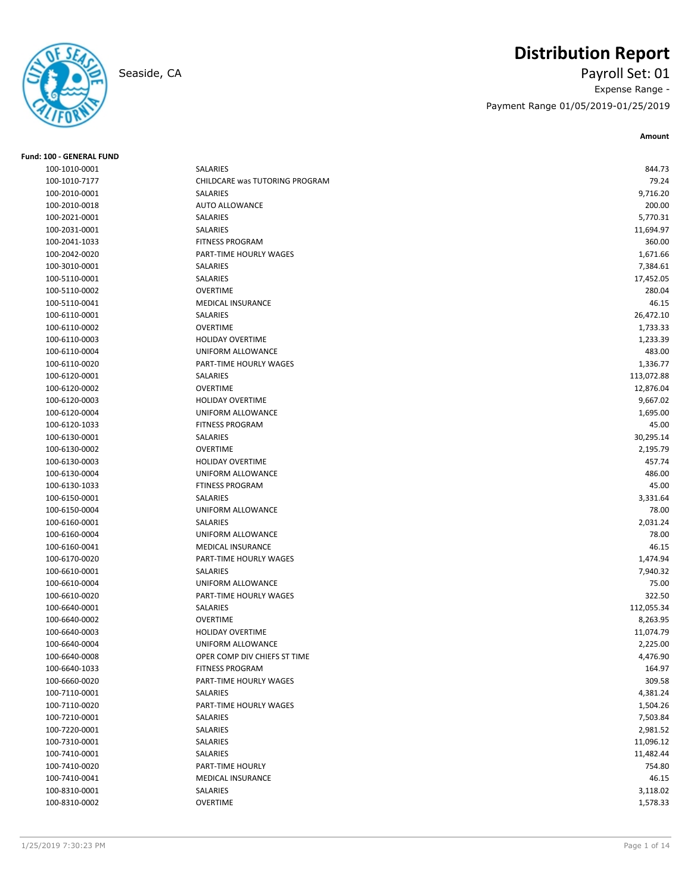# **Distribution Report**

Seaside, CA Payroll Set: 01 Expense Range - Payment Range 01/05/2019-01/25/2019

**Amount**

| <b>Fund: 100 - GENERAL FUND</b> |                                |            |
|---------------------------------|--------------------------------|------------|
| 100-1010-0001                   | SALARIES                       | 844.73     |
| 100-1010-7177                   | CHILDCARE was TUTORING PROGRAM | 79.24      |
| 100-2010-0001                   | SALARIES                       | 9,716.20   |
| 100-2010-0018                   | <b>AUTO ALLOWANCE</b>          | 200.00     |
| 100-2021-0001                   | SALARIES                       | 5,770.31   |
| 100-2031-0001                   | SALARIES                       | 11,694.97  |
| 100-2041-1033                   | <b>FITNESS PROGRAM</b>         | 360.00     |
| 100-2042-0020                   | PART-TIME HOURLY WAGES         | 1,671.66   |
| 100-3010-0001                   | SALARIES                       | 7,384.61   |
| 100-5110-0001                   | <b>SALARIES</b>                | 17,452.05  |
| 100-5110-0002                   | <b>OVERTIME</b>                | 280.04     |
| 100-5110-0041                   | <b>MEDICAL INSURANCE</b>       | 46.15      |
| 100-6110-0001                   | SALARIES                       | 26,472.10  |
| 100-6110-0002                   | <b>OVERTIME</b>                | 1,733.33   |
| 100-6110-0003                   | <b>HOLIDAY OVERTIME</b>        | 1,233.39   |
| 100-6110-0004                   | UNIFORM ALLOWANCE              | 483.00     |
| 100-6110-0020                   | PART-TIME HOURLY WAGES         | 1,336.77   |
| 100-6120-0001                   | SALARIES                       | 113,072.88 |
| 100-6120-0002                   | <b>OVERTIME</b>                | 12,876.04  |
| 100-6120-0003                   | <b>HOLIDAY OVERTIME</b>        | 9,667.02   |
| 100-6120-0004                   | UNIFORM ALLOWANCE              | 1,695.00   |
| 100-6120-1033                   | <b>FITNESS PROGRAM</b>         | 45.00      |
| 100-6130-0001                   | SALARIES                       | 30,295.14  |
| 100-6130-0002                   | <b>OVERTIME</b>                | 2,195.79   |
| 100-6130-0003                   | <b>HOLIDAY OVERTIME</b>        | 457.74     |
| 100-6130-0004                   | UNIFORM ALLOWANCE              | 486.00     |
| 100-6130-1033                   | <b>FTINESS PROGRAM</b>         | 45.00      |
| 100-6150-0001                   | SALARIES                       | 3,331.64   |
| 100-6150-0004                   | UNIFORM ALLOWANCE              | 78.00      |
| 100-6160-0001                   | SALARIES                       | 2,031.24   |
| 100-6160-0004                   | UNIFORM ALLOWANCE              | 78.00      |
| 100-6160-0041                   | <b>MEDICAL INSURANCE</b>       | 46.15      |
| 100-6170-0020                   | PART-TIME HOURLY WAGES         | 1,474.94   |
| 100-6610-0001                   | SALARIES                       | 7,940.32   |
| 100-6610-0004                   | UNIFORM ALLOWANCE              | 75.00      |
| 100-6610-0020                   | PART-TIME HOURLY WAGES         | 322.50     |
| 100-6640-0001                   | SALARIES                       | 112,055.34 |
| 100-6640-0002                   | <b>OVERTIME</b>                | 8,263.95   |
| 100-6640-0003                   | <b>HOLIDAY OVERTIME</b>        | 11,074.79  |
| 100-6640-0004                   | UNIFORM ALLOWANCE              | 2,225.00   |
| 100-6640-0008                   | OPER COMP DIV CHIEFS ST TIME   | 4,476.90   |
| 100-6640-1033                   | <b>FITNESS PROGRAM</b>         | 164.97     |
| 100-6660-0020                   | PART-TIME HOURLY WAGES         | 309.58     |
| 100-7110-0001                   | SALARIES                       | 4,381.24   |
| 100-7110-0020                   | PART-TIME HOURLY WAGES         | 1,504.26   |
| 100-7210-0001                   | SALARIES                       | 7,503.84   |
| 100-7220-0001                   | SALARIES                       | 2,981.52   |
| 100-7310-0001                   | SALARIES                       | 11,096.12  |
| 100-7410-0001                   | SALARIES                       | 11,482.44  |
| 100-7410-0020                   | PART-TIME HOURLY               | 754.80     |
| 100-7410-0041                   | MEDICAL INSURANCE              | 46.15      |
| 100-8310-0001                   | SALARIES                       | 3,118.02   |
| 100-8310-0002                   | OVERTIME                       | 1,578.33   |
|                                 |                                |            |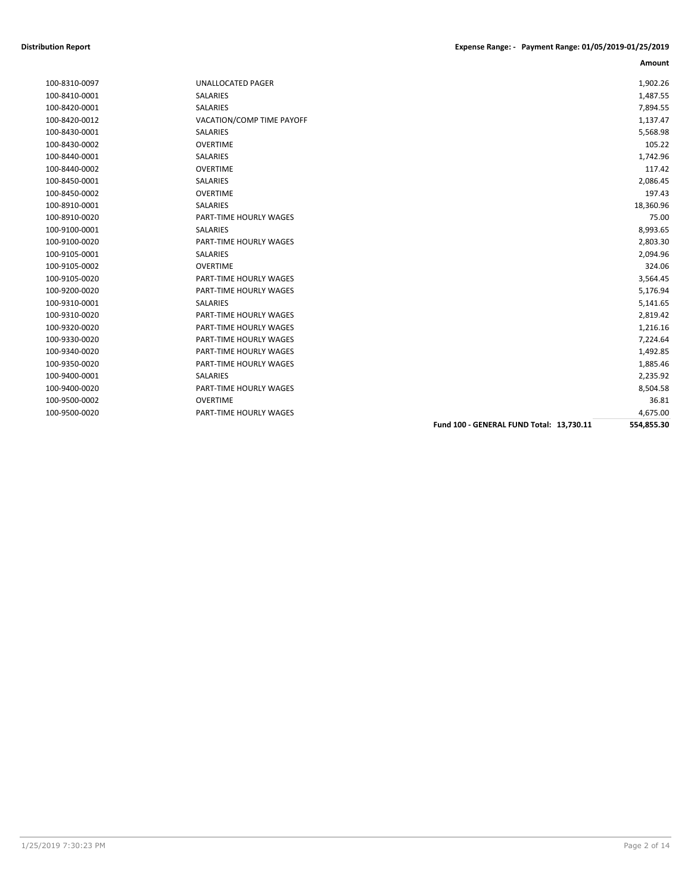|               |                               |                                          | Amount     |
|---------------|-------------------------------|------------------------------------------|------------|
| 100-8310-0097 | <b>UNALLOCATED PAGER</b>      |                                          | 1,902.26   |
| 100-8410-0001 | <b>SALARIES</b>               |                                          | 1,487.55   |
| 100-8420-0001 | <b>SALARIES</b>               |                                          | 7,894.55   |
| 100-8420-0012 | VACATION/COMP TIME PAYOFF     |                                          | 1,137.47   |
| 100-8430-0001 | SALARIES                      |                                          | 5,568.98   |
| 100-8430-0002 | <b>OVERTIME</b>               |                                          | 105.22     |
| 100-8440-0001 | SALARIES                      |                                          | 1,742.96   |
| 100-8440-0002 | <b>OVERTIME</b>               |                                          | 117.42     |
| 100-8450-0001 | SALARIES                      |                                          | 2,086.45   |
| 100-8450-0002 | <b>OVERTIME</b>               |                                          | 197.43     |
| 100-8910-0001 | SALARIES                      |                                          | 18,360.96  |
| 100-8910-0020 | PART-TIME HOURLY WAGES        |                                          | 75.00      |
| 100-9100-0001 | SALARIES                      |                                          | 8,993.65   |
| 100-9100-0020 | PART-TIME HOURLY WAGES        |                                          | 2,803.30   |
| 100-9105-0001 | SALARIES                      |                                          | 2,094.96   |
| 100-9105-0002 | <b>OVERTIME</b>               |                                          | 324.06     |
| 100-9105-0020 | PART-TIME HOURLY WAGES        |                                          | 3,564.45   |
| 100-9200-0020 | <b>PART-TIME HOURLY WAGES</b> |                                          | 5,176.94   |
| 100-9310-0001 | SALARIES                      |                                          | 5,141.65   |
| 100-9310-0020 | PART-TIME HOURLY WAGES        |                                          | 2,819.42   |
| 100-9320-0020 | <b>PART-TIME HOURLY WAGES</b> |                                          | 1,216.16   |
| 100-9330-0020 | PART-TIME HOURLY WAGES        |                                          | 7,224.64   |
| 100-9340-0020 | PART-TIME HOURLY WAGES        |                                          | 1,492.85   |
| 100-9350-0020 | PART-TIME HOURLY WAGES        |                                          | 1,885.46   |
| 100-9400-0001 | <b>SALARIES</b>               |                                          | 2,235.92   |
| 100-9400-0020 | PART-TIME HOURLY WAGES        |                                          | 8,504.58   |
| 100-9500-0002 | <b>OVERTIME</b>               |                                          | 36.81      |
| 100-9500-0020 | <b>PART-TIME HOURLY WAGES</b> |                                          | 4,675.00   |
|               |                               | Fund 100 - GENERAL FUND Total: 13,730.11 | 554,855.30 |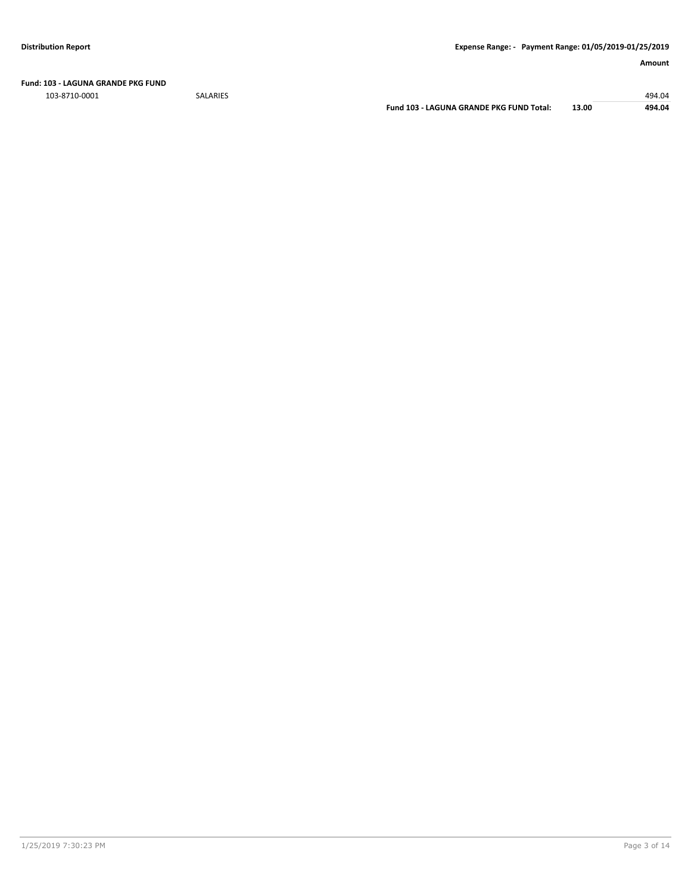**Fund: 103 - LAGUNA GRANDE PKG FUND**

103-8710-0001 SALARIES 494.04

**Fund 103 - LAGUNA GRANDE PKG FUND Total: 13.00 494.04**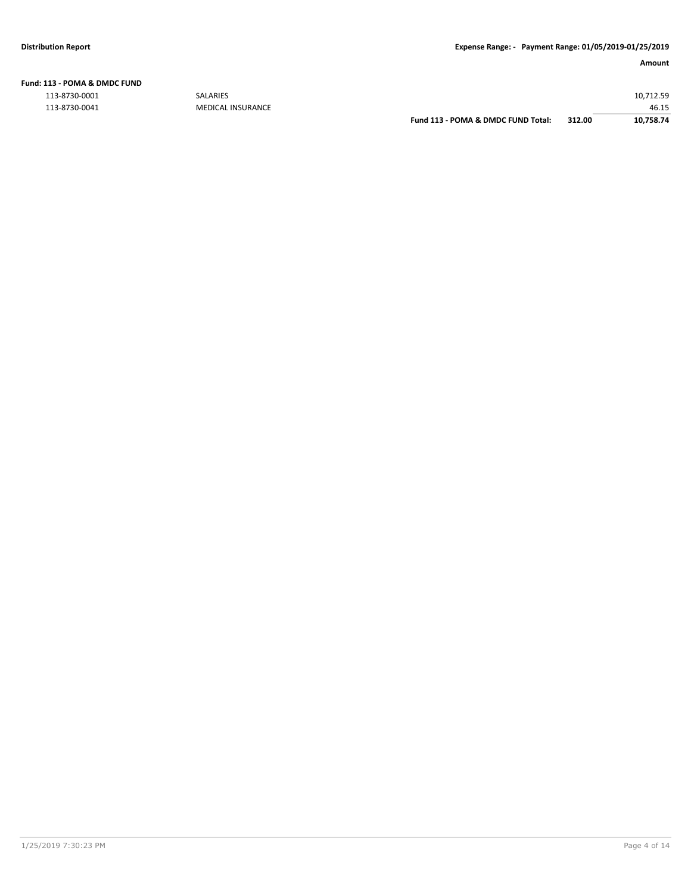# **Fund: 113 - POMA & DMDC FUND**

| 113-8730-0001 | <b>SALARIES</b>          |                                    |        | 10.712.59 |
|---------------|--------------------------|------------------------------------|--------|-----------|
| 113-8730-0041 | <b>MEDICAL INSURANCE</b> |                                    |        | 46.15     |
|               |                          | Fund 113 - POMA & DMDC FUND Total: | 312.00 | 10,758.74 |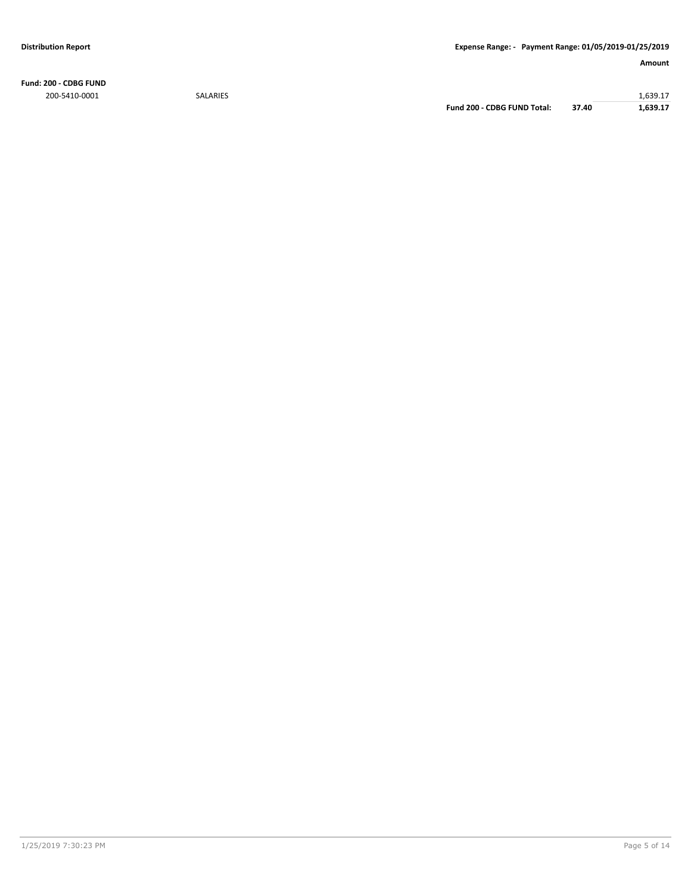**Fund: 200 - CDBG FUND** 200-5410-0001 SALARIES 1,639.17

**Fund 200 - CDBG FUND Total: 37.40 1,639.17**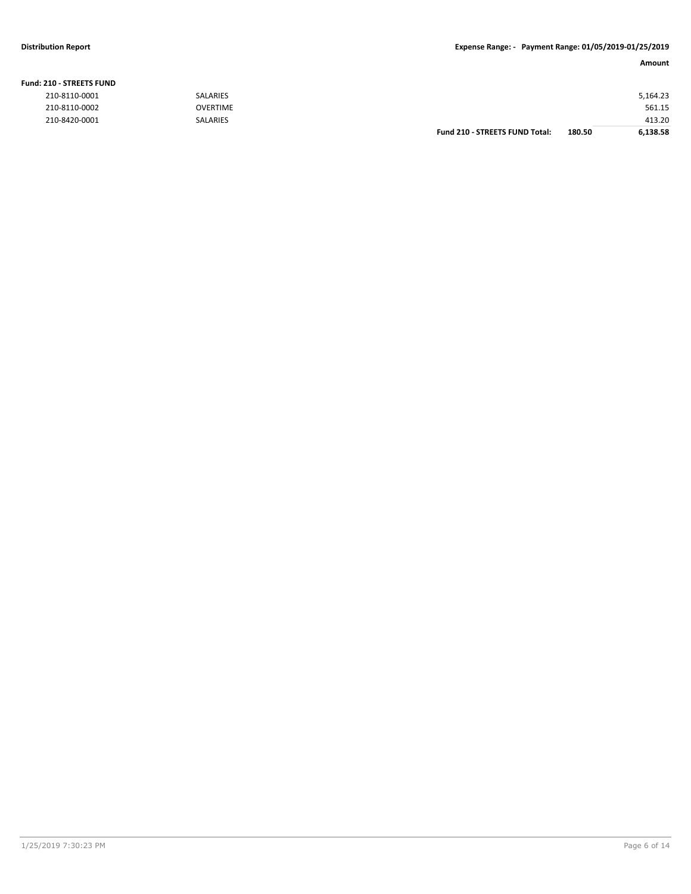### **Fund: 210 - STREETS FUND**

**Amount**

| 210-8110-0001 | <b>SALARIES</b> |                                       |        | 5,164.23 |
|---------------|-----------------|---------------------------------------|--------|----------|
| 210-8110-0002 | <b>OVERTIME</b> |                                       |        | 561.15   |
| 210-8420-0001 | <b>SALARIES</b> |                                       |        | 413.20   |
|               |                 | <b>Fund 210 - STREETS FUND Total:</b> | 180.50 | 6,138.58 |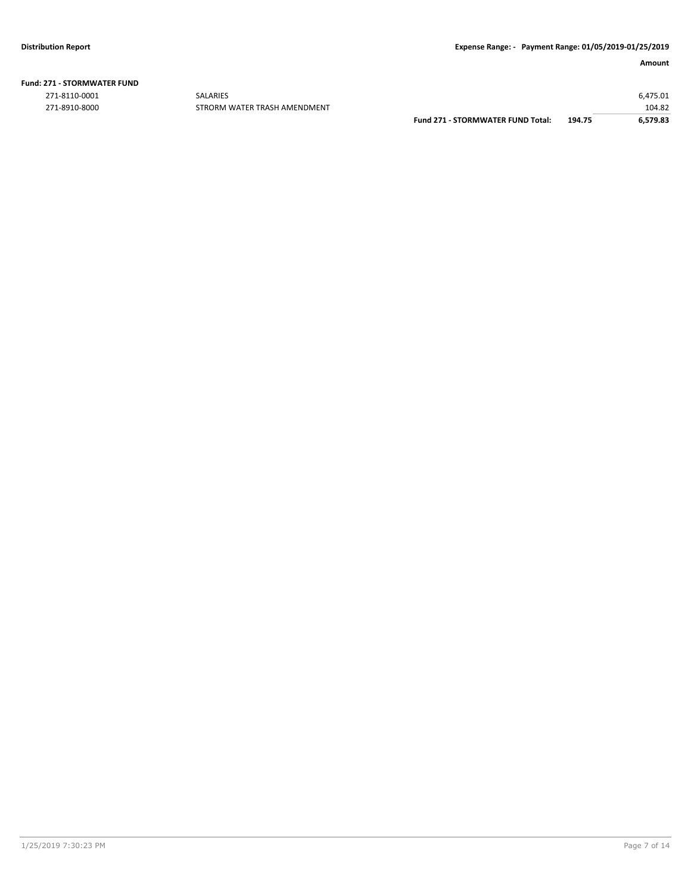### **Fund: 271 - STORMWATER FUND**

271-8110-0001 SALARIES 6,475.01

104.82 E8710-8000 STRORM WATER TRASH AMENDMENT FUND 271 - STORMWATER FUND Total: 194.75 104.82 EST9.83 **Fund 271 - STORMWATER FUND Total: 194.75 6,579.83**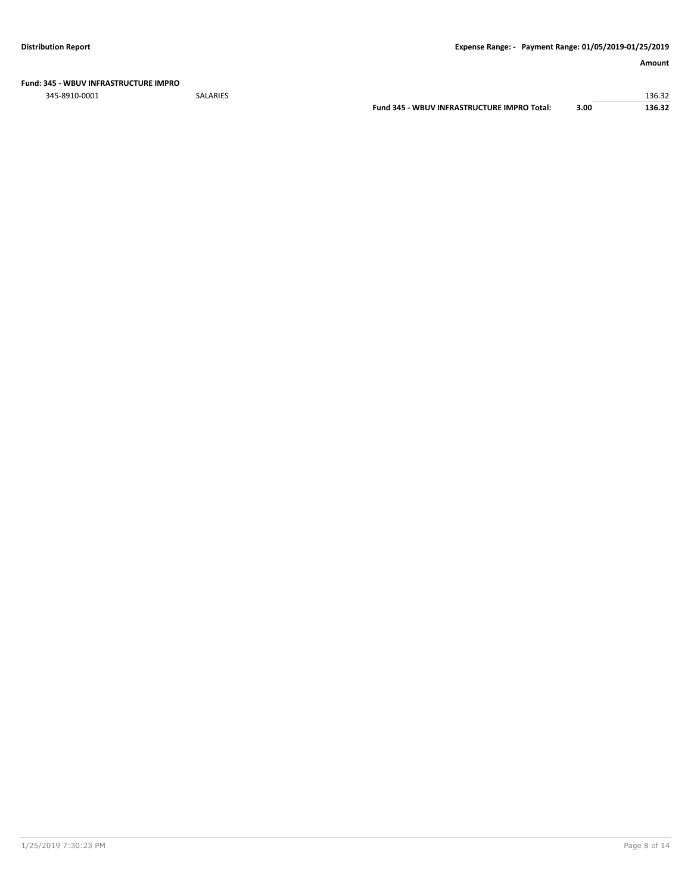### **Fund: 345 - WBUV INFRASTRUCTURE IMPRO**

345-8910-0001 SALARIES 136.32

**Fund 345 - WBUV INFRASTRUCTURE IMPRO Total: 3.00 136.32**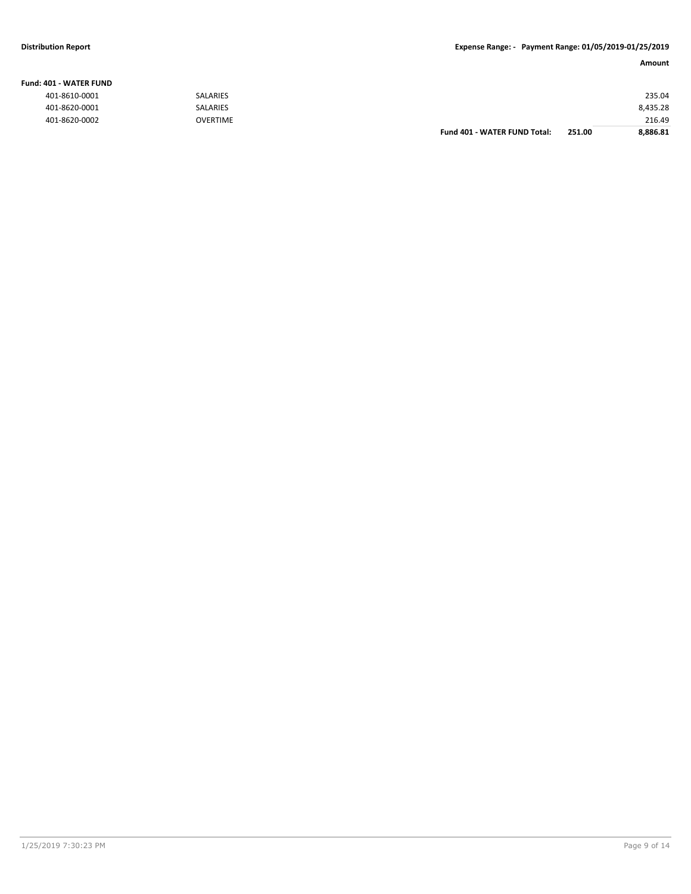### **Fund: 401 - WATER FUND**

**Amount**

| 401-8610-0001 | <b>SALARIES</b> |                              |        | 235.04   |
|---------------|-----------------|------------------------------|--------|----------|
| 401-8620-0001 | <b>SALARIES</b> |                              |        | 8,435.28 |
| 401-8620-0002 | <b>OVERTIME</b> |                              |        | 216.49   |
|               |                 | Fund 401 - WATER FUND Total: | 251.00 | 8,886.81 |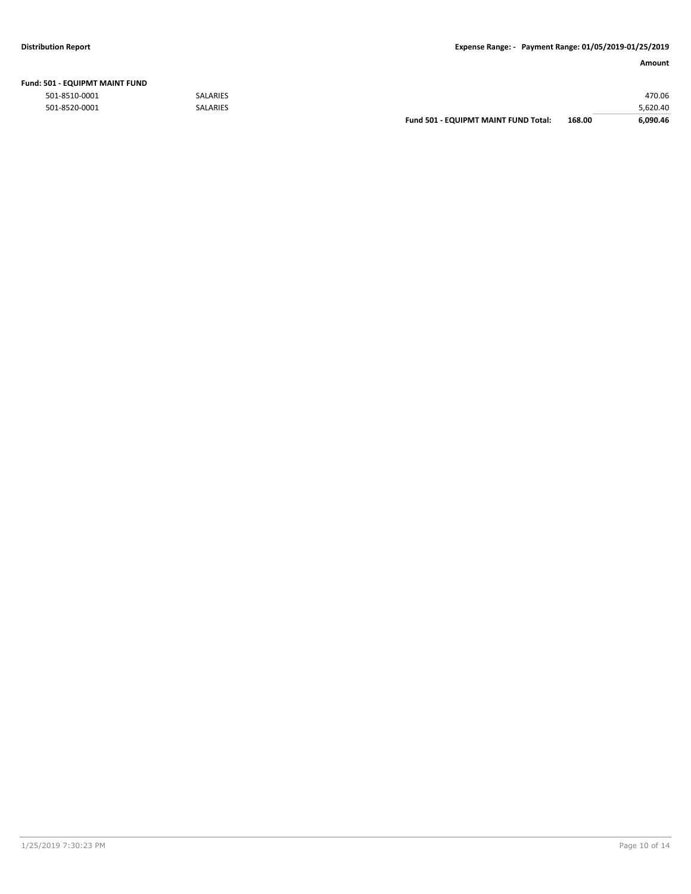| 501 - EQUIPMT MAINT FUND |                 |                                             |        |          |
|--------------------------|-----------------|---------------------------------------------|--------|----------|
| 501-8510-0001            | <b>SALARIES</b> |                                             |        | 470.06   |
| 501-8520-0001            | SALARIES        |                                             |        | 5,620.40 |
|                          |                 | <b>Fund 501 - EQUIPMT MAINT FUND Total:</b> | 168.00 | 6.090.46 |

### **Fund: 501 - EQUIPMT MAINT FUND**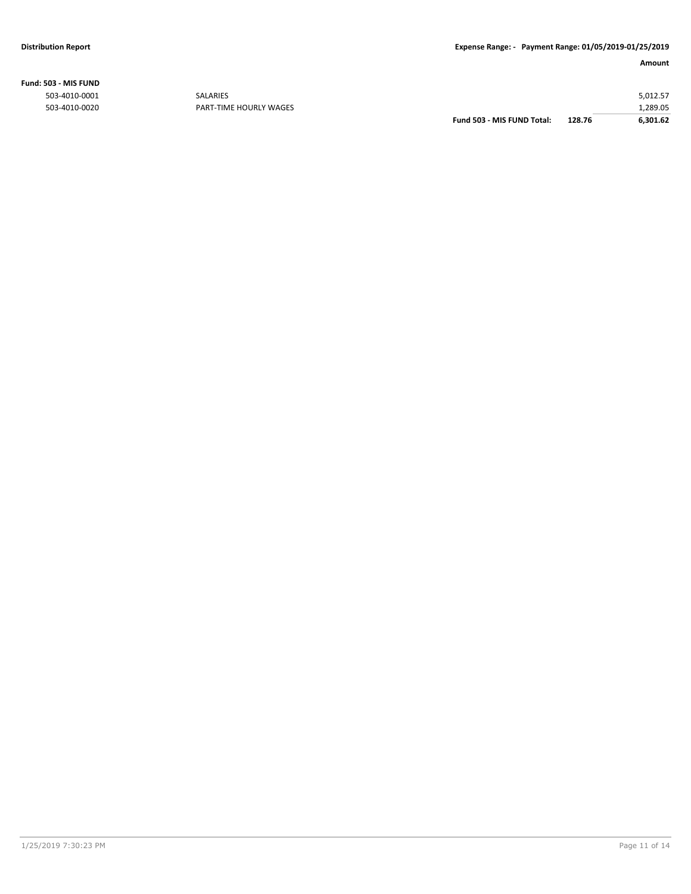**Fund: 503 - MIS FUND**

|               |                        | Fund 503 - MIS FUND Total: | 128.76 | 6.301.62 |
|---------------|------------------------|----------------------------|--------|----------|
| 503-4010-0020 | PART-TIME HOURLY WAGES |                            |        | .289.05  |
| 503-4010-0001 | SALARIES               |                            |        | 5,012.57 |
|               |                        |                            |        |          |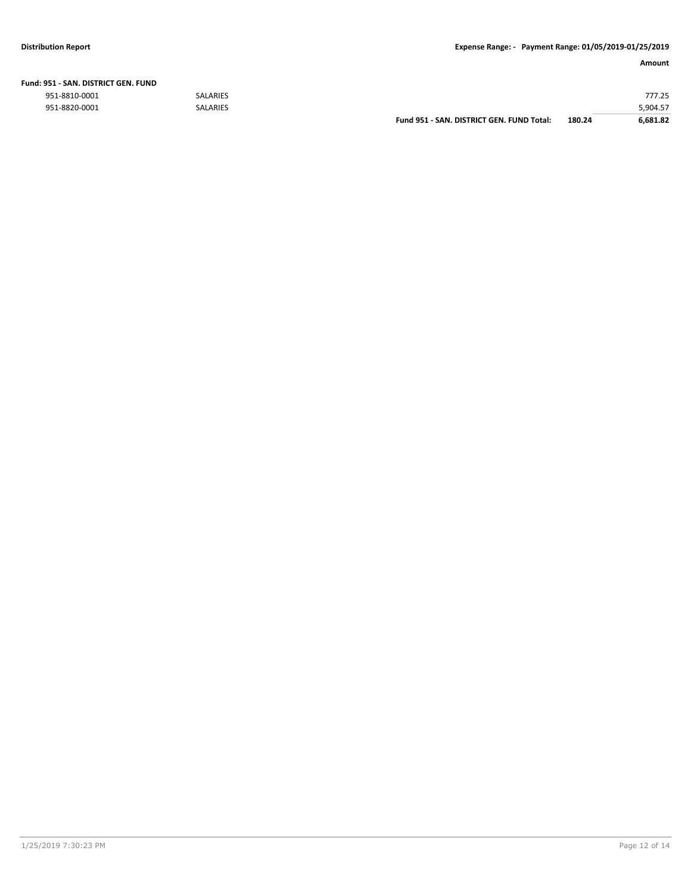|  | Fund: 951 - SAN. DISTRICT GEN. FUND |  |
|--|-------------------------------------|--|
|  |                                     |  |

|               |                 | Fund 951 - SAN, DISTRICT GEN, FUND Total: | 180.24 | 6.681.82 |
|---------------|-----------------|-------------------------------------------|--------|----------|
| 951-8820-0001 | <b>SALARIES</b> |                                           |        | 5,904.57 |
| 951-8810-0001 | <b>SALARIES</b> |                                           |        | 777.25   |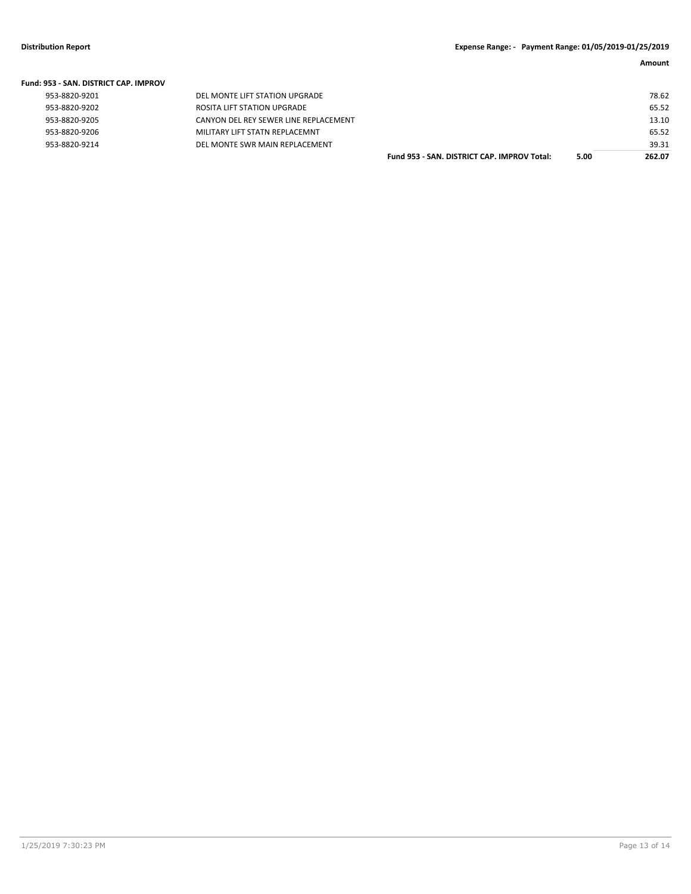| <b>Fund: 953 - SAN, DISTRICT CAP, IMPROV</b> |                                       |                                             |      |        |
|----------------------------------------------|---------------------------------------|---------------------------------------------|------|--------|
| 953-8820-9201                                | DEL MONTE LIFT STATION UPGRADE        |                                             |      | 78.62  |
| 953-8820-9202                                | ROSITA LIFT STATION UPGRADE           |                                             |      | 65.52  |
| 953-8820-9205                                | CANYON DEL REY SEWER LINE REPLACEMENT |                                             |      | 13.10  |
| 953-8820-9206                                | MILITARY LIFT STATN REPLACEMNT        |                                             |      | 65.52  |
| 953-8820-9214                                | DEL MONTE SWR MAIN REPLACEMENT        |                                             |      | 39.31  |
|                                              |                                       | Fund 953 - SAN, DISTRICT CAP, IMPROV Total: | 5.00 | 262.07 |